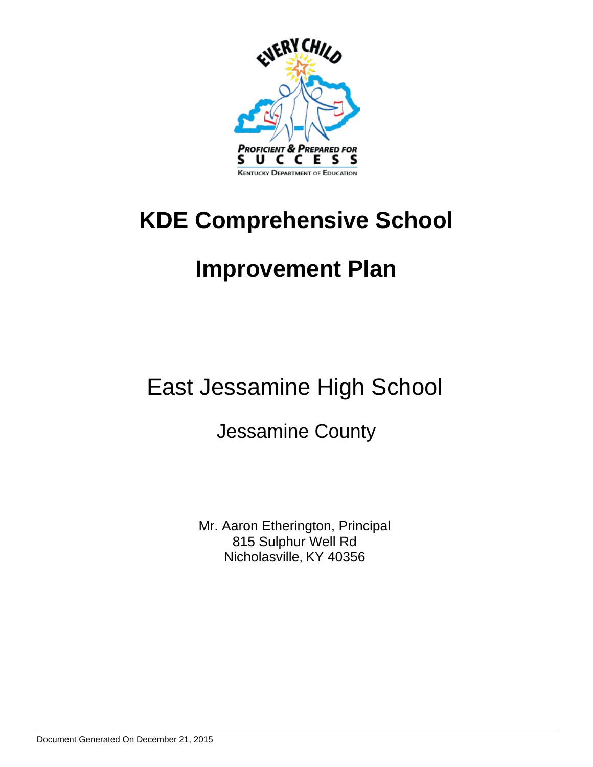

## **KDE Comprehensive School**

## **Improvement Plan**

## East Jessamine High School

## Jessamine County

Mr. Aaron Etherington, Principal 815 Sulphur Well Rd Nicholasville, KY 40356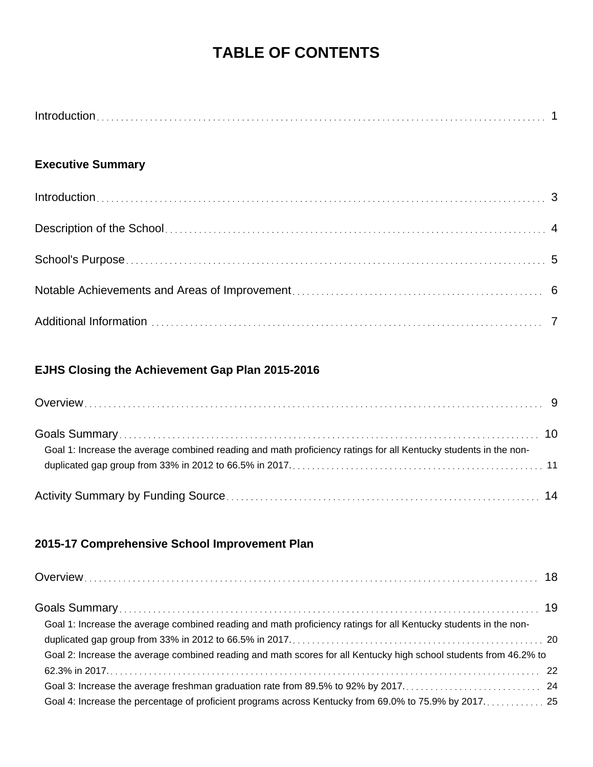### **TABLE OF CONTENTS**

| Introduction |  |
|--------------|--|
|              |  |

### **Executive Summary**

### **EJHS Closing the Achievement Gap Plan 2015-2016**

| Goal 1: Increase the average combined reading and math proficiency ratings for all Kentucky students in the non- |  |
|------------------------------------------------------------------------------------------------------------------|--|
|                                                                                                                  |  |

### **2015-17 Comprehensive School Improvement Plan**

| Goal 1: Increase the average combined reading and math proficiency ratings for all Kentucky students in the non-  |  |
|-------------------------------------------------------------------------------------------------------------------|--|
|                                                                                                                   |  |
| Goal 2: Increase the average combined reading and math scores for all Kentucky high school students from 46.2% to |  |
|                                                                                                                   |  |
|                                                                                                                   |  |
| Goal 4: Increase the percentage of proficient programs across Kentucky from 69.0% to 75.9% by 2017. 25            |  |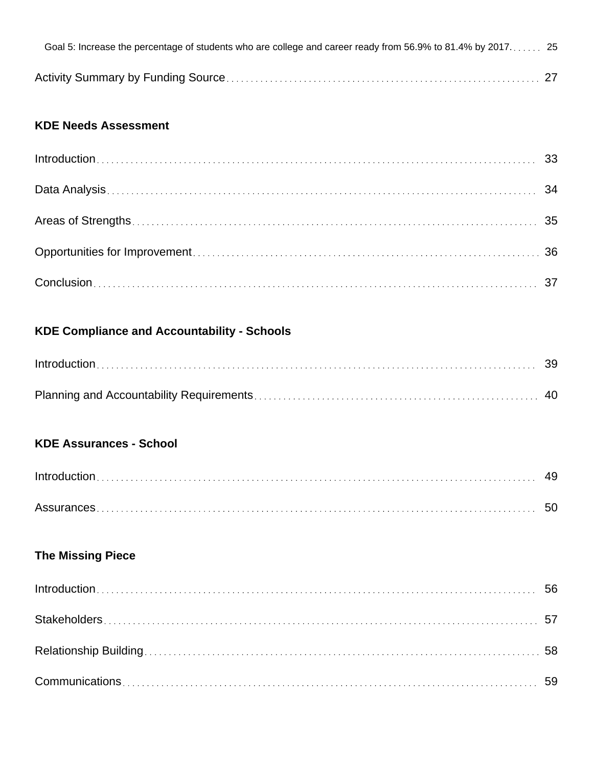| Goal 5: Increase the percentage of students who are college and career ready from 56.9% to 81.4% by 2017 25 |  |
|-------------------------------------------------------------------------------------------------------------|--|
|                                                                                                             |  |

### **KDE Needs Assessment**

### **KDE Compliance and Accountability - Schools**

| $Introduction \dots 39$ |  |
|-------------------------|--|
|                         |  |

### **KDE Assurances - School**

### **The Missing Piece**

| $Introduction \dots 56$ |  |
|-------------------------|--|
|                         |  |
|                         |  |
|                         |  |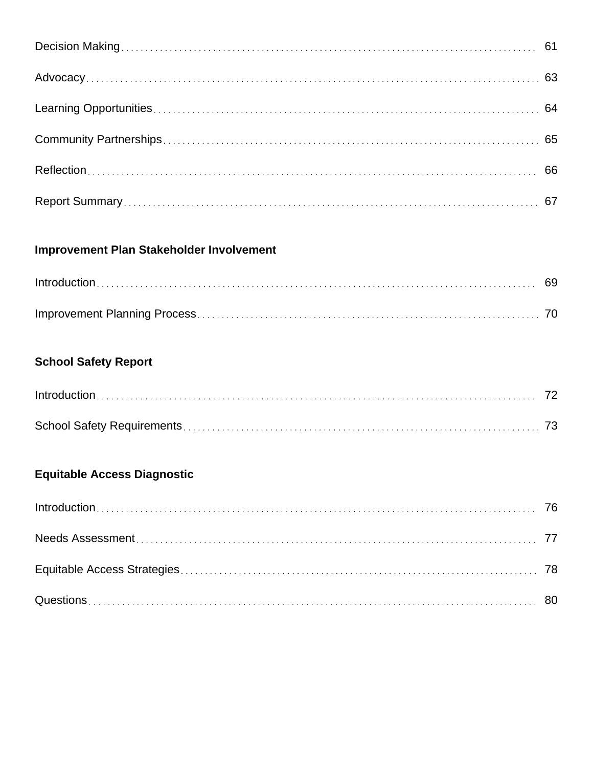### **Improvement Plan Stakeholder Involvement**

### **School Safety Report**

| $Introduction \dots 72$ |  |
|-------------------------|--|
|                         |  |

### **Equitable Access Diagnostic**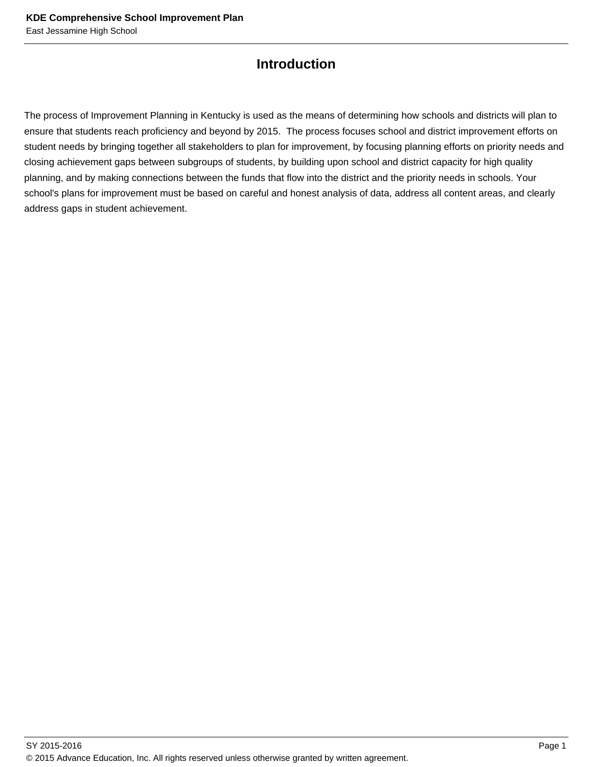### **Introduction**

The process of Improvement Planning in Kentucky is used as the means of determining how schools and districts will plan to ensure that students reach proficiency and beyond by 2015. The process focuses school and district improvement efforts on student needs by bringing together all stakeholders to plan for improvement, by focusing planning efforts on priority needs and closing achievement gaps between subgroups of students, by building upon school and district capacity for high quality planning, and by making connections between the funds that flow into the district and the priority needs in schools. Your school's plans for improvement must be based on careful and honest analysis of data, address all content areas, and clearly address gaps in student achievement.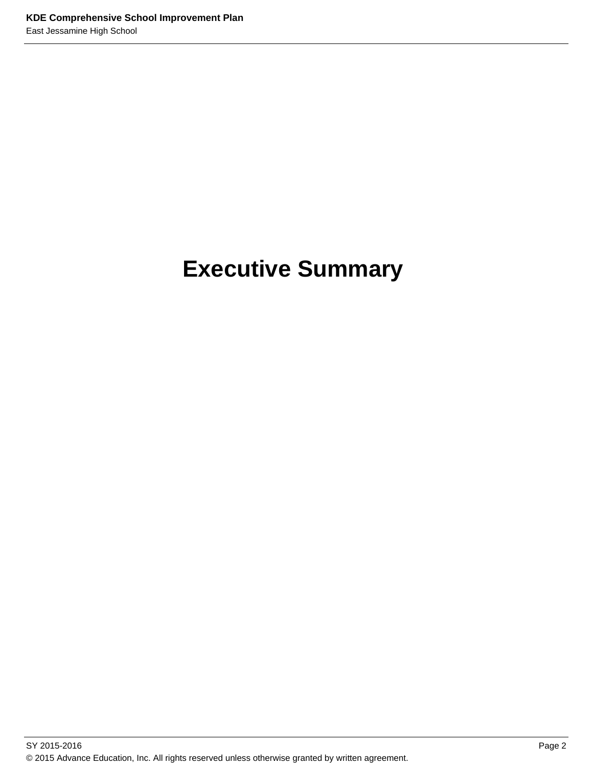## **Executive Summary**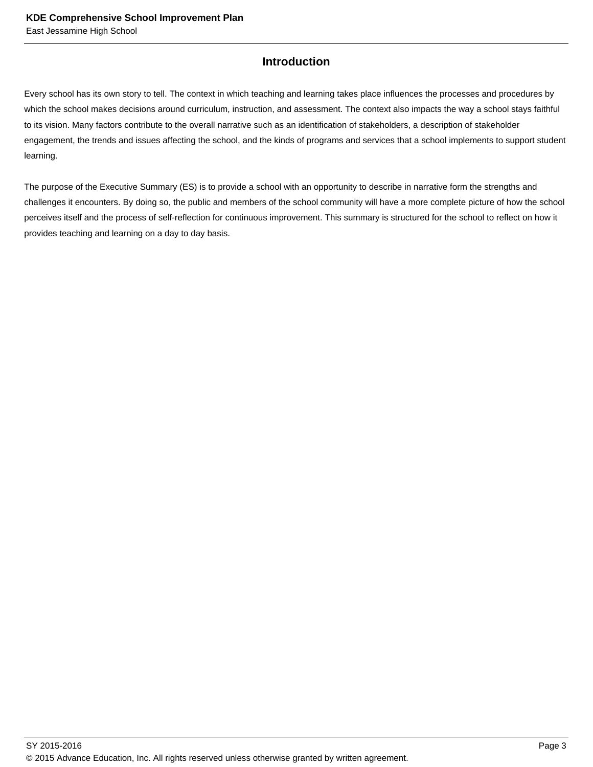#### **Introduction**

Every school has its own story to tell. The context in which teaching and learning takes place influences the processes and procedures by which the school makes decisions around curriculum, instruction, and assessment. The context also impacts the way a school stays faithful to its vision. Many factors contribute to the overall narrative such as an identification of stakeholders, a description of stakeholder engagement, the trends and issues affecting the school, and the kinds of programs and services that a school implements to support student learning.

The purpose of the Executive Summary (ES) is to provide a school with an opportunity to describe in narrative form the strengths and challenges it encounters. By doing so, the public and members of the school community will have a more complete picture of how the school perceives itself and the process of self-reflection for continuous improvement. This summary is structured for the school to reflect on how it provides teaching and learning on a day to day basis.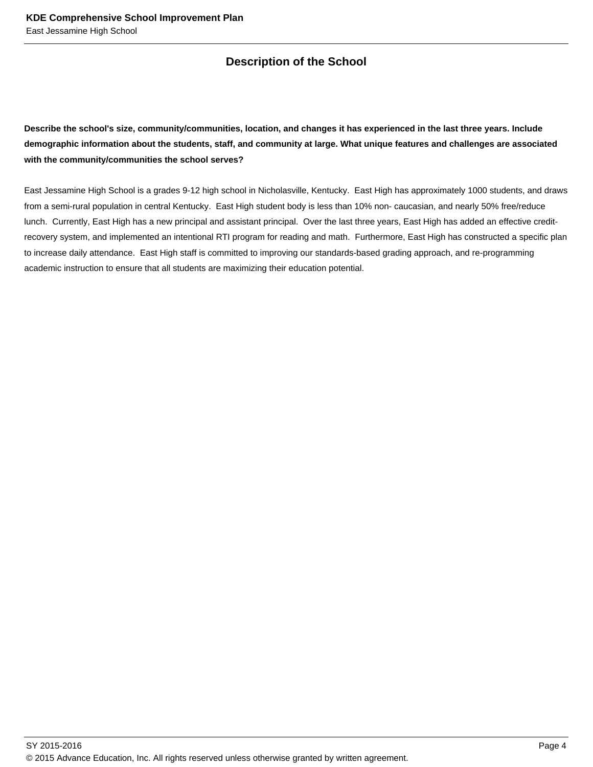### **Description of the School**

**Describe the school's size, community/communities, location, and changes it has experienced in the last three years. Include demographic information about the students, staff, and community at large. What unique features and challenges are associated with the community/communities the school serves?**

East Jessamine High School is a grades 9-12 high school in Nicholasville, Kentucky. East High has approximately 1000 students, and draws from a semi-rural population in central Kentucky. East High student body is less than 10% non- caucasian, and nearly 50% free/reduce lunch. Currently, East High has a new principal and assistant principal. Over the last three years, East High has added an effective creditrecovery system, and implemented an intentional RTI program for reading and math. Furthermore, East High has constructed a specific plan to increase daily attendance. East High staff is committed to improving our standards-based grading approach, and re-programming academic instruction to ensure that all students are maximizing their education potential.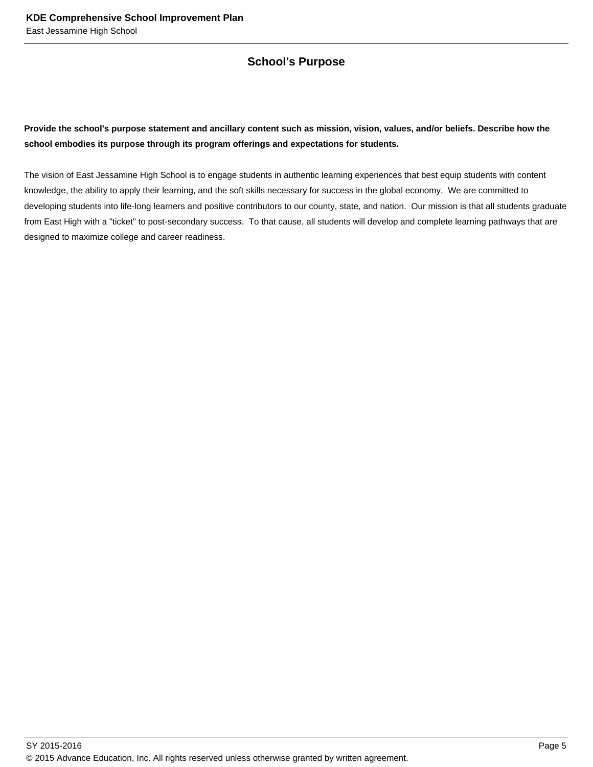#### **School's Purpose**

#### **Provide the school's purpose statement and ancillary content such as mission, vision, values, and/or beliefs. Describe how the school embodies its purpose through its program offerings and expectations for students.**

The vision of East Jessamine High School is to engage students in authentic learning experiences that best equip students with content knowledge, the ability to apply their learning, and the soft skills necessary for success in the global economy. We are committed to developing students into life-long learners and positive contributors to our county, state, and nation. Our mission is that all students graduate from East High with a "ticket" to post-secondary success. To that cause, all students will develop and complete learning pathways that are designed to maximize college and career readiness.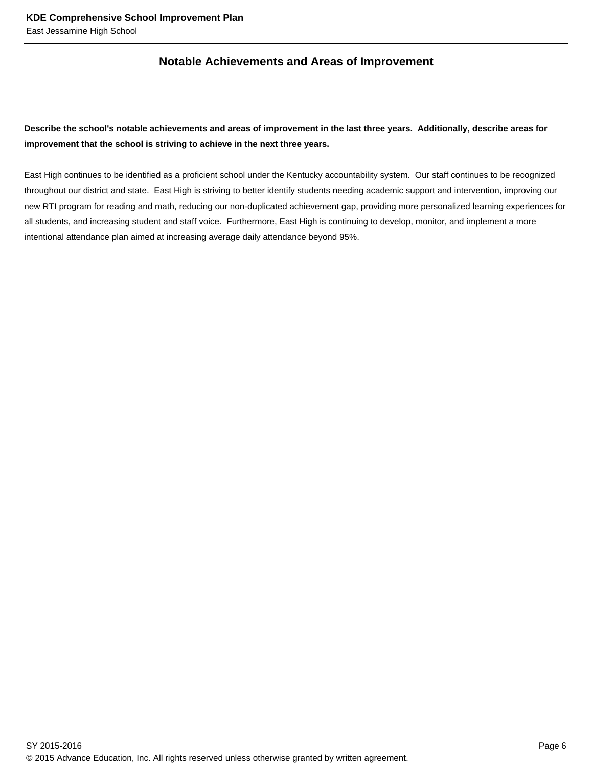#### **Notable Achievements and Areas of Improvement**

#### **Describe the school's notable achievements and areas of improvement in the last three years. Additionally, describe areas for improvement that the school is striving to achieve in the next three years.**

East High continues to be identified as a proficient school under the Kentucky accountability system. Our staff continues to be recognized throughout our district and state. East High is striving to better identify students needing academic support and intervention, improving our new RTI program for reading and math, reducing our non-duplicated achievement gap, providing more personalized learning experiences for all students, and increasing student and staff voice. Furthermore, East High is continuing to develop, monitor, and implement a more intentional attendance plan aimed at increasing average daily attendance beyond 95%.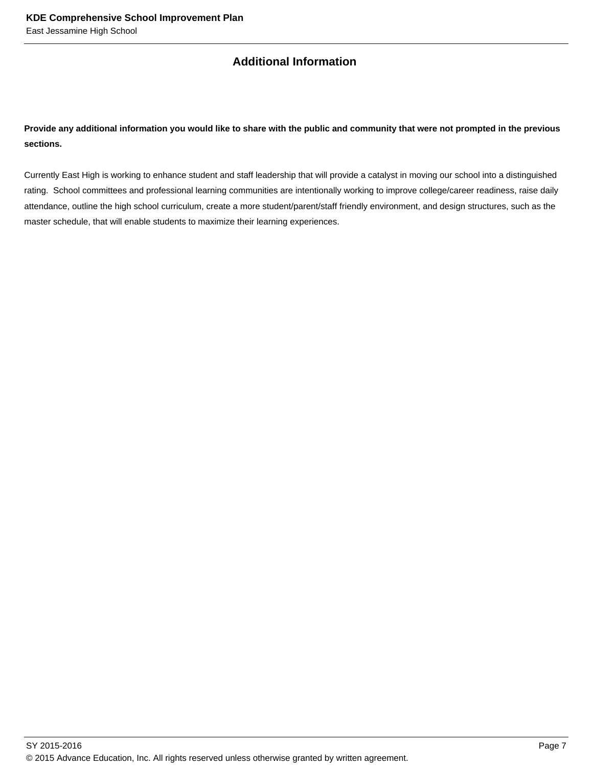### **Additional Information**

**Provide any additional information you would like to share with the public and community that were not prompted in the previous sections.**

Currently East High is working to enhance student and staff leadership that will provide a catalyst in moving our school into a distinguished rating. School committees and professional learning communities are intentionally working to improve college/career readiness, raise daily attendance, outline the high school curriculum, create a more student/parent/staff friendly environment, and design structures, such as the master schedule, that will enable students to maximize their learning experiences.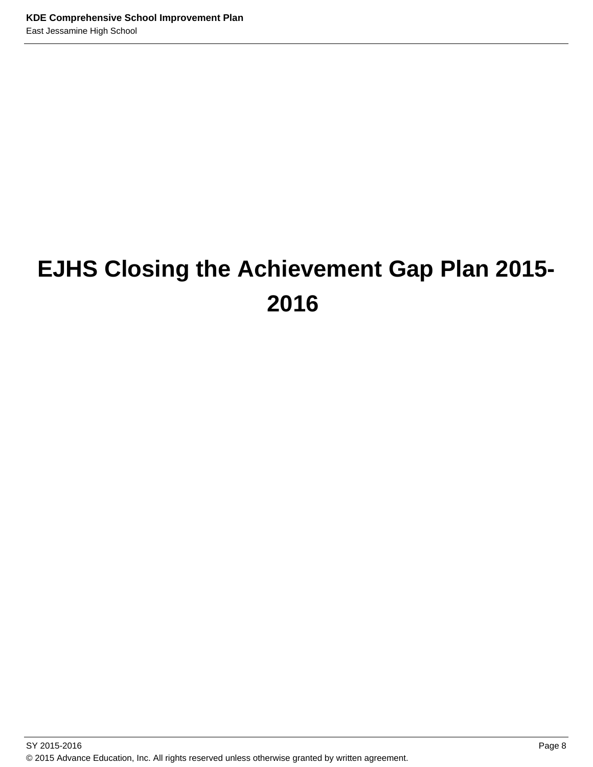# **EJHS Closing the Achievement Gap Plan 2015- 2016**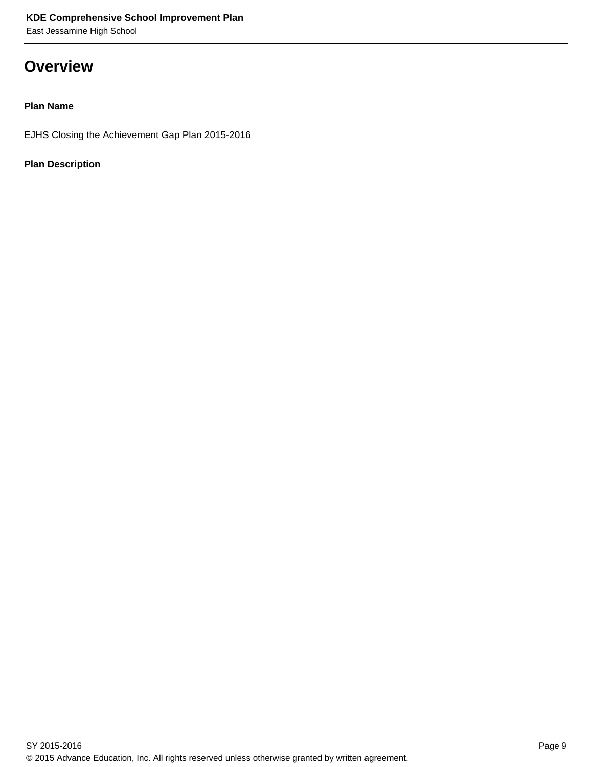East Jessamine High School

### **Overview**

#### **Plan Name**

EJHS Closing the Achievement Gap Plan 2015-2016

#### **Plan Description**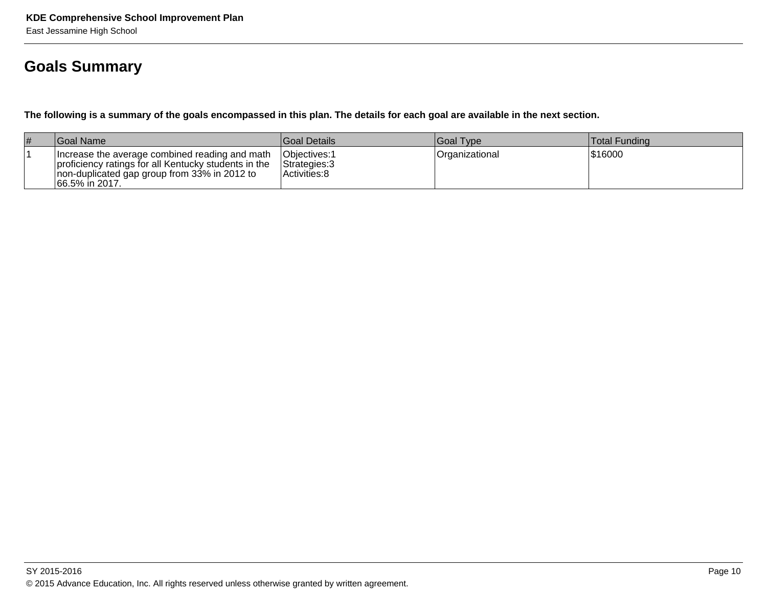### **Goals Summary**

**The following is a summary of the goals encompassed in this plan. The details for each goal are available in the next section.**

| <b>#</b> | Goal Name                                                                                                                                                                | <b>Goal Details</b>                                    | Goal Type      | <b>Total Funding</b> |
|----------|--------------------------------------------------------------------------------------------------------------------------------------------------------------------------|--------------------------------------------------------|----------------|----------------------|
|          | Increase the average combined reading and math<br>proficiency ratings for all Kentucky students in the<br>non-duplicated gap group from 33% in 2012 to<br>66.5% in 2017. | <b>Objectives: 1</b><br>Strategies: 3<br>Activities: 8 | Organizational | \$16000              |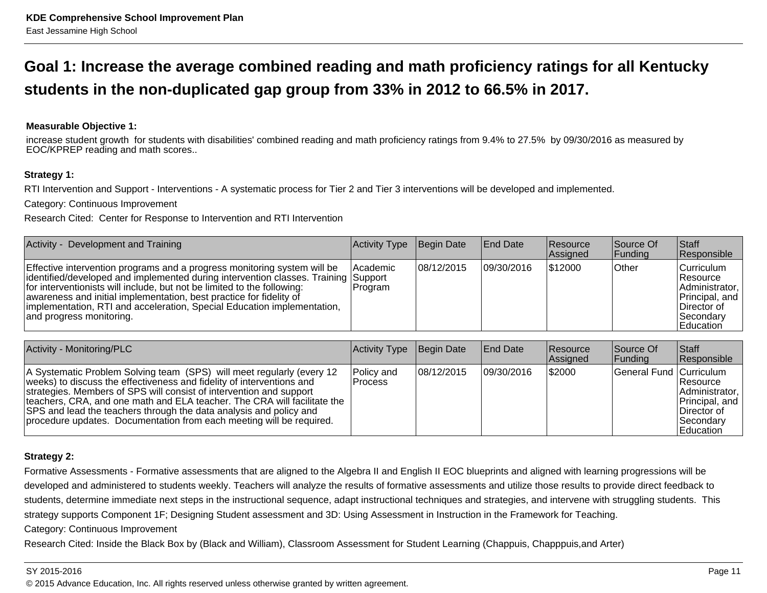### **Goal 1: Increase the average combined reading and math proficiency ratings for all Kentuckystudents in the non-duplicated gap group from 33% in 2012 to 66.5% in 2017.**

#### **Measurable Objective 1:**

increase student growth for students with disabilities' combined reading and math proficiency ratings from 9.4% to 27.5% by 09/30/2016 as measured byEOC/KPREP reading and math scores..

#### **Strategy 1:**

RTI Intervention and Support - Interventions - A systematic process for Tier 2 and Tier 3 interventions will be developed and implemented.

Category: Continuous Improvement

Research Cited: Center for Response to Intervention and RTI Intervention

| Activity - Development and Training                                                                                                                                                                                                                                                                                                                                                                                     | Activity Type              | Begin Date  | <b>End Date</b> | <b>Resource</b><br>Assigned | Source Of<br> Funding | <b>Staff</b><br>Responsible                                                                                      |
|-------------------------------------------------------------------------------------------------------------------------------------------------------------------------------------------------------------------------------------------------------------------------------------------------------------------------------------------------------------------------------------------------------------------------|----------------------------|-------------|-----------------|-----------------------------|-----------------------|------------------------------------------------------------------------------------------------------------------|
| Effective intervention programs and a progress monitoring system will be<br>identified/developed and implemented during intervention classes. Training Support<br>for interventionists will include, but not be limited to the following:<br>awareness and initial implementation, best practice for fidelity of<br>implementation, RTI and acceleration, Special Education implementation,<br>and progress monitoring. | <b>Academic</b><br>Program | 108/12/2015 | 09/30/2016      | \$12000                     | Other                 | Curriculum<br>∣Resource<br>Administrator,  <br>Principal, and<br>∣Director of<br>l Secondarv<br><b>Education</b> |

| Activity - Monitoring/PLC                                                                                                                                                                                                                                                                                                                                                                                                                       | Activity Type           | Begin Date | <b>End Date</b> | <b>Resource</b><br><b>Assigned</b> | Source Of<br><b>IFundina</b> | Staff<br><b>Responsible</b>                                                                            |
|-------------------------------------------------------------------------------------------------------------------------------------------------------------------------------------------------------------------------------------------------------------------------------------------------------------------------------------------------------------------------------------------------------------------------------------------------|-------------------------|------------|-----------------|------------------------------------|------------------------------|--------------------------------------------------------------------------------------------------------|
| A Systematic Problem Solving team (SPS) will meet regularly (every 12<br>weeks) to discuss the effectiveness and fidelity of interventions and<br>strategies. Members of SPS will consist of intervention and support<br>teachers, CRA, and one math and ELA teacher. The CRA will facilitate the<br>SPS and lead the teachers through the data analysis and policy and<br>procedure updates. Documentation from each meeting will be required. | Policy and<br>l Process | 08/12/2015 | 109/30/2016     | \$2000                             | General Fund Curriculum      | Resource<br>Administrator,  <br>Principal, and<br>∣Director of<br><b>Secondarv</b><br><b>Education</b> |

#### **Strategy 2:**

Formative Assessments - Formative assessments that are aligned to the Algebra II and English II EOC blueprints and aligned with learning progressions will be developed and administered to students weekly. Teachers will analyze the results of formative assessments and utilize those results to provide direct feedback tostudents, determine immediate next steps in the instructional sequence, adapt instructional techniques and strategies, and intervene with struggling students. Thisstrategy supports Component 1F; Designing Student assessment and 3D: Using Assessment in Instruction in the Framework for Teaching.

Category: Continuous Improvement

Research Cited: Inside the Black Box by (Black and William), Classroom Assessment for Student Learning (Chappuis, Chapppuis,and Arter)

#### SY 2015-2016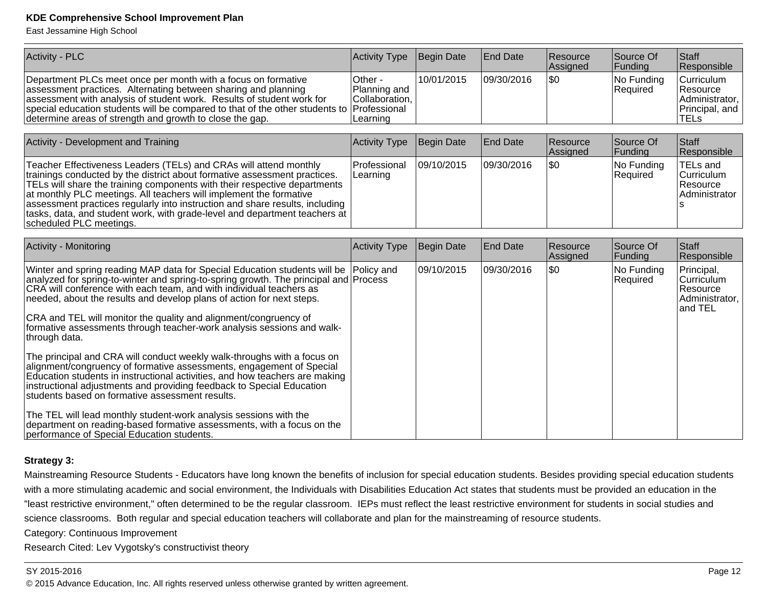East Jessamine High School

| <b>Activity - PLC</b>                                                                                                                                                                                                                                                                                                                                                                                                                                                                                                                                       | Activity Type                                                         | Begin Date        | <b>End Date</b> | Resource<br>Assigned | Source Of<br>Funding   | <b>Staff</b><br>Responsible                                               |
|-------------------------------------------------------------------------------------------------------------------------------------------------------------------------------------------------------------------------------------------------------------------------------------------------------------------------------------------------------------------------------------------------------------------------------------------------------------------------------------------------------------------------------------------------------------|-----------------------------------------------------------------------|-------------------|-----------------|----------------------|------------------------|---------------------------------------------------------------------------|
| Department PLCs meet once per month with a focus on formative<br>assessment practices. Alternating between sharing and planning<br>assessment with analysis of student work. Results of student work for<br>special education students will be compared to that of the other students to<br>determine areas of strength and growth to close the gap.                                                                                                                                                                                                        | Other -<br>Planning and<br>Collaboration,<br>Professional<br>Learning | 10/01/2015        | 09/30/2016      | l\$0                 | No Funding<br>Required | Curriculum<br>Resource<br>Administrator,<br>Principal, and<br><b>TELs</b> |
|                                                                                                                                                                                                                                                                                                                                                                                                                                                                                                                                                             |                                                                       |                   |                 |                      |                        |                                                                           |
| Activity - Development and Training                                                                                                                                                                                                                                                                                                                                                                                                                                                                                                                         | Activity Type                                                         | Begin Date        | <b>End Date</b> | Resource<br>Assigned | Source Of<br>Funding   | <b>Staff</b><br>Responsible                                               |
| Teacher Effectiveness Leaders (TELs) and CRAs will attend monthly<br>trainings conducted by the district about formative assessment practices.<br>TELs will share the training components with their respective departments<br>at monthly PLC meetings. All teachers will implement the formative<br>assessment practices regularly into instruction and share results, including<br>tasks, data, and student work, with grade-level and department teachers at<br>scheduled PLC meetings.                                                                  | Professional<br>Learning                                              | 09/10/2015        | 09/30/2016      | l\$0                 | No Funding<br>Required | <b>TELs and</b><br>Curriculum<br>Resource<br>Administrator                |
|                                                                                                                                                                                                                                                                                                                                                                                                                                                                                                                                                             |                                                                       |                   |                 |                      |                        |                                                                           |
| Activity - Monitoring                                                                                                                                                                                                                                                                                                                                                                                                                                                                                                                                       | Activity Type                                                         | <b>Begin Date</b> | <b>End Date</b> | Resource<br>Assigned | Source Of<br>Funding   | <b>Staff</b><br>Responsible                                               |
| Winter and spring reading MAP data for Special Education students will be<br>analyzed for spring-to-winter and spring-to-spring growth. The principal and Process<br>CRA will conference with each team, and with individual teachers as<br>needed, about the results and develop plans of action for next steps.<br>CRA and TEL will monitor the quality and alignment/congruency of<br>formative assessments through teacher-work analysis sessions and walk-<br>through data.<br>The principal and CRA will conduct weekly walk-throughs with a focus on | Policy and                                                            | 09/10/2015        | 09/30/2016      | l\$0                 | No Funding<br>Required | Principal,<br>Curriculum<br>Resource<br>Administrator,<br>and TEL         |
| alignment/congruency of formative assessments, engagement of Special<br>Education students in instructional activities, and how teachers are making<br>instructional adjustments and providing feedback to Special Education<br>students based on formative assessment results.                                                                                                                                                                                                                                                                             |                                                                       |                   |                 |                      |                        |                                                                           |
| The TEL will lead monthly student-work analysis sessions with the<br>department on reading-based formative assessments, with a focus on the<br>performance of Special Education students.                                                                                                                                                                                                                                                                                                                                                                   |                                                                       |                   |                 |                      |                        |                                                                           |

#### **Strategy 3:**

Mainstreaming Resource Students - Educators have long known the benefits of inclusion for special education students. Besides providing special education studentswith a more stimulating academic and social environment, the Individuals with Disabilities Education Act states that students must be provided an education in the "least restrictive environment," often determined to be the regular classroom. IEPs must reflect the least restrictive environment for students in social studies andscience classrooms. Both regular and special education teachers will collaborate and plan for the mainstreaming of resource students.

Category: Continuous Improvement

Research Cited: Lev Vygotsky's constructivist theory

#### SY 2015-2016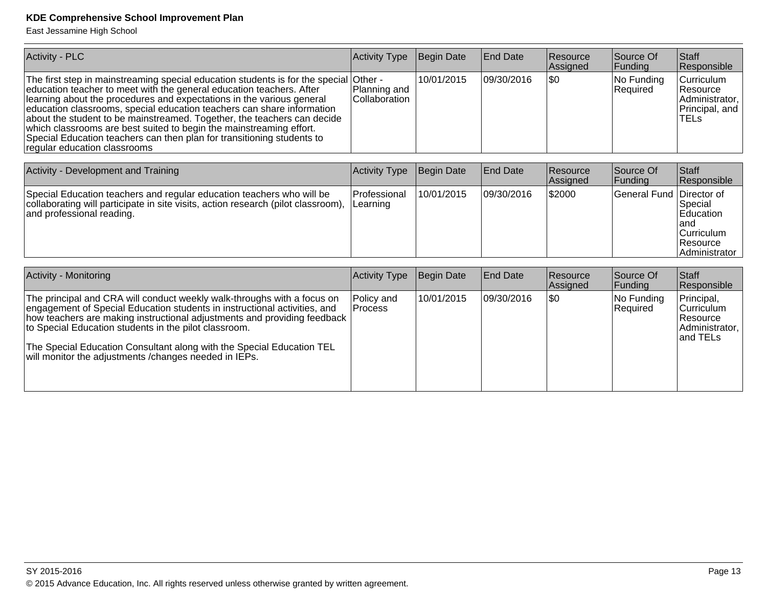East Jessamine High School

| <b>Activity - PLC</b>                                                                                                                                                                                                                                                                                                                                                                                                                                                                                                                                                | Activity Type                             | Begin Date | <b>End Date</b> | Resource<br>Assigned | Source Of<br>Funding   | Staff<br>Responsible                                                                          |
|----------------------------------------------------------------------------------------------------------------------------------------------------------------------------------------------------------------------------------------------------------------------------------------------------------------------------------------------------------------------------------------------------------------------------------------------------------------------------------------------------------------------------------------------------------------------|-------------------------------------------|------------|-----------------|----------------------|------------------------|-----------------------------------------------------------------------------------------------|
| The first step in mainstreaming special education students is for the special<br>education teacher to meet with the general education teachers. After<br>learning about the procedures and expectations in the various general<br>education classrooms, special education teachers can share information<br>about the student to be mainstreamed. Together, the teachers can decide<br>which classrooms are best suited to begin the mainstreaming effort.<br>Special Education teachers can then plan for transitioning students to<br>regular education classrooms | lOther -<br>Planning and<br>Collaboration | 10/01/2015 | 09/30/2016      | \$0                  | No Funding<br>Required | Curriculum<br>Resource<br>Administrator,<br>Principal, and<br><b>TELs</b>                     |
| Activity - Development and Training                                                                                                                                                                                                                                                                                                                                                                                                                                                                                                                                  | Activity Type                             | Begin Date | <b>End Date</b> | Resource<br>Assigned | Source Of<br>Funding   | Staff<br>Responsible                                                                          |
| Special Education teachers and regular education teachers who will be<br>collaborating will participate in site visits, action research (pilot classroom),<br>and professional reading.                                                                                                                                                                                                                                                                                                                                                                              | Professional<br>Learning                  | 10/01/2015 | 09/30/2016      | \$2000               | <b>General Fund</b>    | Director of<br>Special<br><b>Education</b><br>land<br>Curriculum<br>Resource<br>Administrator |
| <b>Activity - Monitoring</b>                                                                                                                                                                                                                                                                                                                                                                                                                                                                                                                                         | Activity Type                             | Begin Date | <b>End Date</b> | Resource<br>Assigned | Source Of<br>Funding   | <b>Staff</b><br>Responsible                                                                   |
| The principal and CRA will conduct weekly walk-throughs with a focus on<br>engagement of Special Education students in instructional activities, and<br>how teachers are making instructional adjustments and providing feedback<br>to Special Education students in the pilot classroom.<br>The Special Education Consultant along with the Special Education TEL<br>will monitor the adjustments / changes needed in IEPs.                                                                                                                                         | Policy and<br>Process                     | 10/01/2015 | 09/30/2016      | \$0                  | No Funding<br>Required | Principal,<br>Curriculum<br>Resource<br>Administrator,<br>and TELs                            |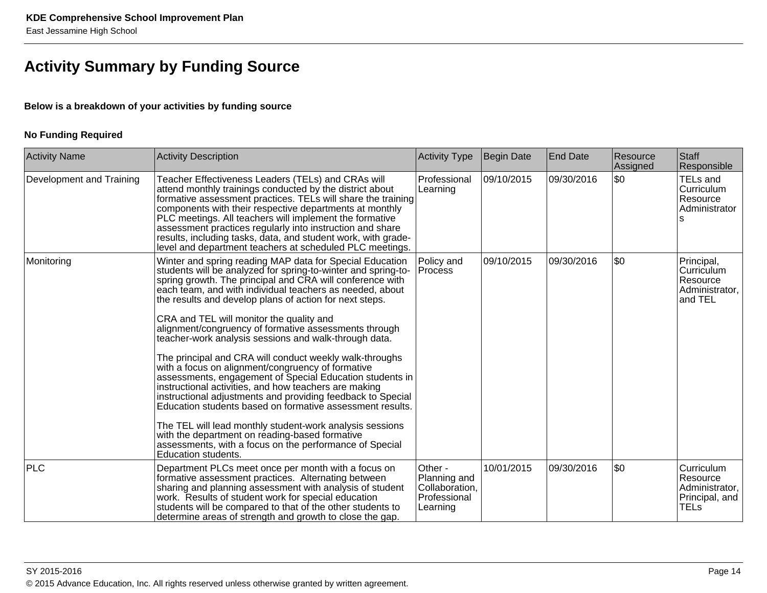### **Activity Summary by Funding Source**

#### **Below is a breakdown of your activities by funding source**

#### **No Funding Required**

| <b>Activity Name</b>     | <b>Activity Description</b>                                                                                                                                                                                                                                                                                                                                                                                                                                                                                                                                                                                                                                                                                                                                                                                                                                                                                                                                                                                                                  | <b>Activity Type</b>                                                  | Begin Date | <b>End Date</b> | Resource<br>Assigned | <b>Staff</b><br>Responsible                                               |
|--------------------------|----------------------------------------------------------------------------------------------------------------------------------------------------------------------------------------------------------------------------------------------------------------------------------------------------------------------------------------------------------------------------------------------------------------------------------------------------------------------------------------------------------------------------------------------------------------------------------------------------------------------------------------------------------------------------------------------------------------------------------------------------------------------------------------------------------------------------------------------------------------------------------------------------------------------------------------------------------------------------------------------------------------------------------------------|-----------------------------------------------------------------------|------------|-----------------|----------------------|---------------------------------------------------------------------------|
| Development and Training | Teacher Effectiveness Leaders (TELs) and CRAs will<br>attend monthly trainings conducted by the district about<br>formative assessment practices. TELs will share the training<br>components with their respective departments at monthly<br>PLC meetings. All teachers will implement the formative<br>assessment practices regularly into instruction and share<br>results, including tasks, data, and student work, with grade-<br>level and department teachers at scheduled PLC meetings.                                                                                                                                                                                                                                                                                                                                                                                                                                                                                                                                               | Professional<br>Learning                                              | 09/10/2015 | 09/30/2016      | \$0                  | TELs and<br>Curriculum<br>Resource<br>Administrator                       |
| Monitoring               | Winter and spring reading MAP data for Special Education<br>students will be analyzed for spring-to-winter and spring-to-<br>spring growth. The principal and CRA will conference with<br>each team, and with individual teachers as needed, about<br>the results and develop plans of action for next steps.<br>CRA and TEL will monitor the quality and<br>alignment/congruency of formative assessments through<br>teacher-work analysis sessions and walk-through data.<br>The principal and CRA will conduct weekly walk-throughs<br>with a focus on alignment/congruency of formative<br>assessments, engagement of Special Education students in<br>instructional activities, and how teachers are making<br>instructional adjustments and providing feedback to Special<br>Education students based on formative assessment results.<br>The TEL will lead monthly student-work analysis sessions<br>with the department on reading-based formative<br>assessments, with a focus on the performance of Special<br>Education students. | Policy and<br>Process                                                 | 09/10/2015 | 09/30/2016      | \$0                  | Principal,<br>Curriculum<br>Resource<br>Administrator,<br>and TEL         |
| <b>PLC</b>               | Department PLCs meet once per month with a focus on<br>formative assessment practices. Alternating between<br>sharing and planning assessment with analysis of student<br>work. Results of student work for special education<br>students will be compared to that of the other students to<br>determine areas of strength and growth to close the gap.                                                                                                                                                                                                                                                                                                                                                                                                                                                                                                                                                                                                                                                                                      | Other -<br>Planning and<br>Collaboration,<br>Professional<br>Learning | 10/01/2015 | 09/30/2016      | \$0                  | Curriculum<br>Resource<br>Administrator,<br>Principal, and<br><b>TELs</b> |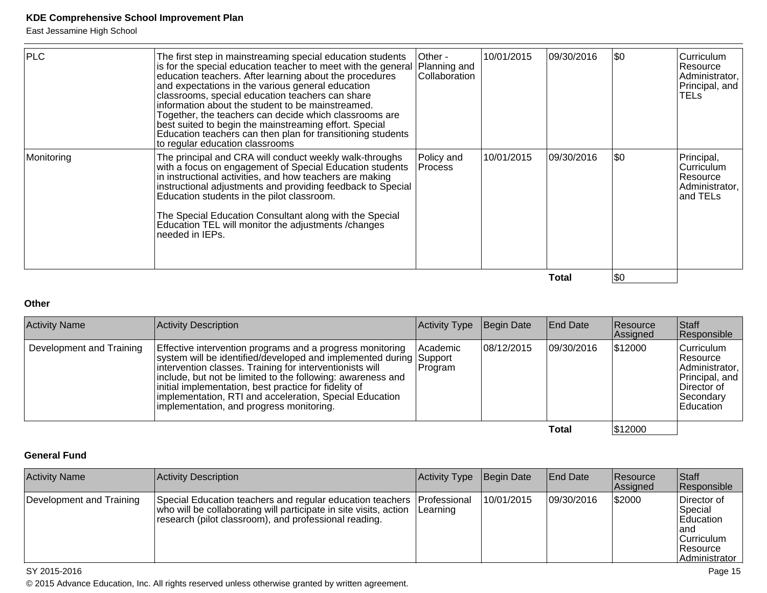East Jessamine High School

| <b>PLC</b> | The first step in mainstreaming special education students<br>is for the special education teacher to meet with the general<br>education teachers. After learning about the procedures<br>and expectations in the various general education<br>classrooms, special education teachers can share<br>information about the student to be mainstreamed.<br>Together, the teachers can decide which classrooms are<br>best suited to begin the mainstreaming effort. Special<br>Education teachers can then plan for transitioning students<br>to regular education classrooms | Other -<br>Planning and<br>Collaboration | 10/01/2015 | 09/30/2016  | \$0 | Curriculum<br>l Resource<br>Administrator,<br>Principal, and<br>TELs |
|------------|----------------------------------------------------------------------------------------------------------------------------------------------------------------------------------------------------------------------------------------------------------------------------------------------------------------------------------------------------------------------------------------------------------------------------------------------------------------------------------------------------------------------------------------------------------------------------|------------------------------------------|------------|-------------|-----|----------------------------------------------------------------------|
| Monitoring | The principal and CRA will conduct weekly walk-throughs<br>with a focus on engagement of Special Education students<br>in instructional activities, and how teachers are making<br>instructional adjustments and providing feedback to Special<br>Education students in the pilot classroom.<br>The Special Education Consultant along with the Special<br>Education TEL will monitor the adjustments / changes<br>needed in IEPs.                                                                                                                                         | Policy and<br><b>Process</b>             | 10/01/2015 | 109/30/2016 | \$0 | Principal,<br>Curriculum<br>Resource<br>Administrator,<br>and TELs   |
|            |                                                                                                                                                                                                                                                                                                                                                                                                                                                                                                                                                                            |                                          |            | Total       | \$0 |                                                                      |

**Other**

| <b>Activity Name</b>     | Activity Description                                                                                                                                                                                                                                                                                                                                                                                                       | Activity Type       | Begin Date | <b>End Date</b> | Resource<br>Assigned | <b>Staff</b><br>Responsible                                                                            |
|--------------------------|----------------------------------------------------------------------------------------------------------------------------------------------------------------------------------------------------------------------------------------------------------------------------------------------------------------------------------------------------------------------------------------------------------------------------|---------------------|------------|-----------------|----------------------|--------------------------------------------------------------------------------------------------------|
| Development and Training | Effective intervention programs and a progress monitoring<br>system will be identified/developed and implemented during Support<br>intervention classes. Training for interventionists will<br>include, but not be limited to the following: awareness and<br>initial implementation, best practice for fidelity of<br>implementation, RTI and acceleration, Special Education<br>implementation, and progress monitoring. | Academic<br>Program | 08/12/2015 | 109/30/2016     | \$12000              | Curriculum<br>∣Resource<br>Administrator,<br>Principal, and<br>∣Director of<br> Secondary<br>Education |
|                          |                                                                                                                                                                                                                                                                                                                                                                                                                            |                     |            | Total           | \$12000              |                                                                                                        |

#### **General Fund**

| <b>Activity Name</b>     | Activity Description                                                                                                                                                                                          | <b>Activity Type</b> | Begin Date | <b>End Date</b> | <b>Resource</b><br>Assigned | <b>Staff</b><br>Responsible                                                              |
|--------------------------|---------------------------------------------------------------------------------------------------------------------------------------------------------------------------------------------------------------|----------------------|------------|-----------------|-----------------------------|------------------------------------------------------------------------------------------|
| Development and Training | Special Education teachers and regular education teachers Professional<br>who will be collaborating will participate in site visits, action Learning<br>research (pilot classroom), and professional reading. |                      | 10/01/2015 | 09/30/2016      | \$2000                      | Director of<br>Special<br>Education<br>land<br> Curriculum<br>∣Resource<br>Administrator |

#### SY 2015-2016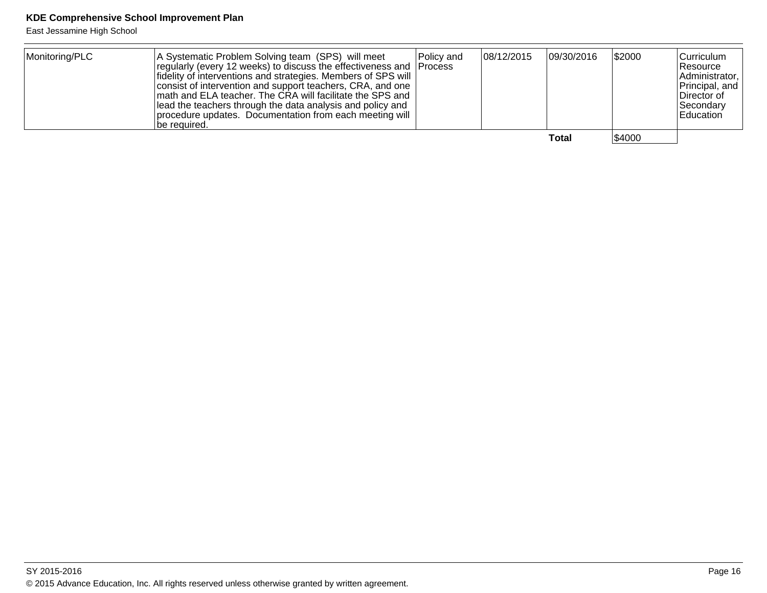East Jessamine High School

| Monitoring/PLC | A Systematic Problem Solving team (SPS) will meet<br>regularly (every 12 weeks) to discuss the effectiveness and Process<br>fidelity of interventions and strategies. Members of SPS will<br>consist of intervention and support teachers, CRA, and one<br>math and ELA teacher. The CRA will facilitate the SPS and<br>lead the teachers through the data analysis and policy and<br>procedure updates. Documentation from each meeting will<br>lbe reauired. | Policy and | 08/12/2015 | 09/30/2016 | \$2000 | Curriculum<br><b>Resource</b><br>Administrator,<br>Principal, and<br>Director of<br><b>Secondarv</b><br><b>Education</b> |
|----------------|----------------------------------------------------------------------------------------------------------------------------------------------------------------------------------------------------------------------------------------------------------------------------------------------------------------------------------------------------------------------------------------------------------------------------------------------------------------|------------|------------|------------|--------|--------------------------------------------------------------------------------------------------------------------------|
|                |                                                                                                                                                                                                                                                                                                                                                                                                                                                                |            |            | Total      | \$4000 |                                                                                                                          |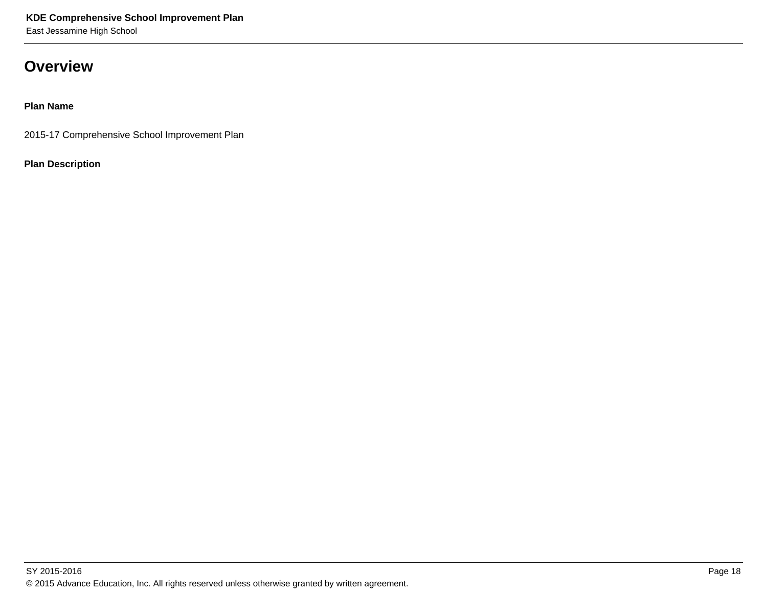### **Overview**

**Plan Name**

2015-17 Comprehensive School Improvement Plan

**Plan Description**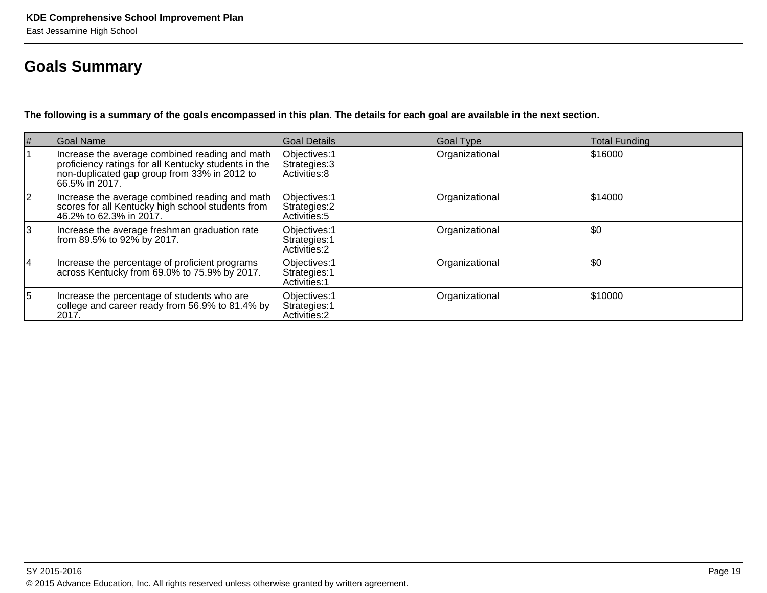### **Goals Summary**

**The following is a summary of the goals encompassed in this plan. The details for each goal are available in the next section.**

| $\vert \#$     | Goal Name                                                                                                                                                                | Goal Details                                    | Goal Type      | <b>Total Funding</b> |
|----------------|--------------------------------------------------------------------------------------------------------------------------------------------------------------------------|-------------------------------------------------|----------------|----------------------|
|                | Increase the average combined reading and math<br>proficiency ratings for all Kentucky students in the<br>non-duplicated gap group from 33% in 2012 to<br>66.5% in 2017. | Objectives: 1<br>Strategies: 3<br>Activities: 8 | Organizational | \$16000              |
| $\overline{2}$ | Increase the average combined reading and math<br>scores for all Kentucky high school students from<br>46.2% to 62.3% in 2017.                                           | Objectives: 1<br>Strategies: 2<br>Activities: 5 | Organizational | \$14000              |
| 3              | Increase the average freshman graduation rate<br>from 89.5% to 92% by 2017.                                                                                              | Objectives: 1<br>Strategies: 1<br>Activities: 2 | Organizational | \$0                  |
| $\overline{4}$ | Increase the percentage of proficient programs<br>across Kentucky from 69.0% to 75.9% by 2017.                                                                           | Objectives: 1<br>Strategies: 1<br>Activities: 1 | Organizational | \$0                  |
| 5              | Increase the percentage of students who are<br>college and career ready from 56.9% to 81.4% by<br>2017.                                                                  | Objectives: 1<br>Strategies: 1<br>Activities: 2 | Organizational | \$10000              |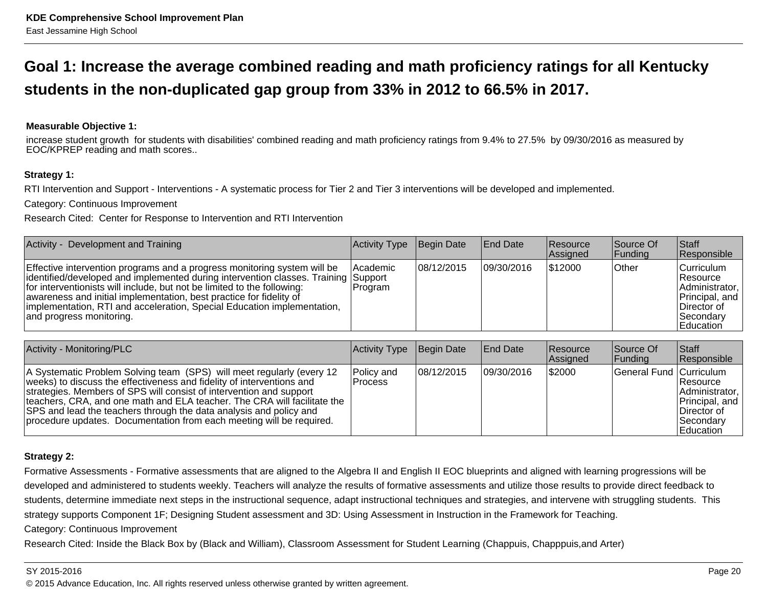### **Goal 1: Increase the average combined reading and math proficiency ratings for all Kentuckystudents in the non-duplicated gap group from 33% in 2012 to 66.5% in 2017.**

#### **Measurable Objective 1:**

increase student growth for students with disabilities' combined reading and math proficiency ratings from 9.4% to 27.5% by 09/30/2016 as measured byEOC/KPREP reading and math scores..

#### **Strategy 1:**

RTI Intervention and Support - Interventions - A systematic process for Tier 2 and Tier 3 interventions will be developed and implemented.

Category: Continuous Improvement

Research Cited: Center for Response to Intervention and RTI Intervention

| Activity - Development and Training                                                                                                                                                                                                                                                                                                                                                                                     | Activity Type              | Begin Date  | <b>IEnd Date</b> | <b>Resource</b><br>Assigned | Source Of<br> Funding | <b>Staff</b><br>Responsible                                                                            |
|-------------------------------------------------------------------------------------------------------------------------------------------------------------------------------------------------------------------------------------------------------------------------------------------------------------------------------------------------------------------------------------------------------------------------|----------------------------|-------------|------------------|-----------------------------|-----------------------|--------------------------------------------------------------------------------------------------------|
| Effective intervention programs and a progress monitoring system will be<br>identified/developed and implemented during intervention classes. Training Support<br>for interventionists will include, but not be limited to the following:<br>awareness and initial implementation, best practice for fidelity of<br>implementation, RTI and acceleration, Special Education implementation,<br>and progress monitoring. | <b>Academic</b><br>Program | 108/12/2015 | 09/30/2016       | \$12000                     | <b>Other</b>          | Curriculum<br> Resource <br>Administrator,<br>Principal, and<br>Director of<br>Secondary<br>lEducation |

| Activity - Monitoring/PLC                                                                                                                                                                                                                                                                                                                                                                                                                       | Activity Type                | Begin Date | <b>End Date</b> | Resource<br>Assigned | Source Of<br> Funding   | <b>Staff</b><br>Responsible                                                                         |
|-------------------------------------------------------------------------------------------------------------------------------------------------------------------------------------------------------------------------------------------------------------------------------------------------------------------------------------------------------------------------------------------------------------------------------------------------|------------------------------|------------|-----------------|----------------------|-------------------------|-----------------------------------------------------------------------------------------------------|
| A Systematic Problem Solving team (SPS) will meet regularly (every 12<br>weeks) to discuss the effectiveness and fidelity of interventions and<br>strategies. Members of SPS will consist of intervention and support<br>teachers, CRA, and one math and ELA teacher. The CRA will facilitate the<br>SPS and lead the teachers through the data analysis and policy and<br>procedure updates. Documentation from each meeting will be required. | Policy and<br><b>Process</b> | 08/12/2015 | 109/30/2016     | \$2000               | General Fund Curriculum | <b>Resource</b><br>Administrator,<br>Principal, and<br>Director of<br><b>Secondary</b><br>Education |

#### **Strategy 2:**

Formative Assessments - Formative assessments that are aligned to the Algebra II and English II EOC blueprints and aligned with learning progressions will be developed and administered to students weekly. Teachers will analyze the results of formative assessments and utilize those results to provide direct feedback tostudents, determine immediate next steps in the instructional sequence, adapt instructional techniques and strategies, and intervene with struggling students. Thisstrategy supports Component 1F; Designing Student assessment and 3D: Using Assessment in Instruction in the Framework for Teaching.

Category: Continuous Improvement

Research Cited: Inside the Black Box by (Black and William), Classroom Assessment for Student Learning (Chappuis, Chapppuis,and Arter)

#### SY 2015-2016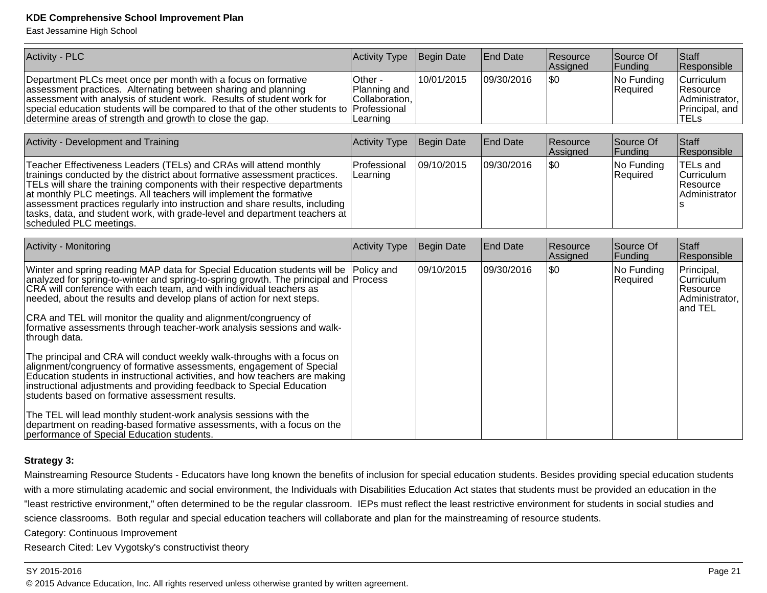East Jessamine High School

| <b>Activity - PLC</b>                                                                                                                                                                                                                                                                                                                                                                                                                                                                                                                                       | Activity Type                                                         | Begin Date        | <b>End Date</b> | Resource<br>Assigned | Source Of<br>Funding   | <b>Staff</b><br>Responsible                                               |
|-------------------------------------------------------------------------------------------------------------------------------------------------------------------------------------------------------------------------------------------------------------------------------------------------------------------------------------------------------------------------------------------------------------------------------------------------------------------------------------------------------------------------------------------------------------|-----------------------------------------------------------------------|-------------------|-----------------|----------------------|------------------------|---------------------------------------------------------------------------|
| Department PLCs meet once per month with a focus on formative<br>assessment practices. Alternating between sharing and planning<br>assessment with analysis of student work. Results of student work for<br>special education students will be compared to that of the other students to<br>determine areas of strength and growth to close the gap.                                                                                                                                                                                                        | Other -<br>Planning and<br>Collaboration,<br>Professional<br>Learning | 10/01/2015        | 09/30/2016      | l\$0                 | No Funding<br>Required | Curriculum<br>Resource<br>Administrator,<br>Principal, and<br><b>TELs</b> |
|                                                                                                                                                                                                                                                                                                                                                                                                                                                                                                                                                             |                                                                       |                   |                 |                      |                        |                                                                           |
| Activity - Development and Training                                                                                                                                                                                                                                                                                                                                                                                                                                                                                                                         | Activity Type                                                         | Begin Date        | <b>End Date</b> | Resource<br>Assigned | Source Of<br>Funding   | <b>Staff</b><br>Responsible                                               |
| Teacher Effectiveness Leaders (TELs) and CRAs will attend monthly<br>trainings conducted by the district about formative assessment practices.<br>TELs will share the training components with their respective departments<br>at monthly PLC meetings. All teachers will implement the formative<br>assessment practices regularly into instruction and share results, including<br>tasks, data, and student work, with grade-level and department teachers at<br>scheduled PLC meetings.                                                                  | Professional<br>Learning                                              | 09/10/2015        | 09/30/2016      | l\$0                 | No Funding<br>Required | <b>TELs and</b><br>Curriculum<br>Resource<br>Administrator                |
|                                                                                                                                                                                                                                                                                                                                                                                                                                                                                                                                                             |                                                                       |                   |                 |                      |                        |                                                                           |
| Activity - Monitoring                                                                                                                                                                                                                                                                                                                                                                                                                                                                                                                                       | Activity Type                                                         | <b>Begin Date</b> | <b>End Date</b> | Resource<br>Assigned | Source Of<br>Funding   | <b>Staff</b><br>Responsible                                               |
| Winter and spring reading MAP data for Special Education students will be<br>analyzed for spring-to-winter and spring-to-spring growth. The principal and Process<br>CRA will conference with each team, and with individual teachers as<br>needed, about the results and develop plans of action for next steps.<br>CRA and TEL will monitor the quality and alignment/congruency of<br>formative assessments through teacher-work analysis sessions and walk-<br>through data.<br>The principal and CRA will conduct weekly walk-throughs with a focus on | Policy and                                                            | 09/10/2015        | 09/30/2016      | l\$0                 | No Funding<br>Required | Principal,<br>Curriculum<br>Resource<br>Administrator,<br>and TEL         |
| alignment/congruency of formative assessments, engagement of Special<br>Education students in instructional activities, and how teachers are making<br>instructional adjustments and providing feedback to Special Education<br>students based on formative assessment results.                                                                                                                                                                                                                                                                             |                                                                       |                   |                 |                      |                        |                                                                           |
| The TEL will lead monthly student-work analysis sessions with the<br>department on reading-based formative assessments, with a focus on the<br>performance of Special Education students.                                                                                                                                                                                                                                                                                                                                                                   |                                                                       |                   |                 |                      |                        |                                                                           |

#### **Strategy 3:**

Mainstreaming Resource Students - Educators have long known the benefits of inclusion for special education students. Besides providing special education studentswith a more stimulating academic and social environment, the Individuals with Disabilities Education Act states that students must be provided an education in the "least restrictive environment," often determined to be the regular classroom. IEPs must reflect the least restrictive environment for students in social studies andscience classrooms. Both regular and special education teachers will collaborate and plan for the mainstreaming of resource students.

Category: Continuous Improvement

Research Cited: Lev Vygotsky's constructivist theory

#### SY 2015-2016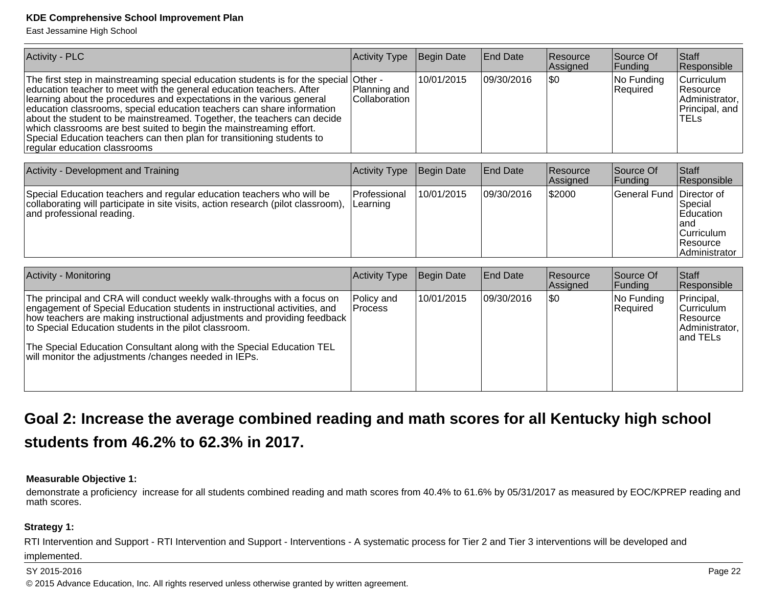East Jessamine High School

| <b>Activity - PLC</b>                                                                                                                                                                                                                                                                                                                                                                                                                                                                                                                                                | Activity Type                            | Begin Date | <b>End Date</b> | Resource<br>Assigned | Source Of<br>Funding   | Staff<br>Responsible                                                                     |
|----------------------------------------------------------------------------------------------------------------------------------------------------------------------------------------------------------------------------------------------------------------------------------------------------------------------------------------------------------------------------------------------------------------------------------------------------------------------------------------------------------------------------------------------------------------------|------------------------------------------|------------|-----------------|----------------------|------------------------|------------------------------------------------------------------------------------------|
| The first step in mainstreaming special education students is for the special<br>education teacher to meet with the general education teachers. After<br>learning about the procedures and expectations in the various general<br>education classrooms, special education teachers can share information<br>about the student to be mainstreamed. Together, the teachers can decide<br>which classrooms are best suited to begin the mainstreaming effort.<br>Special Education teachers can then plan for transitioning students to<br>regular education classrooms | Other -<br>Planning and<br>Collaboration | 10/01/2015 | 09/30/2016      | \$0                  | No Funding<br>Required | Curriculum<br>Resource<br>Administrator,<br>Principal, and<br><b>TELS</b>                |
| Activity - Development and Training                                                                                                                                                                                                                                                                                                                                                                                                                                                                                                                                  | Activity Type                            | Begin Date | <b>End Date</b> | Resource<br>Assigned | Source Of<br>Funding   | <b>Staff</b><br>Responsible                                                              |
| Special Education teachers and regular education teachers who will be<br>collaborating will participate in site visits, action research (pilot classroom),<br>and professional reading.                                                                                                                                                                                                                                                                                                                                                                              | Professional<br>Learning                 | 10/01/2015 | 09/30/2016      | \$2000               | <b>General Fund</b>    | Director of<br>Special<br>Education<br>land<br>Curriculum<br>Resource<br>l Administrator |
| <b>Activity - Monitoring</b>                                                                                                                                                                                                                                                                                                                                                                                                                                                                                                                                         | Activity Type                            | Begin Date | <b>End Date</b> | Resource<br>Assigned | Source Of<br>Funding   | Staff<br>Responsible                                                                     |
| The principal and CRA will conduct weekly walk-throughs with a focus on<br>engagement of Special Education students in instructional activities, and<br>how teachers are making instructional adjustments and providing feedback<br>to Special Education students in the pilot classroom.<br>The Special Education Consultant along with the Special Education TEL<br>will monitor the adjustments / changes needed in IEPs.                                                                                                                                         | Policy and<br>Process                    | 10/01/2015 | 09/30/2016      | l\$0                 | No Funding<br>Required | Principal,<br>Curriculum<br>Resource<br>Administrator,<br>and TELs                       |

### **Goal 2: Increase the average combined reading and math scores for all Kentucky high schoolstudents from 46.2% to 62.3% in 2017.**

#### **Measurable Objective 1:**

demonstrate a proficiency increase for all students combined reading and math scores from 40.4% to 61.6% by 05/31/2017 as measured by EOC/KPREP reading andmath scores.

#### **Strategy 1:**

RTI Intervention and Support - RTI Intervention and Support - Interventions - A systematic process for Tier 2 and Tier 3 interventions will be developed and

#### implemented.

#### SY 2015-2016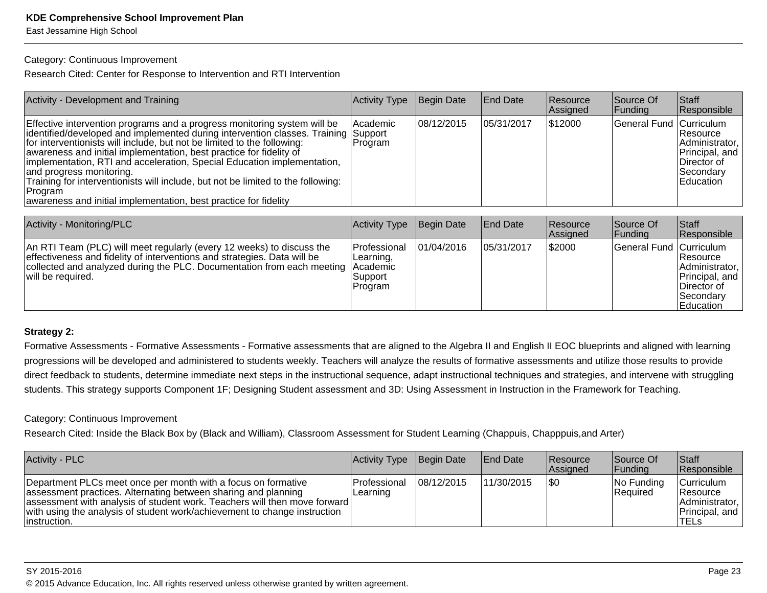East Jessamine High School

#### Category: Continuous Improvement

Research Cited: Center for Response to Intervention and RTI Intervention

| <b>Activity - Development and Training</b>                                                                                                                                                                                                                                                                                                                                                                                                                                                                                                                                                  | Activity Type         | Begin Date  | <b>End Date</b> | <b>Resource</b><br>Assigned | Source Of<br><b>Funding</b> | Staff<br>Responsible                                                                           |
|---------------------------------------------------------------------------------------------------------------------------------------------------------------------------------------------------------------------------------------------------------------------------------------------------------------------------------------------------------------------------------------------------------------------------------------------------------------------------------------------------------------------------------------------------------------------------------------------|-----------------------|-------------|-----------------|-----------------------------|-----------------------------|------------------------------------------------------------------------------------------------|
| Effective intervention programs and a progress monitoring system will be<br>identified/developed and implemented during intervention classes. Training Support<br>for interventionists will include, but not be limited to the following:<br>awareness and initial implementation, best practice for fidelity of<br>implementation, RTI and acceleration, Special Education implementation,<br>and progress monitoring.<br>Training for interventionists will include, but not be limited to the following:<br> Program<br>awareness and initial implementation, best practice for fidelity | l Academic<br>Program | 108/12/2015 | 105/31/2017     | \$12000                     | General Fund Curriculum     | <b>Resource</b><br>Administrator,<br>Principal, and<br>∣Director of<br>Secondary<br>lEducation |

| Activity - Monitoring/PLC                                                                                                                                                                                                                                 | Activity Type                                          | Begin Date | <b>End Date</b> | <b>Resource</b><br><b>Assigned</b> | Source Of<br> Funding   | <b>Staff</b><br>Responsible                                                                     |
|-----------------------------------------------------------------------------------------------------------------------------------------------------------------------------------------------------------------------------------------------------------|--------------------------------------------------------|------------|-----------------|------------------------------------|-------------------------|-------------------------------------------------------------------------------------------------|
| An RTI Team (PLC) will meet regularly (every 12 weeks) to discuss the<br>effectiveness and fidelity of interventions and strategies. Data will be<br>collected and analyzed during the PLC. Documentation from each meeting Academic<br>will be required. | <b>Professional</b><br>Learning,<br>Support<br>Program | 01/04/2016 | 05/31/2017      | \$2000                             | General Fund Curriculum | Resource <br>Administrator,<br>Principal, and<br>∣Director of<br> Secondary<br><b>Education</b> |

#### **Strategy 2:**

Formative Assessments - Formative Assessments - Formative assessments that are aligned to the Algebra II and English II EOC blueprints and aligned with learningprogressions will be developed and administered to students weekly. Teachers will analyze the results of formative assessments and utilize those results to provide direct feedback to students, determine immediate next steps in the instructional sequence, adapt instructional techniques and strategies, and intervene with strugglingstudents. This strategy supports Component 1F; Designing Student assessment and 3D: Using Assessment in Instruction in the Framework for Teaching.

#### Category: Continuous Improvement

Research Cited: Inside the Black Box by (Black and William), Classroom Assessment for Student Learning (Chappuis, Chapppuis,and Arter)

| Activity - PLC                                                                                                                                                                                                                                                                                             | Activity Type Begin Date   |            | <b>End Date</b> | <b>Resource</b><br>Assigned | Source Of<br> Funding      | <b>Staff</b><br>Responsible                                                      |
|------------------------------------------------------------------------------------------------------------------------------------------------------------------------------------------------------------------------------------------------------------------------------------------------------------|----------------------------|------------|-----------------|-----------------------------|----------------------------|----------------------------------------------------------------------------------|
| Department PLCs meet once per month with a focus on formative<br>assessment practices. Alternating between sharing and planning<br>assessment with analysis of student work. Teachers will then move forward<br>with using the analysis of student work/achievement to change instruction<br>linstruction. | l Professional<br>Learning | 08/12/2015 | 11/30/2015      | 1\$0                        | $ No$ Funding<br> Reauired | <b>Curriculum</b><br><b>Resource</b><br>Administrator,<br>Principal, and<br>TELs |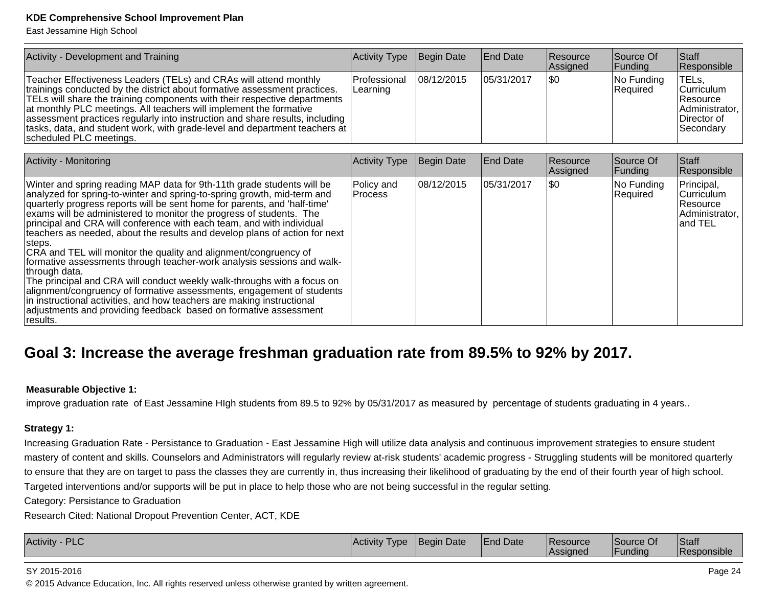East Jessamine High School

| Activity - Development and Training                                                                                                                                                                                                                                                                                                                                                                                                                                                            | Activity Type            | Begin Date  | <b>End Date</b> | Resource<br><b>Assigned</b> | Source Of<br> Funding   | <b>Staff</b><br>Responsible                                                                 |
|------------------------------------------------------------------------------------------------------------------------------------------------------------------------------------------------------------------------------------------------------------------------------------------------------------------------------------------------------------------------------------------------------------------------------------------------------------------------------------------------|--------------------------|-------------|-----------------|-----------------------------|-------------------------|---------------------------------------------------------------------------------------------|
| Teacher Effectiveness Leaders (TELs) and CRAs will attend monthly<br>trainings conducted by the district about formative assessment practices.<br>TELs will share the training components with their respective departments<br>at monthly PLC meetings. All teachers will implement the formative<br>assessment practices regularly into instruction and share results, including<br>  tasks, data, and student work, with grade-level and department teachers at  <br>scheduled PLC meetings. | Professional<br>Learning | 108/12/2015 | 105/31/2017     | 1\$0                        | No Funding<br> Reauired | TELs.<br><b>Curriculum</b><br><b>Resource</b><br>Administrator,<br>Director of<br>Secondary |

| <b>Activity - Monitoring</b>                                                                                                                                                                                                                                                                                                                                                                                                                                                                                                                                                                                                                                                                                                                                                                                                                                                                                                                         | <b>Activity Type</b>    | Begin Date | <b>End Date</b> | <b>Resource</b><br>Assigned | Source Of<br>Funding   | <b>Staff</b><br>Responsible                                                |
|------------------------------------------------------------------------------------------------------------------------------------------------------------------------------------------------------------------------------------------------------------------------------------------------------------------------------------------------------------------------------------------------------------------------------------------------------------------------------------------------------------------------------------------------------------------------------------------------------------------------------------------------------------------------------------------------------------------------------------------------------------------------------------------------------------------------------------------------------------------------------------------------------------------------------------------------------|-------------------------|------------|-----------------|-----------------------------|------------------------|----------------------------------------------------------------------------|
| Winter and spring reading MAP data for 9th-11th grade students will be<br>analyzed for spring-to-winter and spring-to-spring growth, mid-term and<br>quarterly progress reports will be sent home for parents, and 'half-time'<br>exams will be administered to monitor the progress of students. The<br>principal and CRA will conference with each team, and with individual<br>teachers as needed, about the results and develop plans of action for next<br>steps.<br>CRA and TEL will monitor the quality and alignment/congruency of<br>formative assessments through teacher-work analysis sessions and walk-<br> through data.<br>The principal and CRA will conduct weekly walk-throughs with a focus on<br>alignment/congruency of formative assessments, engagement of students<br>in instructional activities, and how teachers are making instructional<br>adjustments and providing feedback based on formative assessment<br>results. | Policy and<br>l Process | 08/12/2015 | 05/31/2017      | 1\$0                        | No Funding<br>Required | Principal,<br><b>Curriculum</b><br> Resource<br>Administrator,<br>land TEL |

### **Goal 3: Increase the average freshman graduation rate from 89.5% to 92% by 2017.**

#### **Measurable Objective 1:**

improve graduation rate of East Jessamine HIgh students from 89.5 to 92% by 05/31/2017 as measured by percentage of students graduating in 4 years..

#### **Strategy 1:**

Increasing Graduation Rate - Persistance to Graduation - East Jessamine High will utilize data analysis and continuous improvement strategies to ensure studentmastery of content and skills. Counselors and Administrators will regularly review at-risk students' academic progress - Struggling students will be monitored quarterlyto ensure that they are on target to pass the classes they are currently in, thus increasing their likelihood of graduating by the end of their fourth year of high school.Targeted interventions and/or supports will be put in place to help those who are not being successful in the regular setting.

Category: Persistance to Graduation

Research Cited: National Dropout Prevention Center, ACT, KDE

| <b>Activity</b><br>IAC | I vpe | $\overline{\phantom{a}}$<br>TBeain Date | <b>End Date</b> | Resource<br>.ssianed | $\sim$<br>Source Of<br>-undina | Staff<br>onsib. |
|------------------------|-------|-----------------------------------------|-----------------|----------------------|--------------------------------|-----------------|
|------------------------|-------|-----------------------------------------|-----------------|----------------------|--------------------------------|-----------------|

#### SY 2015-2016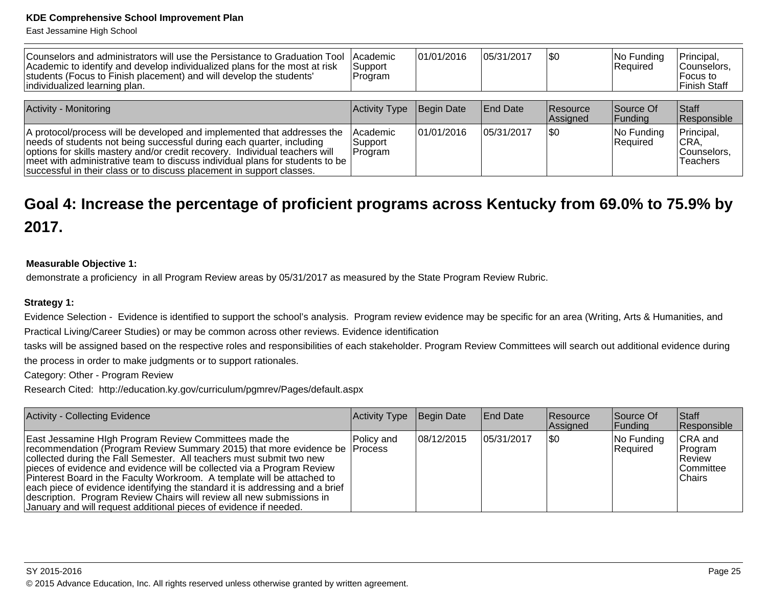East Jessamine High School

| Counselors and administrators will use the Persistance to Graduation Tool<br>Academic to identify and develop individualized plans for the most at risk<br>students (Focus to Finish placement) and will develop the students'<br>individualized learning plan.                                                                                                                          | <b>Academic</b><br>Support<br>Program | 01/01/2016 | 105/31/2017     | \$0                  | No Funding<br>Required | Principal,<br>Counselors,<br>Focus to<br><b>Finish Staff</b> |
|------------------------------------------------------------------------------------------------------------------------------------------------------------------------------------------------------------------------------------------------------------------------------------------------------------------------------------------------------------------------------------------|---------------------------------------|------------|-----------------|----------------------|------------------------|--------------------------------------------------------------|
| <b>Activity - Monitoring</b>                                                                                                                                                                                                                                                                                                                                                             | Activity Type                         | Begin Date | <b>End Date</b> | Resource<br>Assigned | Source Of<br> Funding  | Staff<br>Responsible                                         |
| A protocol/process will be developed and implemented that addresses the<br>needs of students not being successful during each quarter, including<br>options for skills mastery and/or credit recovery. Individual teachers will<br>meet with administrative team to discuss individual plans for students to be<br>successful in their class or to discuss placement in support classes. | Academic<br>Support<br>Program        | 01/01/2016 | 105/31/2017     | \$0                  | No Funding<br>Required | Principal,<br>CRA,<br>Counselors.<br>Teachers                |

## **Goal 4: Increase the percentage of proficient programs across Kentucky from 69.0% to 75.9% by2017.**

#### **Measurable Objective 1:**

demonstrate a proficiency in all Program Review areas by 05/31/2017 as measured by the State Program Review Rubric.

#### **Strategy 1:**

Evidence Selection - Evidence is identified to support the school's analysis. Program review evidence may be specific for an area (Writing, Arts & Humanities, andPractical Living/Career Studies) or may be common across other reviews. Evidence identification

 tasks will be assigned based on the respective roles and responsibilities of each stakeholder. Program Review Committees will search out additional evidence duringthe process in order to make judgments or to support rationales.

Category: Other - Program Review

Research Cited: http://education.ky.gov/curriculum/pgmrev/Pages/default.aspx

| Activity - Collecting Evidence                                                                                                                                                                                                                                                                                                                                                                                                                                                                                                                                                                  | Activity Type | Begin Date | End Date   | <b>Resource</b><br>Assigned | Source Of<br> Funding  | <b>Staff</b><br>Responsible                                         |
|-------------------------------------------------------------------------------------------------------------------------------------------------------------------------------------------------------------------------------------------------------------------------------------------------------------------------------------------------------------------------------------------------------------------------------------------------------------------------------------------------------------------------------------------------------------------------------------------------|---------------|------------|------------|-----------------------------|------------------------|---------------------------------------------------------------------|
| East Jessamine High Program Review Committees made the<br>recommendation (Program Review Summary 2015) that more evidence be Process<br>collected during the Fall Semester. All teachers must submit two new<br>pieces of evidence and evidence will be collected via a Program Review<br>Pinterest Board in the Faculty Workroom. A template will be attached to<br>each piece of evidence identifying the standard it is addressing and a brief<br>description. Program Review Chairs will review all new submissions in<br>January and will request additional pieces of evidence if needed. | Policy and    | 08/12/2015 | 05/31/2017 | 1\$0                        | No Funding<br>Required | <b>CRA</b> and<br>Program<br>IReview<br><b>Committee</b><br> Chairs |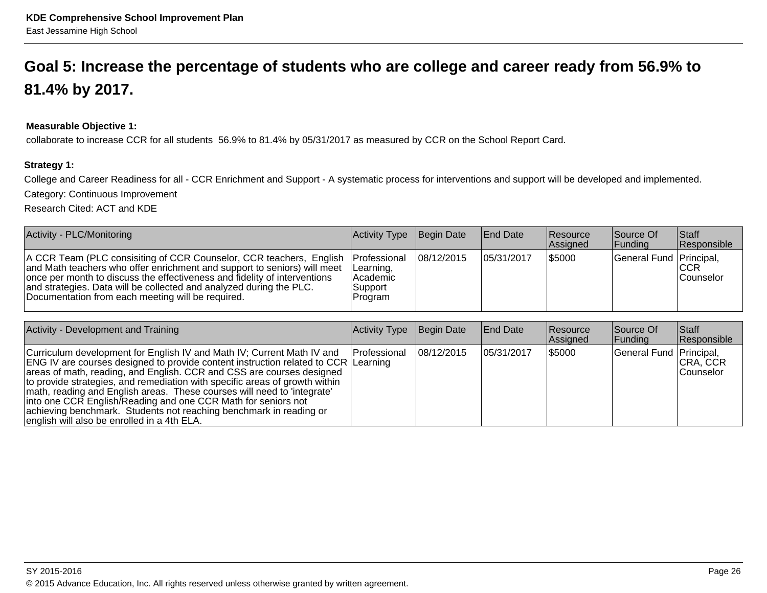## **Goal 5: Increase the percentage of students who are college and career ready from 56.9% to81.4% by 2017.**

#### **Measurable Objective 1:**

collaborate to increase CCR for all students 56.9% to 81.4% by 05/31/2017 as measured by CCR on the School Report Card.

#### **Strategy 1:**

College and Career Readiness for all - CCR Enrichment and Support - A systematic process for interventions and support will be developed and implemented.

Category: Continuous Improvement

Research Cited: ACT and KDE

| Activity - PLC/Monitoring                                                                                                                                                                                                                                                                                                                                | Activity Type Begin Date                                              |            | End Date   | <b>Resource</b><br>Assigned | Source Of<br><b>Funding</b> | <b>Staff</b><br>Responsible     |
|----------------------------------------------------------------------------------------------------------------------------------------------------------------------------------------------------------------------------------------------------------------------------------------------------------------------------------------------------------|-----------------------------------------------------------------------|------------|------------|-----------------------------|-----------------------------|---------------------------------|
| A CCR Team (PLC consisiting of CCR Counselor, CCR teachers, English<br>and Math teachers who offer enrichment and support to seniors) will meet<br>once per month to discuss the effectiveness and fidelity of interventions<br>and strategies. Data will be collected and analyzed during the PLC.<br>Documentation from each meeting will be required. | <b>IProfessional</b><br>Learning,<br>l Academic<br>Support<br>Program | 08/12/2015 | 05/31/2017 | \$5000                      | General Fund Principal,     | <b>ICCR</b><br><b>Counselor</b> |

| Activity - Development and Training                                                                                                                                                                                                                                                                                                                                                                                                                                                                                                                                                          | Activity Type | Begin Date  | <b>End Date</b> | <b>Resource</b><br>Assigned | Source Of<br> Funding   | Staff<br>Responsible          |
|----------------------------------------------------------------------------------------------------------------------------------------------------------------------------------------------------------------------------------------------------------------------------------------------------------------------------------------------------------------------------------------------------------------------------------------------------------------------------------------------------------------------------------------------------------------------------------------------|---------------|-------------|-----------------|-----------------------------|-------------------------|-------------------------------|
| Curriculum development for English IV and Math IV; Current Math IV and<br><b>ENG IV are courses designed to provide content instruction related to CCR Learning</b><br>areas of math, reading, and English. CCR and CSS are courses designed<br>to provide strategies, and remediation with specific areas of growth within<br>math, reading and English areas. These courses will need to 'integrate'<br>into one CCR English/Reading and one CCR Math for seniors not<br>achieving benchmark. Students not reaching benchmark in reading or<br>english will also be enrolled in a 4th ELA. | Professional  | 108/12/2015 | 105/31/2017     | \$5000                      | General Fund Principal, | <b>CRA, CCR</b><br>lCounselor |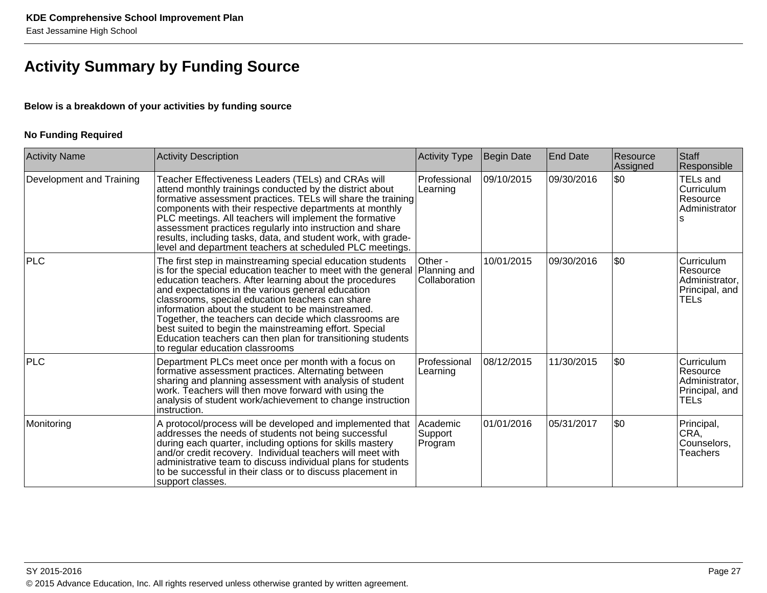### **Activity Summary by Funding Source**

#### **Below is a breakdown of your activities by funding source**

#### **No Funding Required**

| <b>Activity Name</b>     | <b>Activity Description</b>                                                                                                                                                                                                                                                                                                                                                                                                                                                                                                                                                | <b>Activity Type</b>                     | Begin Date | End Date   | Resource<br>Assigned | Staff<br>Responsible                                                      |
|--------------------------|----------------------------------------------------------------------------------------------------------------------------------------------------------------------------------------------------------------------------------------------------------------------------------------------------------------------------------------------------------------------------------------------------------------------------------------------------------------------------------------------------------------------------------------------------------------------------|------------------------------------------|------------|------------|----------------------|---------------------------------------------------------------------------|
| Development and Training | Teacher Effectiveness Leaders (TELs) and CRAs will<br>attend monthly trainings conducted by the district about<br>formative assessment practices. TELs will share the training<br>components with their respective departments at monthly<br>PLC meetings. All teachers will implement the formative<br>assessment practices regularly into instruction and share<br>results, including tasks, data, and student work, with grade-<br>level and department teachers at scheduled PLC meetings.                                                                             | Professional<br>Learning                 | 09/10/2015 | 09/30/2016 | \$0                  | <b>TELs and</b><br>Curriculum<br>Resource<br>Administrator                |
| <b>PLC</b>               | The first step in mainstreaming special education students<br>is for the special education teacher to meet with the general<br>education teachers. After learning about the procedures<br>and expectations in the various general education<br>classrooms, special education teachers can share<br>information about the student to be mainstreamed.<br>Together, the teachers can decide which classrooms are<br>best suited to begin the mainstreaming effort. Special<br>Education teachers can then plan for transitioning students<br>to regular education classrooms | Other -<br>Planning and<br>Collaboration | 10/01/2015 | 09/30/2016 | \$0                  | Curriculum<br>Resource<br>Administrator,<br>Principal, and<br><b>TELs</b> |
| <b>PLC</b>               | Department PLCs meet once per month with a focus on<br>formative assessment practices. Alternating between<br>sharing and planning assessment with analysis of student<br>work. Teachers will then move forward with using the<br>analysis of student work/achievement to change instruction<br>instruction.                                                                                                                                                                                                                                                               | Professional<br>Learning                 | 08/12/2015 | 11/30/2015 | \$0                  | Curriculum<br>Resource<br>Administrator,<br>Principal, and<br><b>TELs</b> |
| Monitoring               | A protocol/process will be developed and implemented that<br>addresses the needs of students not being successful<br>during each quarter, including options for skills mastery<br>and/or credit recovery. Individual teachers will meet with<br>administrative team to discuss individual plans for students<br>to be successful in their class or to discuss placement in<br>support classes.                                                                                                                                                                             | Academic<br>Support<br>Program           | 01/01/2016 | 05/31/2017 | \$0                  | Principal,<br>$ {\sf CRA},$<br>Counselors,<br>Teachers                    |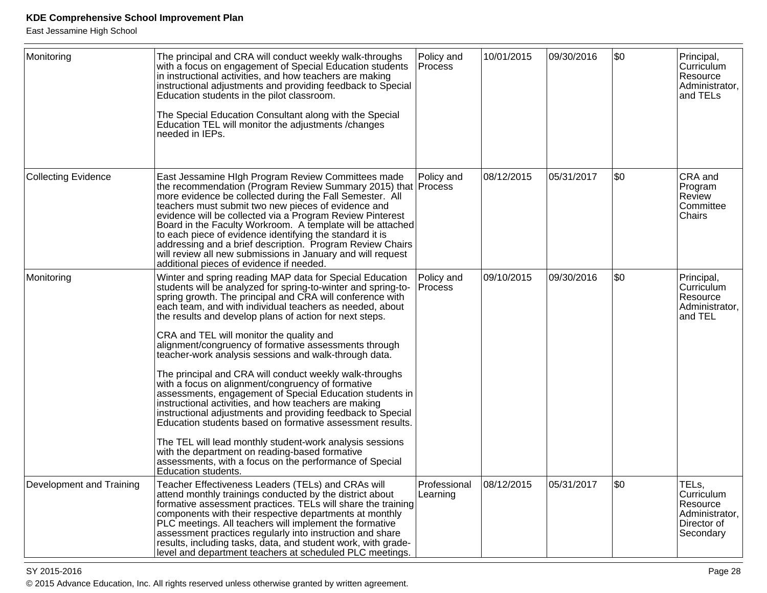East Jessamine High School

| Monitoring                 | The principal and CRA will conduct weekly walk-throughs<br>with a focus on engagement of Special Education students<br>in instructional activities, and how teachers are making<br>instructional adjustments and providing feedback to Special<br>Education students in the pilot classroom.<br>The Special Education Consultant along with the Special<br>Education TEL will monitor the adjustments / changes<br>needed in IEPs.                                                                                                                                                                                                                                                                                                                                                                                                                                                                                                                                                                                                           | Policy and<br>Process    | 10/01/2015 | 09/30/2016 | \$0 | Principal,<br>Curriculum<br>Resource<br>Administrator,<br>and TELs            |
|----------------------------|----------------------------------------------------------------------------------------------------------------------------------------------------------------------------------------------------------------------------------------------------------------------------------------------------------------------------------------------------------------------------------------------------------------------------------------------------------------------------------------------------------------------------------------------------------------------------------------------------------------------------------------------------------------------------------------------------------------------------------------------------------------------------------------------------------------------------------------------------------------------------------------------------------------------------------------------------------------------------------------------------------------------------------------------|--------------------------|------------|------------|-----|-------------------------------------------------------------------------------|
| <b>Collecting Evidence</b> | East Jessamine HIgh Program Review Committees made<br>the recommendation (Program Review Summary 2015) that Process<br>more evidence be collected during the Fall Semester. All<br>teachers must submit two new pieces of evidence and<br>evidence will be collected via a Program Review Pinterest<br>Board in the Faculty Workroom. A template will be attached<br>to each piece of evidence identifying the standard it is<br>addressing and a brief description. Program Review Chairs<br>will review all new submissions in January and will request<br>additional pieces of evidence if needed.                                                                                                                                                                                                                                                                                                                                                                                                                                        | Policy and               | 08/12/2015 | 05/31/2017 | \$0 | CRA and<br>Program<br>Review<br>Committee<br>Chairs                           |
| Monitoring                 | Winter and spring reading MAP data for Special Education<br>students will be analyzed for spring-to-winter and spring-to-<br>spring growth. The principal and CRA will conference with<br>each team, and with individual teachers as needed, about<br>the results and develop plans of action for next steps.<br>CRA and TEL will monitor the quality and<br>alignment/congruency of formative assessments through<br>teacher-work analysis sessions and walk-through data.<br>The principal and CRA will conduct weekly walk-throughs<br>with a focus on alignment/congruency of formative<br>assessments, engagement of Special Education students in<br>instructional activities, and how teachers are making<br>instructional adjustments and providing feedback to Special<br>Education students based on formative assessment results.<br>The TEL will lead monthly student-work analysis sessions<br>with the department on reading-based formative<br>assessments, with a focus on the performance of Special<br>Education students. | Policy and<br>Process    | 09/10/2015 | 09/30/2016 | \$0 | Principal,<br><b>Curriculum</b><br>Resource<br>Administrator,<br>and TEL      |
| Development and Training   | Teacher Effectiveness Leaders (TELs) and CRAs will<br>attend monthly trainings conducted by the district about<br>formative assessment practices. TELs will share the training<br>components with their respective departments at monthly<br>PLC meetings. All teachers will implement the formative<br>assessment practices regularly into instruction and share<br>results, including tasks, data, and student work, with grade-<br>level and department teachers at scheduled PLC meetings.                                                                                                                                                                                                                                                                                                                                                                                                                                                                                                                                               | Professional<br>Learning | 08/12/2015 | 05/31/2017 | \$0 | TELs,<br>Curriculum<br>Resource<br>Administrator,<br>Director of<br>Secondary |

en and the state of the state of the state of the state of the state of the state  $P$ age 28  $P$ © 2015 Advance Education, Inc. All rights reserved unless otherwise granted by written agreement.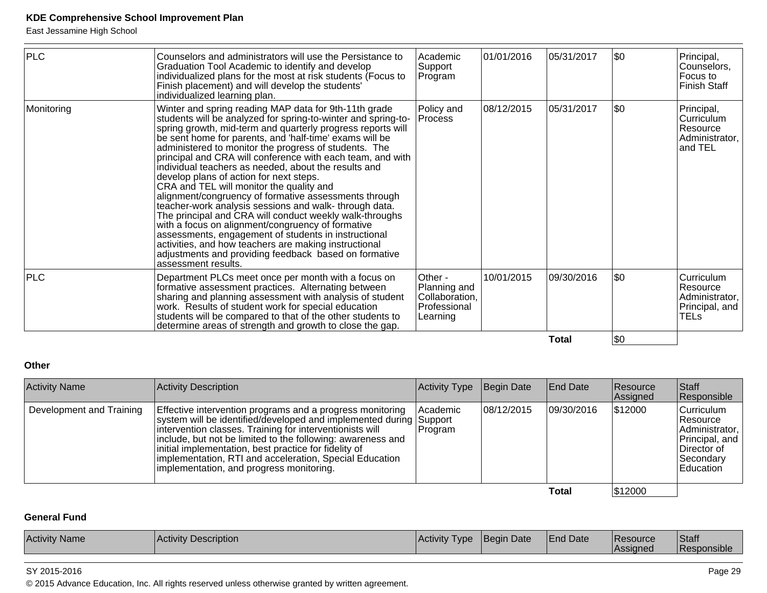East Jessamine High School

| <b>PLC</b> | Counselors and administrators will use the Persistance to<br>Graduation Tool Academic to identify and develop<br>individualized plans for the most at risk students (Focus to<br>Finish placement) and will develop the students'<br>individualized learning plan.                                                                                                                                                                                                                                                                                                                                                                                                                                                                                                                                                                                                                                                                                         | Academic<br>Support<br>Program                                        | 01/01/2016 | 05/31/2017 | \$0        | Principal,<br>Counselors,<br>Focus to<br><b>Finish Staff</b>       |
|------------|------------------------------------------------------------------------------------------------------------------------------------------------------------------------------------------------------------------------------------------------------------------------------------------------------------------------------------------------------------------------------------------------------------------------------------------------------------------------------------------------------------------------------------------------------------------------------------------------------------------------------------------------------------------------------------------------------------------------------------------------------------------------------------------------------------------------------------------------------------------------------------------------------------------------------------------------------------|-----------------------------------------------------------------------|------------|------------|------------|--------------------------------------------------------------------|
| Monitoring | Winter and spring reading MAP data for 9th-11th grade<br>students will be analyzed for spring-to-winter and spring-to-<br>spring growth, mid-term and quarterly progress reports will<br>be sent home for parents, and 'half-time' exams will be<br>administered to monitor the progress of students. The<br>principal and CRA will conference with each team, and with<br>individual teachers as needed, about the results and<br>develop plans of action for next steps.<br>CRA and TEL will monitor the quality and<br>alignment/congruency of formative assessments through<br>teacher-work analysis sessions and walk- through data.<br>The principal and CRA will conduct weekly walk-throughs<br>with a focus on alignment/congruency of formative<br>assessments, engagement of students in instructional<br>activities, and how teachers are making instructional<br>adjustments and providing feedback based on formative<br>assessment results. | Policy and<br>Process                                                 | 08/12/2015 | 05/31/2017 | \$0        | Principal,<br>Curriculum<br>Resource<br>Administrator,<br>and TEL  |
| <b>PLC</b> | Department PLCs meet once per month with a focus on<br>formative assessment practices. Alternating between<br>sharing and planning assessment with analysis of student<br>work. Results of student work for special education<br>students will be compared to that of the other students to<br>determine areas of strength and growth to close the gap.                                                                                                                                                                                                                                                                                                                                                                                                                                                                                                                                                                                                    | Other -<br>Planning and<br>Collaboration,<br>Professional<br>Learning | 10/01/2015 | 09/30/2016 | \$0        | Curriculum<br>Resource<br>Administrator,<br>Principal, and<br>TELs |
|            |                                                                                                                                                                                                                                                                                                                                                                                                                                                                                                                                                                                                                                                                                                                                                                                                                                                                                                                                                            |                                                                       |            | Total      | <b>\$0</b> |                                                                    |

#### **Other**

| <b>Activity Name</b>     | Activity Description                                                                                                                                                                                                                                                                                                                                                                                                       | <b>Activity Type</b> | Begin Date | End Date    | Resource<br>Assigned | Staff<br>Responsible                                                                                  |
|--------------------------|----------------------------------------------------------------------------------------------------------------------------------------------------------------------------------------------------------------------------------------------------------------------------------------------------------------------------------------------------------------------------------------------------------------------------|----------------------|------------|-------------|----------------------|-------------------------------------------------------------------------------------------------------|
| Development and Training | Effective intervention programs and a progress monitoring<br>system will be identified/developed and implemented during Support<br>intervention classes. Training for interventionists will<br>include, but not be limited to the following: awareness and<br>initial implementation, best practice for fidelity of<br>implementation, RTI and acceleration, Special Education<br>implementation, and progress monitoring. | Academic<br> Program | 08/12/2015 | 09/30/2016  | \$12000              | Curriculum<br>∣Resource<br>Administrator,<br>Principal, and<br>Director of<br> Secondary<br>Education |
|                          |                                                                                                                                                                                                                                                                                                                                                                                                                            |                      |            | $T - 1 - 1$ | 0.42000              |                                                                                                       |

**Total**

#### $$12000$

#### **General Fund**

| <b>Activity</b><br>Activity<br>cription<br><sup>•</sup> Namы<br>Desc | l vpe<br>vitv | <b>Begin Date</b> | <b>End Date</b> | <b>Resource</b><br><b>IRE.</b><br>ssianec | <sup>'</sup> Stafi<br>$\cdots$<br>onsible)<br>R. |
|----------------------------------------------------------------------|---------------|-------------------|-----------------|-------------------------------------------|--------------------------------------------------|
|----------------------------------------------------------------------|---------------|-------------------|-----------------|-------------------------------------------|--------------------------------------------------|

#### SY 2015-2016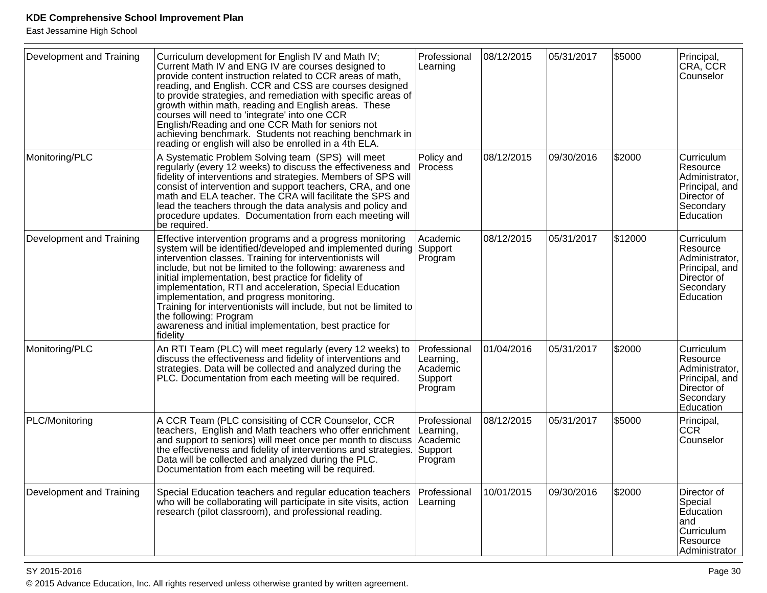East Jessamine High School

| Development and Training | Curriculum development for English IV and Math IV;<br>Current Math IV and ENG IV are courses designed to<br>provide content instruction related to CCR areas of math,<br>reading, and English. CCR and CSS are courses designed<br>to provide strategies, and remediation with specific areas of<br>growth within math, reading and English areas. These<br>courses will need to 'integrate' into one CCR<br>English/Reading and one CCR Math for seniors not<br>achieving benchmark. Students not reaching benchmark in<br>reading or english will also be enrolled in a 4th ELA.               | Professional<br>Learning                                    | 08/12/2015 | 05/31/2017 | \$5000  | Principal,<br> CRA, CCR<br>Counselor                                                                |
|--------------------------|--------------------------------------------------------------------------------------------------------------------------------------------------------------------------------------------------------------------------------------------------------------------------------------------------------------------------------------------------------------------------------------------------------------------------------------------------------------------------------------------------------------------------------------------------------------------------------------------------|-------------------------------------------------------------|------------|------------|---------|-----------------------------------------------------------------------------------------------------|
| Monitoring/PLC           | A Systematic Problem Solving team (SPS) will meet<br>regularly (every 12 weeks) to discuss the effectiveness and<br>fidelity of interventions and strategies. Members of SPS will<br>consist of intervention and support teachers, CRA, and one<br>math and ELA teacher. The CRA will facilitate the SPS and<br>lead the teachers through the data analysis and policy and<br>procedure updates. Documentation from each meeting will<br>be required.                                                                                                                                            | Policy and<br><b>Process</b>                                | 08/12/2015 | 09/30/2016 | \$2000  | Curriculum<br>Resource<br>Administrator,<br>Principal, and<br>Director of<br>Secondary<br>Education |
| Development and Training | Effective intervention programs and a progress monitoring<br>system will be identified/developed and implemented during Support<br>intervention classes. Training for interventionists will<br>include, but not be limited to the following: awareness and<br>initial implementation, best practice for fidelity of<br>implementation, RTI and acceleration, Special Education<br>implementation, and progress monitoring.<br>Training for interventionists will include, but not be limited to<br>the following: Program<br>awareness and initial implementation, best practice for<br>fidelity | Academic<br>Program                                         | 08/12/2015 | 05/31/2017 | \$12000 | Curriculum<br>Resource<br>Administrator,<br>Principal, and<br>Director of<br>Secondary<br>Education |
| Monitoring/PLC           | An RTI Team (PLC) will meet regularly (every 12 weeks) to<br>discuss the effectiveness and fidelity of interventions and<br>strategies. Data will be collected and analyzed during the<br>PLC. Documentation from each meeting will be required.                                                                                                                                                                                                                                                                                                                                                 | Professional<br>Learning,<br>Academic<br>Support<br>Program | 01/04/2016 | 05/31/2017 | \$2000  | Curriculum<br>Resource<br>Administrator,<br>Principal, and<br>Director of<br>Secondary<br>Education |
| PLC/Monitoring           | A CCR Team (PLC consisiting of CCR Counselor, CCR<br>teachers, English and Math teachers who offer enrichment<br>and support to seniors) will meet once per month to discuss Academic<br>the effectiveness and fidelity of interventions and strategies.<br>Data will be collected and analyzed during the PLC.<br>Documentation from each meeting will be required.                                                                                                                                                                                                                             | Professional<br>Learning,<br>Support<br>Program             | 08/12/2015 | 05/31/2017 | \$5000  | Principal,<br><b>CCR</b><br>Counselor                                                               |
| Development and Training | Special Education teachers and regular education teachers<br>who will be collaborating will participate in site visits, action<br>research (pilot classroom), and professional reading.                                                                                                                                                                                                                                                                                                                                                                                                          | Professional<br>Learning                                    | 10/01/2015 | 09/30/2016 | \$2000  | Director of<br>Special<br>Education<br>land<br>Curriculum<br>Resource<br>Administrator              |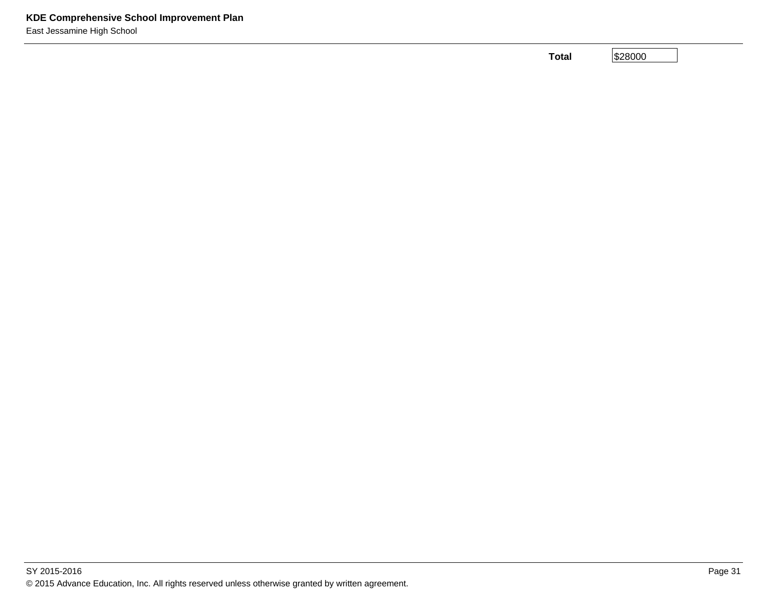**Total**

\$28000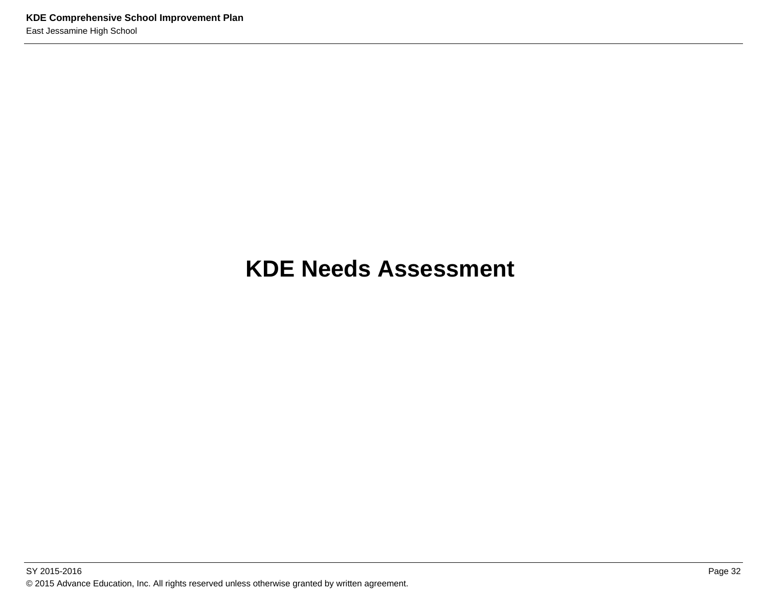## **KDE Needs Assessment**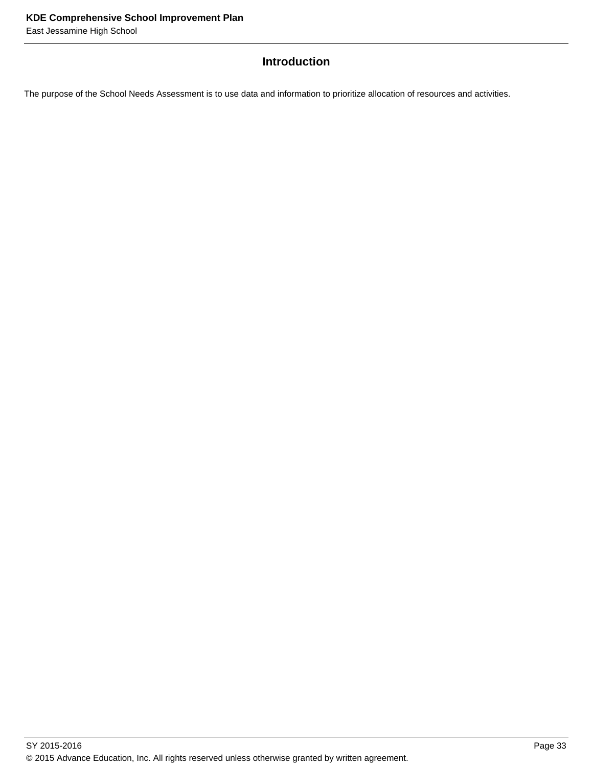# **Introduction**

The purpose of the School Needs Assessment is to use data and information to prioritize allocation of resources and activities.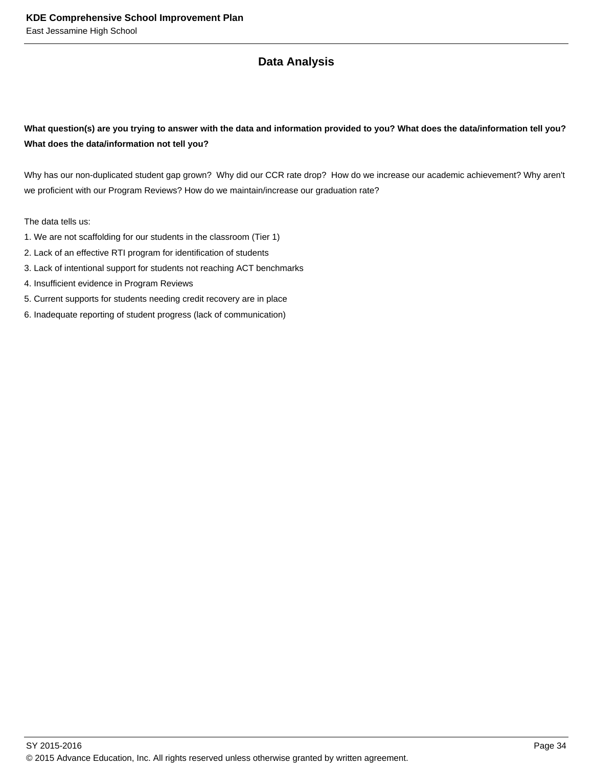# **Data Analysis**

## **What question(s) are you trying to answer with the data and information provided to you? What does the data/information tell you? What does the data/information not tell you?**

Why has our non-duplicated student gap grown? Why did our CCR rate drop? How do we increase our academic achievement? Why aren't we proficient with our Program Reviews? How do we maintain/increase our graduation rate?

The data tells us:

- 1. We are not scaffolding for our students in the classroom (Tier 1)
- 2. Lack of an effective RTI program for identification of students
- 3. Lack of intentional support for students not reaching ACT benchmarks
- 4. Insufficient evidence in Program Reviews
- 5. Current supports for students needing credit recovery are in place
- 6. Inadequate reporting of student progress (lack of communication)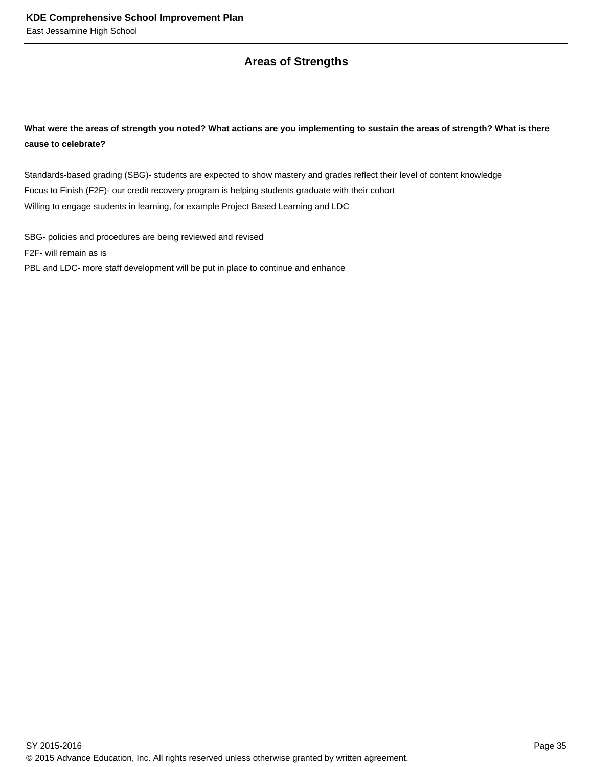## **Areas of Strengths**

## **What were the areas of strength you noted? What actions are you implementing to sustain the areas of strength? What is there cause to celebrate?**

Standards-based grading (SBG)- students are expected to show mastery and grades reflect their level of content knowledge Focus to Finish (F2F)- our credit recovery program is helping students graduate with their cohort Willing to engage students in learning, for example Project Based Learning and LDC

SBG- policies and procedures are being reviewed and revised F2F- will remain as is PBL and LDC- more staff development will be put in place to continue and enhance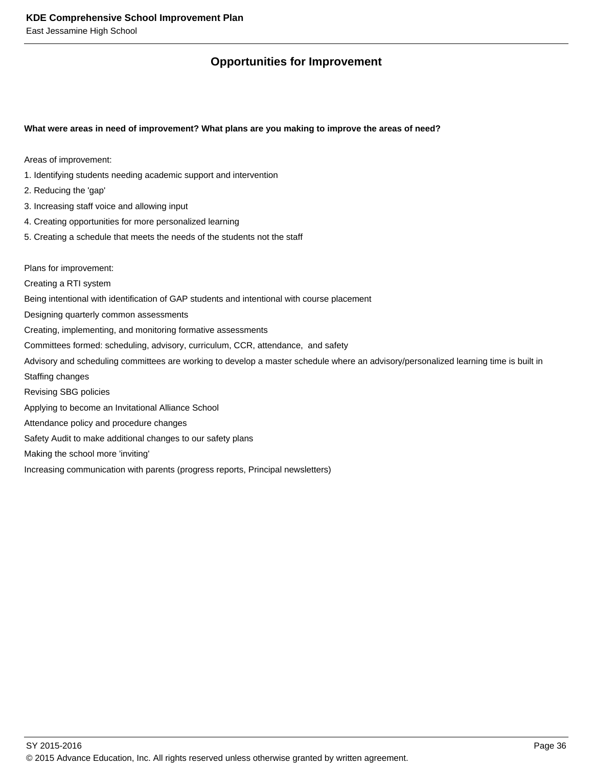# **Opportunities for Improvement**

#### **What were areas in need of improvement? What plans are you making to improve the areas of need?**

Areas of improvement:

- 1. Identifying students needing academic support and intervention
- 2. Reducing the 'gap'
- 3. Increasing staff voice and allowing input
- 4. Creating opportunities for more personalized learning
- 5. Creating a schedule that meets the needs of the students not the staff

Plans for improvement:

Creating a RTI system

Being intentional with identification of GAP students and intentional with course placement

- Designing quarterly common assessments
- Creating, implementing, and monitoring formative assessments
- Committees formed: scheduling, advisory, curriculum, CCR, attendance, and safety
- Advisory and scheduling committees are working to develop a master schedule where an advisory/personalized learning time is built in
- Staffing changes
- Revising SBG policies
- Applying to become an Invitational Alliance School
- Attendance policy and procedure changes
- Safety Audit to make additional changes to our safety plans

Making the school more 'inviting'

Increasing communication with parents (progress reports, Principal newsletters)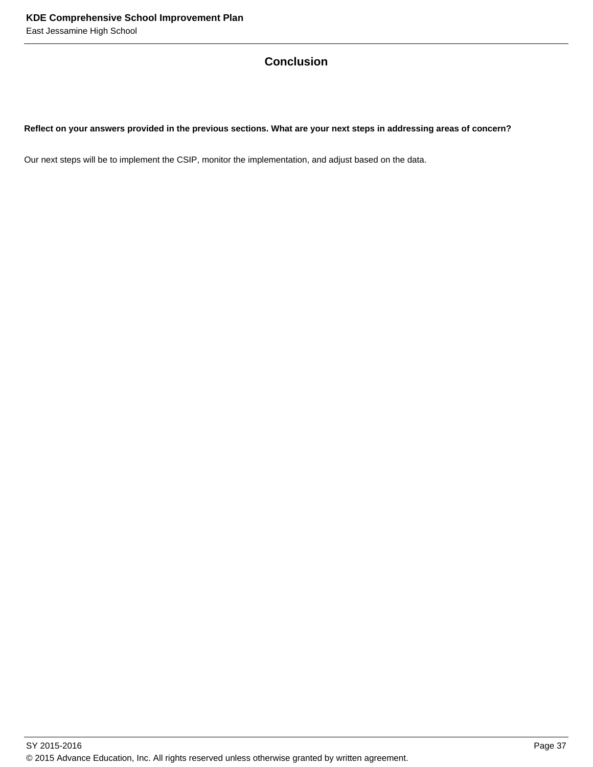# **Conclusion**

### **Reflect on your answers provided in the previous sections. What are your next steps in addressing areas of concern?**

Our next steps will be to implement the CSIP, monitor the implementation, and adjust based on the data.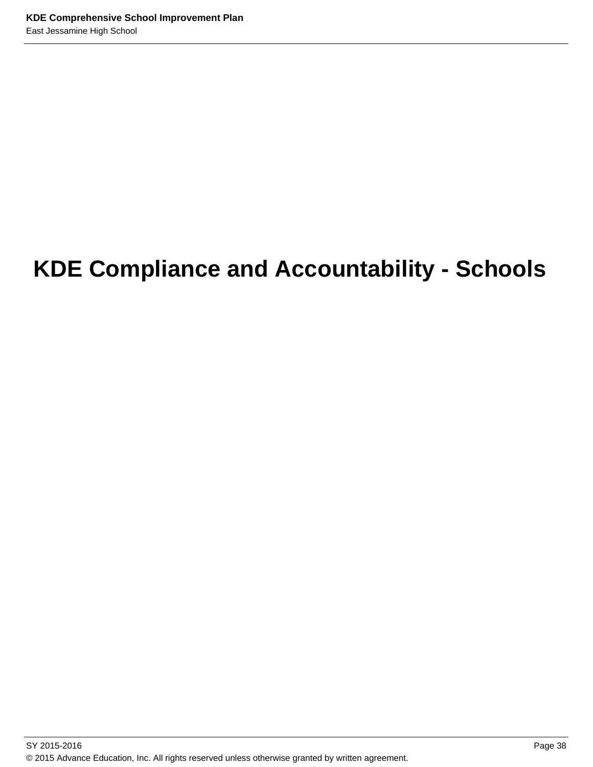# **KDE Compliance and Accountability - Schools**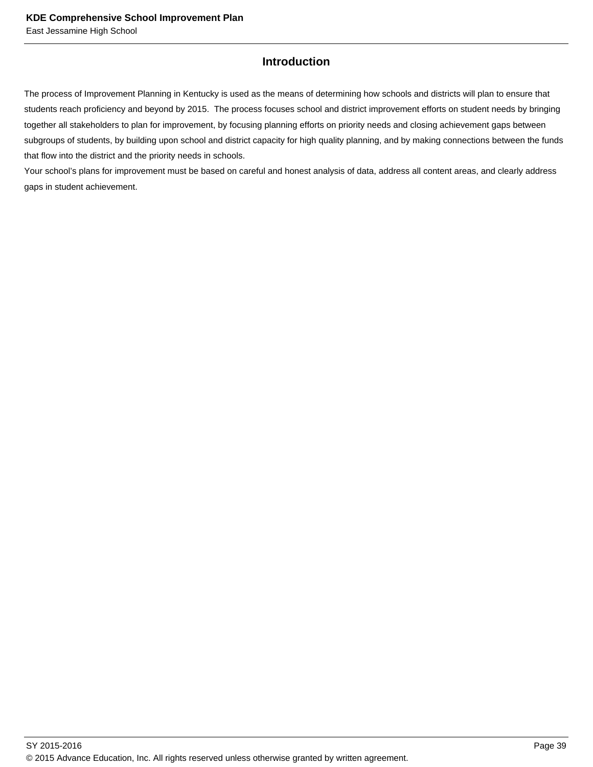## **Introduction**

The process of Improvement Planning in Kentucky is used as the means of determining how schools and districts will plan to ensure that students reach proficiency and beyond by 2015. The process focuses school and district improvement efforts on student needs by bringing together all stakeholders to plan for improvement, by focusing planning efforts on priority needs and closing achievement gaps between subgroups of students, by building upon school and district capacity for high quality planning, and by making connections between the funds that flow into the district and the priority needs in schools.

Your school's plans for improvement must be based on careful and honest analysis of data, address all content areas, and clearly address gaps in student achievement.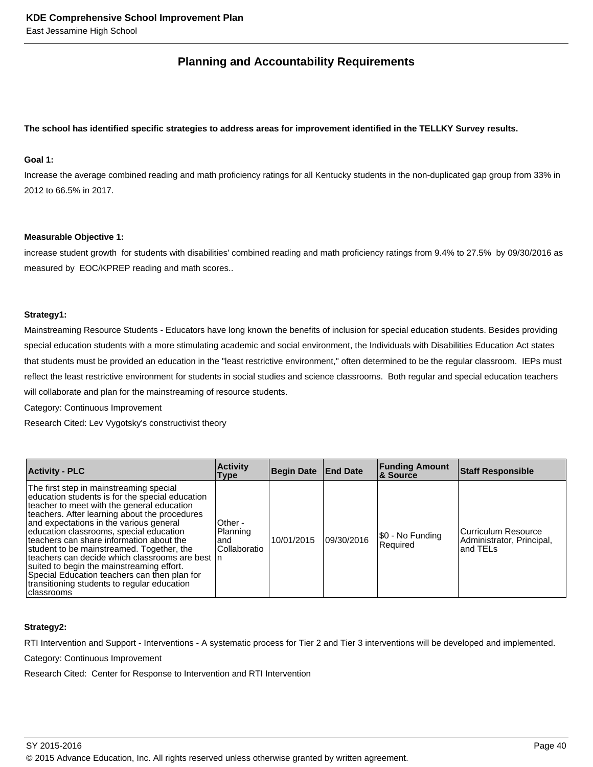## **Planning and Accountability Requirements**

#### **The school has identified specific strategies to address areas for improvement identified in the TELLKY Survey results.**

### **Goal 1:**

Increase the average combined reading and math proficiency ratings for all Kentucky students in the non-duplicated gap group from 33% in 2012 to 66.5% in 2017.

#### **Measurable Objective 1:**

increase student growth for students with disabilities' combined reading and math proficiency ratings from 9.4% to 27.5% by 09/30/2016 as measured by EOC/KPREP reading and math scores..

#### **Strategy1:**

Mainstreaming Resource Students - Educators have long known the benefits of inclusion for special education students. Besides providing special education students with a more stimulating academic and social environment, the Individuals with Disabilities Education Act states that students must be provided an education in the "least restrictive environment," often determined to be the regular classroom. IEPs must reflect the least restrictive environment for students in social studies and science classrooms. Both regular and special education teachers will collaborate and plan for the mainstreaming of resource students.

Category: Continuous Improvement

Research Cited: Lev Vygotsky's constructivist theory

| <b>Activity - PLC</b>                                                                                                                                                                                                                                                                                                                                                                                                                                                                                                                                                                    | <b>Activity</b><br>Type                       | Begin Date End Date |            | <b>Funding Amount</b><br><b>&amp; Source</b> | <b>Staff Responsible</b>                                      |
|------------------------------------------------------------------------------------------------------------------------------------------------------------------------------------------------------------------------------------------------------------------------------------------------------------------------------------------------------------------------------------------------------------------------------------------------------------------------------------------------------------------------------------------------------------------------------------------|-----------------------------------------------|---------------------|------------|----------------------------------------------|---------------------------------------------------------------|
| The first step in mainstreaming special<br>education students is for the special education<br>teacher to meet with the general education<br>teachers. After learning about the procedures<br>and expectations in the various general<br>education classrooms, special education<br>teachers can share information about the<br>student to be mainstreamed. Together, the<br>teachers can decide which classrooms are best In<br>suited to begin the mainstreaming effort.<br>Special Education teachers can then plan for<br>transitioning students to regular education<br>l classrooms | Other -<br>Planning<br>land<br>l Collaboratio | 10/01/2015          | 09/30/2016 | \$0 - No Funding<br>Required                 | Curriculum Resource<br>Administrator, Principal,<br>land TELs |

#### **Strategy2:**

RTI Intervention and Support - Interventions - A systematic process for Tier 2 and Tier 3 interventions will be developed and implemented.

Category: Continuous Improvement

Research Cited: Center for Response to Intervention and RTI Intervention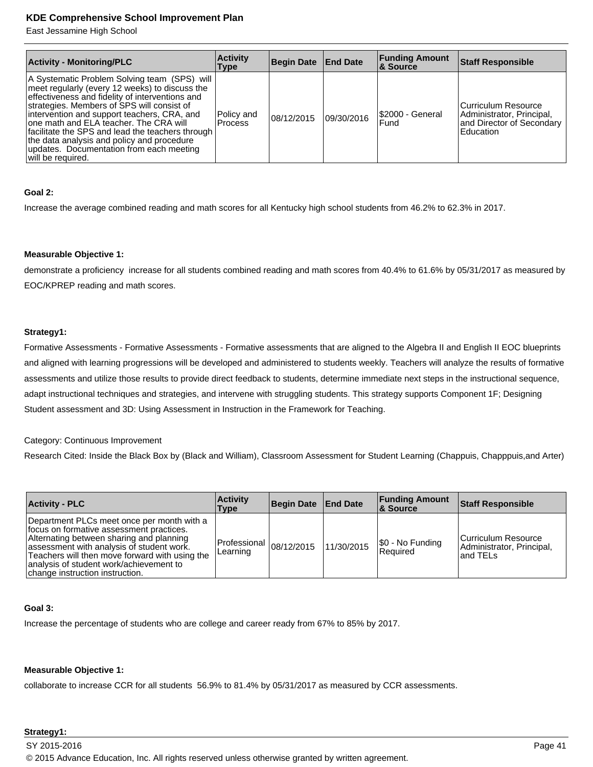East Jessamine High School

| <b>Activity - Monitoring/PLC</b>                                                                                                                                                                                                                                                                                                                                                                                                                            | <b>Activity</b><br>Type      | Begin Date End Date |            | <b>Funding Amount</b><br>& Source | <b>Staff Responsible</b>                                                                   |
|-------------------------------------------------------------------------------------------------------------------------------------------------------------------------------------------------------------------------------------------------------------------------------------------------------------------------------------------------------------------------------------------------------------------------------------------------------------|------------------------------|---------------------|------------|-----------------------------------|--------------------------------------------------------------------------------------------|
| A Systematic Problem Solving team (SPS) will<br>meet regularly (every 12 weeks) to discuss the<br>effectiveness and fidelity of interventions and<br>strategies. Members of SPS will consist of<br>intervention and support teachers, CRA, and<br>one math and ELA teacher. The CRA will<br>facilitate the SPS and lead the teachers through<br>the data analysis and policy and procedure<br>updates. Documentation from each meeting<br>will be required. | Policy and<br><b>Process</b> | 08/12/2015          | 09/30/2016 | \$2000 - General<br>l Fund        | Curriculum Resource<br>Administrator, Principal,<br>and Director of Secondary<br>Education |

#### **Goal 2:**

Increase the average combined reading and math scores for all Kentucky high school students from 46.2% to 62.3% in 2017.

#### **Measurable Objective 1:**

demonstrate a proficiency increase for all students combined reading and math scores from 40.4% to 61.6% by 05/31/2017 as measured by EOC/KPREP reading and math scores.

#### **Strategy1:**

Formative Assessments - Formative Assessments - Formative assessments that are aligned to the Algebra II and English II EOC blueprints and aligned with learning progressions will be developed and administered to students weekly. Teachers will analyze the results of formative assessments and utilize those results to provide direct feedback to students, determine immediate next steps in the instructional sequence, adapt instructional techniques and strategies, and intervene with struggling students. This strategy supports Component 1F; Designing Student assessment and 3D: Using Assessment in Instruction in the Framework for Teaching.

#### Category: Continuous Improvement

Research Cited: Inside the Black Box by (Black and William), Classroom Assessment for Student Learning (Chappuis, Chapppuis,and Arter)

| <b>Activity - PLC</b>                                                                                                                                                                                                                                                                                           | <b>Activity</b><br>Type                   | Begin Date End Date |            | <b>Funding Amount</b><br><b>8 Source</b> | <b>Staff Responsible</b>                                       |
|-----------------------------------------------------------------------------------------------------------------------------------------------------------------------------------------------------------------------------------------------------------------------------------------------------------------|-------------------------------------------|---------------------|------------|------------------------------------------|----------------------------------------------------------------|
| Department PLCs meet once per month with a<br>focus on formative assessment practices.<br>Alternating between sharing and planning<br>assessment with analysis of student work.<br>Teachers will then move forward with using the<br>analysis of student work/achievement to<br>change instruction instruction. | $ Professional$ $ 08/12/2015$<br>Learning |                     | 11/30/2015 | S0 - No Funding<br>l Reauired            | lCurriculum Resource<br>Administrator, Principal,<br>land TELs |

#### **Goal 3:**

Increase the percentage of students who are college and career ready from 67% to 85% by 2017.

#### **Measurable Objective 1:**

collaborate to increase CCR for all students 56.9% to 81.4% by 05/31/2017 as measured by CCR assessments.

## **Strategy1:**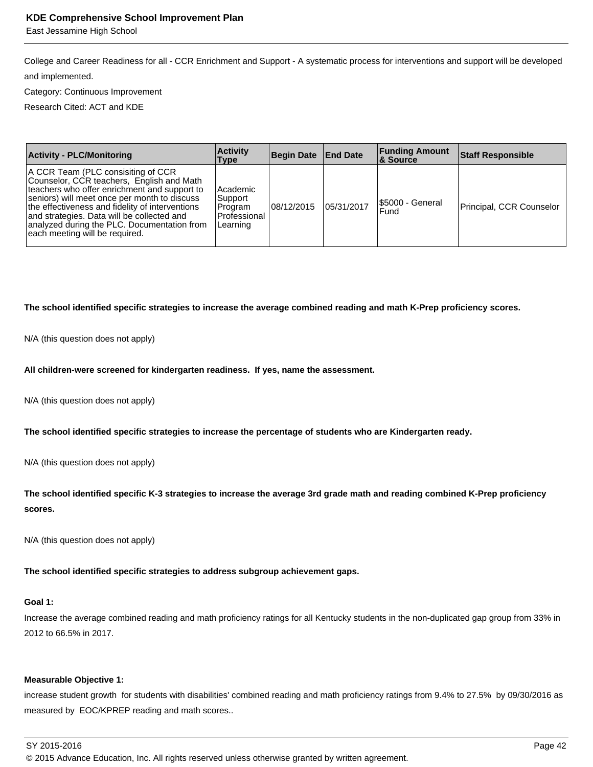East Jessamine High School

College and Career Readiness for all - CCR Enrichment and Support - A systematic process for interventions and support will be developed and implemented.

Category: Continuous Improvement

Research Cited: ACT and KDE

| <b>Activity - PLC/Monitoring</b>                                                                                                                                                                                                                                                                                                                                  | <b>Activity</b><br>Type                                       | Begin Date   End Date |            | <b>Funding Amount</b><br>∣& Source | <b>Staff Responsible</b> |
|-------------------------------------------------------------------------------------------------------------------------------------------------------------------------------------------------------------------------------------------------------------------------------------------------------------------------------------------------------------------|---------------------------------------------------------------|-----------------------|------------|------------------------------------|--------------------------|
| A CCR Team (PLC consisiting of CCR<br>Counselor, CCR teachers, English and Math<br>teachers who offer enrichment and support to<br>seniors) will meet once per month to discuss<br>the effectiveness and fidelity of interventions<br>and strategies. Data will be collected and<br>analyzed during the PLC. Documentation from<br>each meeting will be required. | Academic<br>Support<br>⊦Program<br>l Professional<br>Learning | 08/12/2015            | 05/31/2017 | <b>S5000 - General</b><br>Fund     | Principal, CCR Counselor |

## **The school identified specific strategies to increase the average combined reading and math K-Prep proficiency scores.**

N/A (this question does not apply)

## **All children-were screened for kindergarten readiness. If yes, name the assessment.**

N/A (this question does not apply)

**The school identified specific strategies to increase the percentage of students who are Kindergarten ready.**

N/A (this question does not apply)

**The school identified specific K-3 strategies to increase the average 3rd grade math and reading combined K-Prep proficiency scores.** 

N/A (this question does not apply)

**The school identified specific strategies to address subgroup achievement gaps.**

## **Goal 1:**

Increase the average combined reading and math proficiency ratings for all Kentucky students in the non-duplicated gap group from 33% in 2012 to 66.5% in 2017.

## **Measurable Objective 1:**

increase student growth for students with disabilities' combined reading and math proficiency ratings from 9.4% to 27.5% by 09/30/2016 as measured by EOC/KPREP reading and math scores..

## SY 2015-2016 Page 42

© 2015 Advance Education, Inc. All rights reserved unless otherwise granted by written agreement.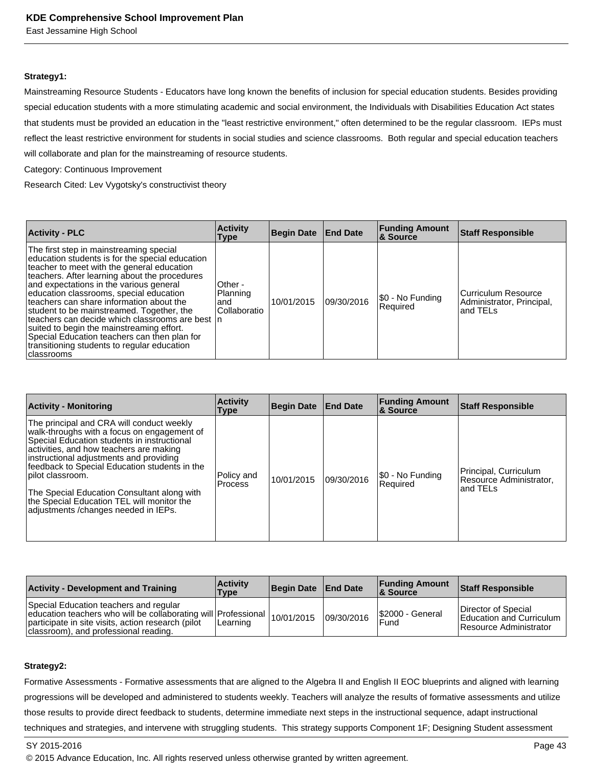East Jessamine High School

#### **Strategy1:**

Mainstreaming Resource Students - Educators have long known the benefits of inclusion for special education students. Besides providing special education students with a more stimulating academic and social environment, the Individuals with Disabilities Education Act states that students must be provided an education in the "least restrictive environment," often determined to be the regular classroom. IEPs must reflect the least restrictive environment for students in social studies and science classrooms. Both regular and special education teachers will collaborate and plan for the mainstreaming of resource students.

Category: Continuous Improvement

Research Cited: Lev Vygotsky's constructivist theory

| <b>Activity - PLC</b>                                                                                                                                                                                                                                                                                                                                                                                                                                                                                                                                                                  | <b>Activity</b><br><b>Type</b>              | Begin Date End Date |            | <b>Funding Amount</b><br><b>&amp; Source</b> | <b>Staff Responsible</b>                                     |
|----------------------------------------------------------------------------------------------------------------------------------------------------------------------------------------------------------------------------------------------------------------------------------------------------------------------------------------------------------------------------------------------------------------------------------------------------------------------------------------------------------------------------------------------------------------------------------------|---------------------------------------------|---------------------|------------|----------------------------------------------|--------------------------------------------------------------|
| The first step in mainstreaming special<br>education students is for the special education<br>teacher to meet with the general education<br>teachers. After learning about the procedures<br>and expectations in the various general<br>education classrooms, special education<br>teachers can share information about the<br>student to be mainstreamed. Together, the<br>teachers can decide which classrooms are best In<br>suited to begin the mainstreaming effort.<br>Special Education teachers can then plan for<br>transitioning students to regular education<br>classrooms | Other -<br>Planning<br>land<br>Collaboratio | 10/01/2015          | 09/30/2016 | \$0 - No Funding<br>Required                 | Curriculum Resource<br>Administrator, Principal,<br>and TELs |

| <b>Activity - Monitoring</b>                                                                                                                                                                                                                                                                                                                                                                                                             | <b>Activity</b><br><b>Type</b> | Begin Date End Date |            | <b>Funding Amount</b><br><b>8 Source</b> | <b>Staff Responsible</b>                                     |
|------------------------------------------------------------------------------------------------------------------------------------------------------------------------------------------------------------------------------------------------------------------------------------------------------------------------------------------------------------------------------------------------------------------------------------------|--------------------------------|---------------------|------------|------------------------------------------|--------------------------------------------------------------|
| The principal and CRA will conduct weekly<br>walk-throughs with a focus on engagement of<br>Special Education students in instructional<br>activities, and how teachers are making<br>instructional adjustments and providing<br>feedback to Special Education students in the<br>pilot classroom.<br>The Special Education Consultant along with<br>the Special Education TEL will monitor the<br>adjustments / changes needed in IEPs. | Policy and<br><b>Process</b>   | 10/01/2015          | 09/30/2016 | \$0 - No Funding<br>Required             | Principal, Curriculum<br>Resource Administrator,<br>and TELs |

| <b>Activity - Development and Training</b>                                                                                                                                                              | <b>Activity</b><br>Type | Begin Date   End Date |            | <b>Funding Amount</b><br>& Source | <b>Staff Responsible</b>                                                  |
|---------------------------------------------------------------------------------------------------------------------------------------------------------------------------------------------------------|-------------------------|-----------------------|------------|-----------------------------------|---------------------------------------------------------------------------|
| Special Education teachers and regular<br>education teachers who will be collaborating will Professional<br>participate in site visits, action research (pilot<br>classroom), and professional reading. | Learning                | 10/01/2015            | 09/30/2016 | <b>S2000 - General</b><br>Fund    | Director of Special<br>Education and Curriculum<br>Resource Administrator |

#### **Strategy2:**

Formative Assessments - Formative assessments that are aligned to the Algebra II and English II EOC blueprints and aligned with learning progressions will be developed and administered to students weekly. Teachers will analyze the results of formative assessments and utilize those results to provide direct feedback to students, determine immediate next steps in the instructional sequence, adapt instructional techniques and strategies, and intervene with struggling students. This strategy supports Component 1F; Designing Student assessment

© 2015 Advance Education, Inc. All rights reserved unless otherwise granted by written agreement.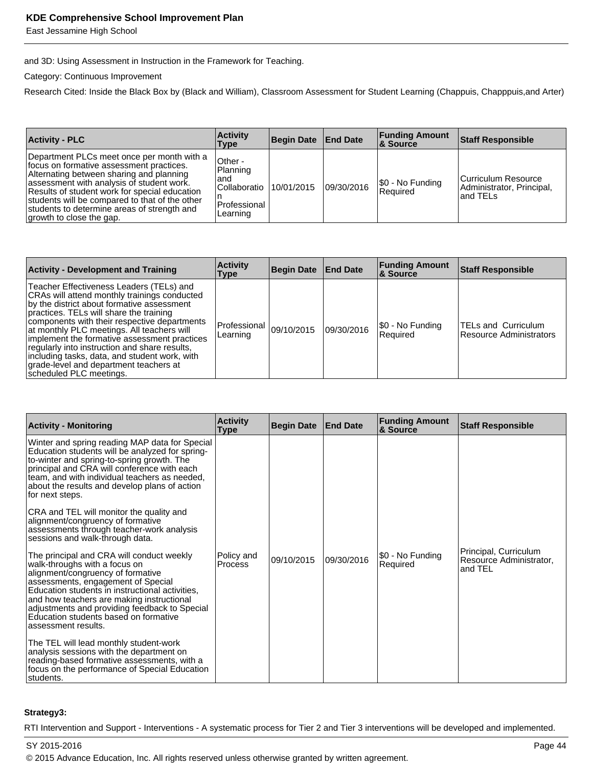East Jessamine High School

and 3D: Using Assessment in Instruction in the Framework for Teaching.

Category: Continuous Improvement

Research Cited: Inside the Black Box by (Black and William), Classroom Assessment for Student Learning (Chappuis, Chapppuis,and Arter)

| <b>Activity - PLC</b>                                                                                                                                                                                                                                                                                                                                         | <b>Activity</b><br>Type                                                    | Begin Date End Date |            | <b>Funding Amount</b><br>∣& Source | <b>Staff Responsible</b>                                      |
|---------------------------------------------------------------------------------------------------------------------------------------------------------------------------------------------------------------------------------------------------------------------------------------------------------------------------------------------------------------|----------------------------------------------------------------------------|---------------------|------------|------------------------------------|---------------------------------------------------------------|
| Department PLCs meet once per month with a<br>focus on formative assessment practices.<br>Alternating between sharing and planning<br>assessment with analysis of student work.<br>Results of student work for special education<br>students will be compared to that of the other<br>students to determine areas of strength and<br>growth to close the gap. | Other -<br>Planning<br>and<br>l Collaboratio<br>l Professional<br>Learning | 10/01/2015          | 09/30/2016 | [\$0 - No Funding<br>Required      | Curriculum Resource<br>Administrator, Principal,<br>land TELs |

| <b>Activity - Development and Training</b>                                                                                                                                                                                                                                                                                                                                                                                                                                                             | <b>Activity</b><br>Type  | <b>Begin Date</b> | <b>End Date</b> | <b>Funding Amount</b><br><b>8</b> Source | <b>Staff Responsible</b>                                     |
|--------------------------------------------------------------------------------------------------------------------------------------------------------------------------------------------------------------------------------------------------------------------------------------------------------------------------------------------------------------------------------------------------------------------------------------------------------------------------------------------------------|--------------------------|-------------------|-----------------|------------------------------------------|--------------------------------------------------------------|
| Teacher Effectiveness Leaders (TELs) and<br>CRAs will attend monthly trainings conducted<br>by the district about formative assessment<br>practices. TELs will share the training<br>components with their respective departments<br>at monthly PLC meetings. All teachers will<br>implement the formative assessment practices<br>regularly into instruction and share results,<br>including tasks, data, and student work, with<br>grade-level and department teachers at<br>scheduled PLC meetings. | Professional<br>Learning | 09/10/2015        | 09/30/2016      | \$0 - No Funding<br>Required             | <b>TELs and Curriculum</b><br><b>Resource Administrators</b> |

| <b>Activity - Monitoring</b>                                                                                                                                                                                                                                                                                                                                           | <b>Activity</b><br>Type      | <b>Begin Date</b> | <b>End Date</b> | <b>Funding Amount</b><br>& Source | <b>Staff Responsible</b>                                    |
|------------------------------------------------------------------------------------------------------------------------------------------------------------------------------------------------------------------------------------------------------------------------------------------------------------------------------------------------------------------------|------------------------------|-------------------|-----------------|-----------------------------------|-------------------------------------------------------------|
| Winter and spring reading MAP data for Special<br>Education students will be analyzed for spring-<br>to-winter and spring-to-spring growth. The<br>principal and CRA will conference with each<br>team, and with individual teachers as needed,<br>about the results and develop plans of action<br>for next steps.                                                    |                              |                   |                 |                                   |                                                             |
| CRA and TEL will monitor the quality and<br>alignment/congruency of formative<br>assessments through teacher-work analysis<br>sessions and walk-through data.                                                                                                                                                                                                          |                              |                   |                 |                                   |                                                             |
| The principal and CRA will conduct weekly<br>walk-throughs with a focus on<br>alignment/congruency of formative<br>assessments, engagement of Special<br>Education students in instructional activities,<br>and how teachers are making instructional<br>adjustments and providing feedback to Special<br>Education students based on formative<br>assessment results. | Policy and<br><b>Process</b> | 09/10/2015        | 09/30/2016      | \$0 - No Funding<br>Required      | Principal, Curriculum<br>Resource Administrator,<br>and TEL |
| The TEL will lead monthly student-work<br>analysis sessions with the department on<br>reading-based formative assessments, with a<br>focus on the performance of Special Education<br>students.                                                                                                                                                                        |                              |                   |                 |                                   |                                                             |

#### **Strategy3:**

RTI Intervention and Support - Interventions - A systematic process for Tier 2 and Tier 3 interventions will be developed and implemented.

SY 2015-2016 Page 44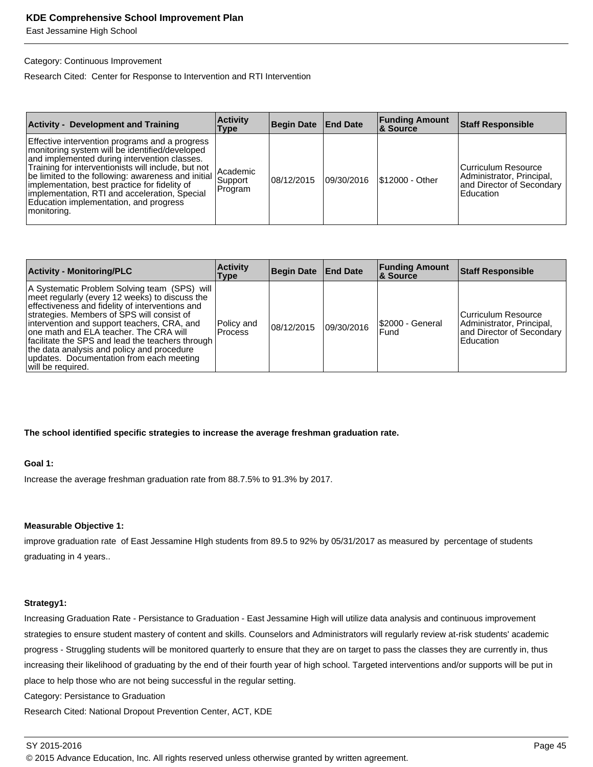East Jessamine High School

#### Category: Continuous Improvement

Research Cited: Center for Response to Intervention and RTI Intervention

| <b>Activity - Development and Training</b>                                                                                                                                                                                                                                                                                                                                                                                  | <b>Activity</b><br>Type        | <b>Begin Date</b> | <b>End Date</b> | <b>Funding Amount</b><br>8 Source | <b>Staff Responsible</b>                                                                     |
|-----------------------------------------------------------------------------------------------------------------------------------------------------------------------------------------------------------------------------------------------------------------------------------------------------------------------------------------------------------------------------------------------------------------------------|--------------------------------|-------------------|-----------------|-----------------------------------|----------------------------------------------------------------------------------------------|
| Effective intervention programs and a progress<br>monitoring system will be identified/developed<br>and implemented during intervention classes.<br>Training for interventionists will include, but not<br> be limited to the following: awareness and initial  <br>implementation, best practice for fidelity of<br>implementation, RTI and acceleration, Special<br>Education implementation, and progress<br>monitoring. | Academic<br>Support<br>Program | 08/12/2015        | 09/30/2016      | \$12000 - Other                   | Curriculum Resource<br>Administrator, Principal,<br>and Director of Secondary  <br>Education |

| <b>Activity - Monitoring/PLC</b>                                                                                                                                                                                                                                                                                                                                                                                                                            | <b>Activity</b><br>Type      | Begin Date | <b>End Date</b> | <b>Funding Amount</b><br>∣& Source | <b>Staff Responsible</b>                                                                     |
|-------------------------------------------------------------------------------------------------------------------------------------------------------------------------------------------------------------------------------------------------------------------------------------------------------------------------------------------------------------------------------------------------------------------------------------------------------------|------------------------------|------------|-----------------|------------------------------------|----------------------------------------------------------------------------------------------|
| A Systematic Problem Solving team (SPS) will<br>meet regularly (every 12 weeks) to discuss the<br>effectiveness and fidelity of interventions and<br>strategies. Members of SPS will consist of<br>intervention and support teachers, CRA, and<br>one math and ELA teacher. The CRA will<br>facilitate the SPS and lead the teachers through<br>the data analysis and policy and procedure<br>updates. Documentation from each meeting<br>will be required. | Policy and<br><b>Process</b> | 08/12/2015 | 09/30/2016      | \$2000 - General<br>Fund           | Curriculum Resource<br>Administrator, Principal,<br>and Director of Secondary<br>l Education |

#### **The school identified specific strategies to increase the average freshman graduation rate.**

#### **Goal 1:**

Increase the average freshman graduation rate from 88.7.5% to 91.3% by 2017.

#### **Measurable Objective 1:**

improve graduation rate of East Jessamine HIgh students from 89.5 to 92% by 05/31/2017 as measured by percentage of students graduating in 4 years..

#### **Strategy1:**

Increasing Graduation Rate - Persistance to Graduation - East Jessamine High will utilize data analysis and continuous improvement strategies to ensure student mastery of content and skills. Counselors and Administrators will regularly review at-risk students' academic progress - Struggling students will be monitored quarterly to ensure that they are on target to pass the classes they are currently in, thus increasing their likelihood of graduating by the end of their fourth year of high school. Targeted interventions and/or supports will be put in place to help those who are not being successful in the regular setting.

Category: Persistance to Graduation

Research Cited: National Dropout Prevention Center, ACT, KDE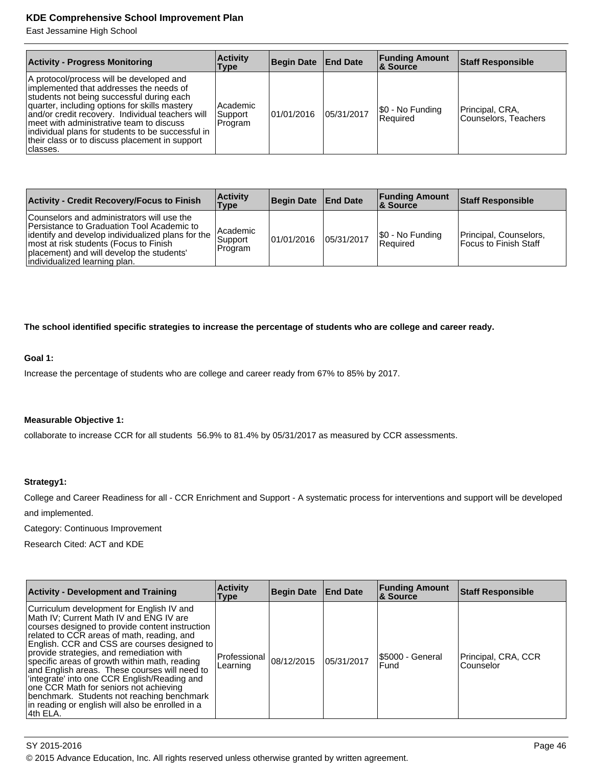East Jessamine High School

| <b>Activity - Progress Monitoring</b>                                                                                                                                                                                                                                                                                                                                                                 | <b>Activity</b><br>Type        | Begin Date   End Date |            | <b>Funding Amount</b><br><b>&amp; Source</b> | <b>Staff Responsible</b>                |
|-------------------------------------------------------------------------------------------------------------------------------------------------------------------------------------------------------------------------------------------------------------------------------------------------------------------------------------------------------------------------------------------------------|--------------------------------|-----------------------|------------|----------------------------------------------|-----------------------------------------|
| A protocol/process will be developed and<br>implemented that addresses the needs of<br>students not being successful during each<br>quarter, including options for skills mastery<br>and/or credit recovery. Individual teachers will<br>meet with administrative team to discuss<br>individual plans for students to be successful in<br>their class or to discuss placement in support<br> classes. | Academic<br>Support<br>Program | 01/01/2016            | 05/31/2017 | \$0 - No Funding<br>l Reauired               | Principal, CRA,<br>Counselors, Teachers |

| <b>Activity - Credit Recovery/Focus to Finish</b>                                                                                                                                                                                                                         | <b>Activity</b><br>Type           | Begin Date   End Date |            | <b>Funding Amount</b><br>∣& Source  | <b>Staff Responsible</b>                          |
|---------------------------------------------------------------------------------------------------------------------------------------------------------------------------------------------------------------------------------------------------------------------------|-----------------------------------|-----------------------|------------|-------------------------------------|---------------------------------------------------|
| Counselors and administrators will use the<br>lPersistance to Graduation Tool Academic to<br> identify and develop individualized plans for the  <br>most at risk students (Focus to Finish<br>placement) and will develop the students'<br>individualized learning plan. | l Academic<br>Support<br> Program | 01/01/2016            | 05/31/2017 | \$0 - No Funding<br><b>Required</b> | Principal, Counselors,<br>l Focus to Finish Staff |

**The school identified specific strategies to increase the percentage of students who are college and career ready.**

#### **Goal 1:**

Increase the percentage of students who are college and career ready from 67% to 85% by 2017.

#### **Measurable Objective 1:**

collaborate to increase CCR for all students 56.9% to 81.4% by 05/31/2017 as measured by CCR assessments.

#### **Strategy1:**

College and Career Readiness for all - CCR Enrichment and Support - A systematic process for interventions and support will be developed and implemented.

Category: Continuous Improvement

Research Cited: ACT and KDE

| <b>Activity - Development and Training</b>                                                                                                                                                                                                                                                                                                                                                                                                                                                                                                                                                   | <b>Activity</b><br><b>Type</b> | <b>Begin Date</b> | <b>End Date</b> | <b>Funding Amount</b><br>& Source | <b>Staff Responsible</b>         |
|----------------------------------------------------------------------------------------------------------------------------------------------------------------------------------------------------------------------------------------------------------------------------------------------------------------------------------------------------------------------------------------------------------------------------------------------------------------------------------------------------------------------------------------------------------------------------------------------|--------------------------------|-------------------|-----------------|-----------------------------------|----------------------------------|
| Curriculum development for English IV and<br>Math IV; Current Math IV and ENG IV are<br>courses designed to provide content instruction<br>related to CCR areas of math, reading, and<br>English. CCR and CSS are courses designed to<br>provide strategies, and remediation with<br>specific areas of growth within math, reading<br>and English areas. These courses will need to<br>'integrate' into one CCR English/Reading and<br>one CCR Math for seniors not achieving<br>benchmark. Students not reaching benchmark<br>in reading or english will also be enrolled in a<br> 4th ELA. | Professional<br>Learning       | 08/12/2015        | 05/31/2017      | \$5000 - General<br>l Fund        | Principal, CRA, CCR<br>Counselor |

SY 2015-2016 Page 46 © 2015 Advance Education, Inc. All rights reserved unless otherwise granted by written agreement.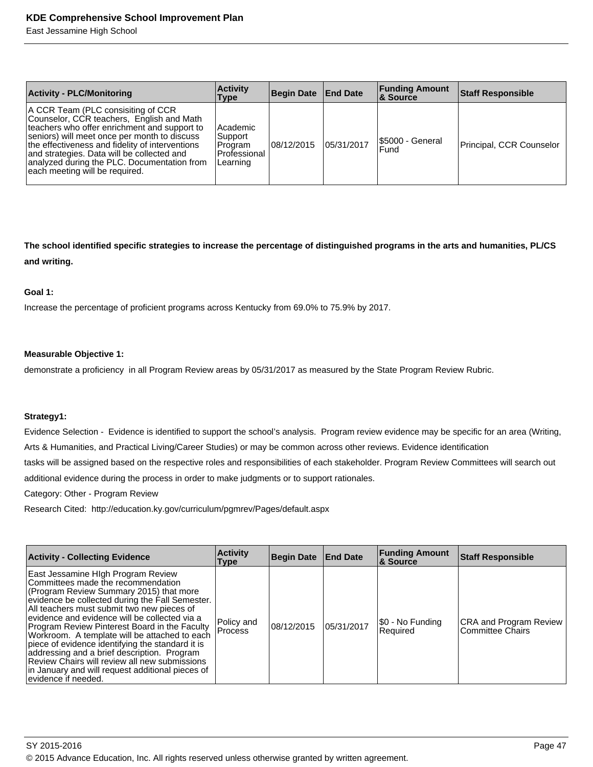East Jessamine High School

| <b>Activity - PLC/Monitoring</b>                                                                                                                                                                                                                                                                                                                                  | <b>Activity</b><br>Type                                    | Begin Date   End Date |            | <b>Funding Amount</b><br><b>8 Source</b> | <b>Staff Responsible</b> |
|-------------------------------------------------------------------------------------------------------------------------------------------------------------------------------------------------------------------------------------------------------------------------------------------------------------------------------------------------------------------|------------------------------------------------------------|-----------------------|------------|------------------------------------------|--------------------------|
| A CCR Team (PLC consisiting of CCR<br>Counselor, CCR teachers, English and Math<br>teachers who offer enrichment and support to<br>seniors) will meet once per month to discuss<br>the effectiveness and fidelity of interventions<br>and strategies. Data will be collected and<br>analyzed during the PLC. Documentation from<br>each meeting will be required. | Academic<br>Support<br>Program<br>Professional<br>Learning | 08/12/2015            | 05/31/2017 | I\$5000 - General<br>Fund                | Principal, CCR Counselor |

**The school identified specific strategies to increase the percentage of distinguished programs in the arts and humanities, PL/CS and writing.**

#### **Goal 1:**

Increase the percentage of proficient programs across Kentucky from 69.0% to 75.9% by 2017.

#### **Measurable Objective 1:**

demonstrate a proficiency in all Program Review areas by 05/31/2017 as measured by the State Program Review Rubric.

#### **Strategy1:**

Evidence Selection - Evidence is identified to support the school's analysis. Program review evidence may be specific for an area (Writing, Arts & Humanities, and Practical Living/Career Studies) or may be common across other reviews. Evidence identification

tasks will be assigned based on the respective roles and responsibilities of each stakeholder. Program Review Committees will search out

additional evidence during the process in order to make judgments or to support rationales.

Category: Other - Program Review

Research Cited: http://education.ky.gov/curriculum/pgmrev/Pages/default.aspx

| <b>Activity - Collecting Evidence</b>                                                                                                                                                                                                                                                                                                                                                                                                                                                                                                                                                                   | <b>Activity</b><br><b>Type</b> | <b>Begin Date End Date</b> |            | <b>Funding Amount</b><br>& Source | <b>Staff Responsible</b>                          |
|---------------------------------------------------------------------------------------------------------------------------------------------------------------------------------------------------------------------------------------------------------------------------------------------------------------------------------------------------------------------------------------------------------------------------------------------------------------------------------------------------------------------------------------------------------------------------------------------------------|--------------------------------|----------------------------|------------|-----------------------------------|---------------------------------------------------|
| East Jessamine High Program Review<br>Committees made the recommendation<br>(Program Review Summary 2015) that more<br>evidence be collected during the Fall Semester.<br>All teachers must submit two new pieces of<br>evidence and evidence will be collected via a<br>Program Review Pinterest Board in the Faculty<br>Workroom. A template will be attached to each<br>piece of evidence identifying the standard it is<br>addressing and a brief description. Program<br>Review Chairs will review all new submissions<br>in January and will request additional pieces of<br>levidence if needed. | Policy and<br><b>Process</b>   | 08/12/2015                 | 05/31/2017 | \$0 - No Funding<br>Required      | CRA and Program Review<br><b>Committee Chairs</b> |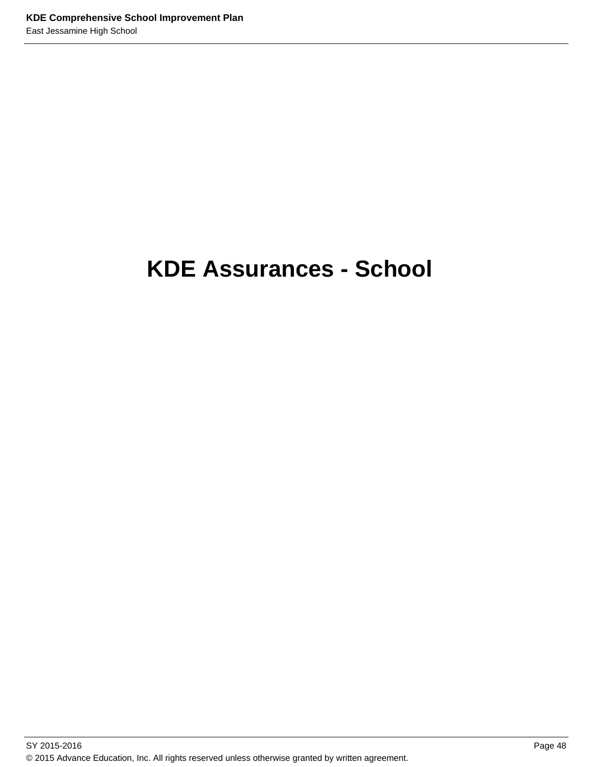# **KDE Assurances - School**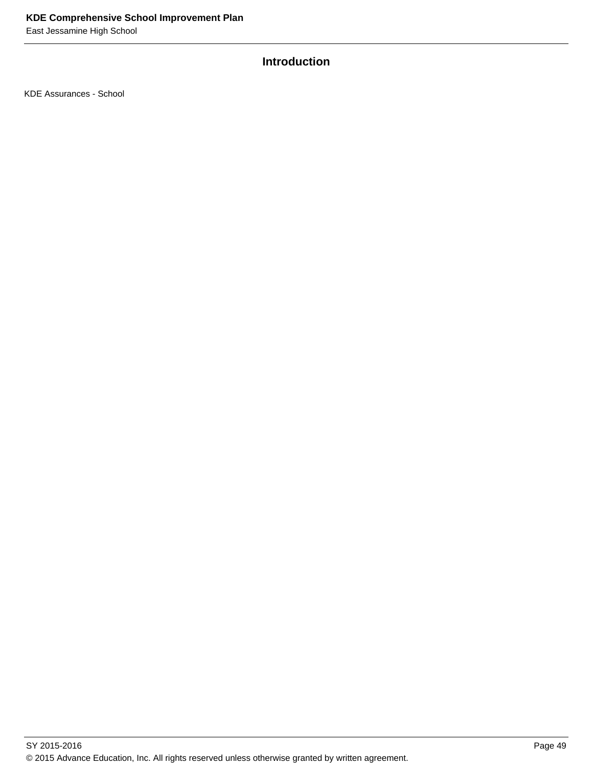# **Introduction**

KDE Assurances - School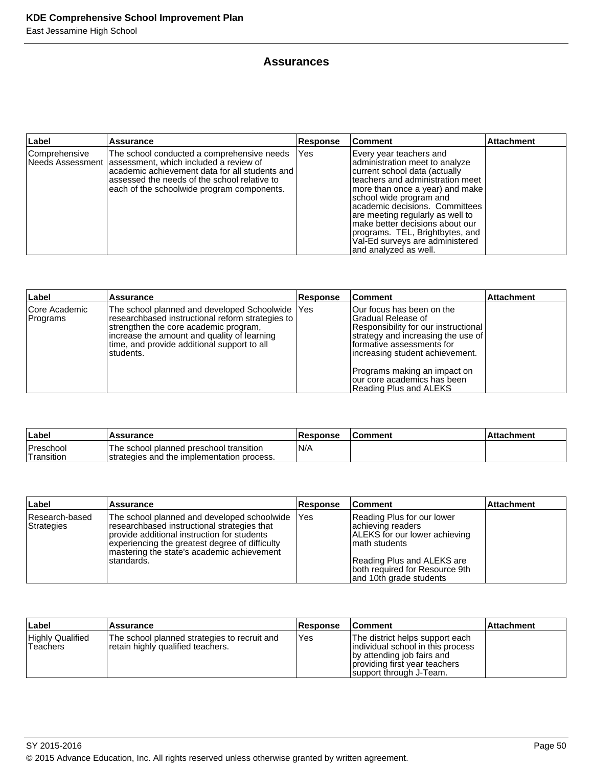## **Assurances**

| Label           | <b>Assurance</b>                                                                                                                                                                                                                                          | <b>Response</b> | <b>Comment</b>                                                                                                                                                                                                                                                                                                                                                                                       | <b>Attachment</b> |
|-----------------|-----------------------------------------------------------------------------------------------------------------------------------------------------------------------------------------------------------------------------------------------------------|-----------------|------------------------------------------------------------------------------------------------------------------------------------------------------------------------------------------------------------------------------------------------------------------------------------------------------------------------------------------------------------------------------------------------------|-------------------|
| l Comprehensive | The school conducted a comprehensive needs<br>Needs Assessment   assessment, which included a review of<br>lacademic achievement data for all students and<br>lassessed the needs of the school relative to<br>each of the schoolwide program components. | <b>IYes</b>     | Every year teachers and<br>administration meet to analyze<br>current school data (actually<br>teachers and administration meet<br>more than once a year) and make<br>school wide program and<br>academic decisions. Committees<br>are meeting regularly as well to<br>make better decisions about our<br>programs. TEL, Brightbytes, and<br>Val-Ed surveys are administered<br>and analyzed as well. |                   |

| Label                     | <b>Assurance</b>                                                                                                                                                                                                                                          | Response | ∣Comment                                                                                                                                                                                                                                                                                  | <b>Attachment</b> |
|---------------------------|-----------------------------------------------------------------------------------------------------------------------------------------------------------------------------------------------------------------------------------------------------------|----------|-------------------------------------------------------------------------------------------------------------------------------------------------------------------------------------------------------------------------------------------------------------------------------------------|-------------------|
| Core Academic<br>Programs | The school planned and developed Schoolwide   Yes<br>researchbased instructional reform strategies to<br>strengthen the core academic program.<br>increase the amount and quality of learning<br>time, and provide additional support to all<br>students. |          | Our focus has been on the<br>IGradual Release of<br>Responsibility for our instructional<br>strategy and increasing the use of<br>formative assessments for<br>lincreasing student achievement.<br>Programs making an impact on<br>Tour core academics has been<br>Reading Plus and ALEKS |                   |

| Label                    | <b>Assurance</b>                                                                       | <b>Response</b> | ∣Comment | l Attachment |
|--------------------------|----------------------------------------------------------------------------------------|-----------------|----------|--------------|
| Preschool<br>'Transition | The school planned preschool transition<br>Istrategies and the implementation process. | N/A             |          |              |

| ∣Label                       | Assurance                                                                                                                                                                                                                                                | <b>Response</b> | <b>Comment</b>                                                                                                                                                                                 | <b>Attachment</b> |
|------------------------------|----------------------------------------------------------------------------------------------------------------------------------------------------------------------------------------------------------------------------------------------------------|-----------------|------------------------------------------------------------------------------------------------------------------------------------------------------------------------------------------------|-------------------|
| Research-based<br>Strategies | The school planned and developed schoolwide<br>researchbased instructional strategies that<br>provide additional instruction for students<br>experiencing the greatest degree of difficulty<br>mastering the state's academic achievement<br>Istandards. | l Yes           | Reading Plus for our lower<br>achieving readers<br>ALEKS for our lower achieving<br>I math students<br>Reading Plus and ALEKS are<br>both required for Resource 9th<br>and 10th grade students |                   |

| Label                                | Assurance                                                                         | <b>Response</b> | ⊺Comment                                                                                                                                                       | <b>Attachment</b> |
|--------------------------------------|-----------------------------------------------------------------------------------|-----------------|----------------------------------------------------------------------------------------------------------------------------------------------------------------|-------------------|
| <b>Highly Qualified</b><br>'Teachers | The school planned strategies to recruit and<br>retain highly qualified teachers. | Yes             | The district helps support each<br>individual school in this process<br>by attending job fairs and<br>providing first year teachers<br>support through J-Team. |                   |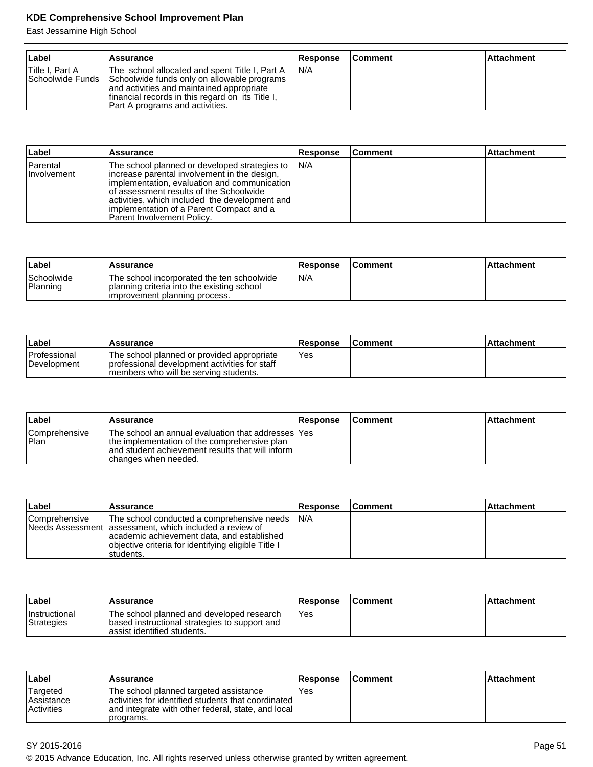| ∣Label          | Assurance                                                                                                                                                                                                                                          | <b>Response</b> | <b>Comment</b> | <b>Attachment</b> |
|-----------------|----------------------------------------------------------------------------------------------------------------------------------------------------------------------------------------------------------------------------------------------------|-----------------|----------------|-------------------|
| Title I. Part A | The school allocated and spent Title I, Part A<br>Schoolwide Funds Schoolwide funds only on allowable programs<br>and activities and maintained appropriate<br>financial records in this regard on its Title I.<br>Part A programs and activities. | IN/A            |                |                   |

| Label                   | <b>Assurance</b>                                                                                                                                                                                                                                                                                                             | <b>Response</b> | <b>Comment</b> | <b>Attachment</b> |
|-------------------------|------------------------------------------------------------------------------------------------------------------------------------------------------------------------------------------------------------------------------------------------------------------------------------------------------------------------------|-----------------|----------------|-------------------|
| Parental<br>Involvement | The school planned or developed strategies to IN/A<br>lincrease parental involvement in the design,<br>limplementation, evaluation and communication<br>of assessment results of the Schoolwide<br>activities, which included the development and<br>limplementation of a Parent Compact and a<br>Parent Involvement Policy. |                 |                |                   |

| ∣Label                 | 'Assurance                                                                                                                | <b>Response</b> | <b>Comment</b> | ∣Attachment |
|------------------------|---------------------------------------------------------------------------------------------------------------------------|-----------------|----------------|-------------|
| Schoolwide<br>Planning | The school incorporated the ten schoolwide<br>planning criteria into the existing school<br>improvement planning process. | N/A             |                |             |

| ∣Label                             | 'Assurance                                                                                                                              | <b>Response</b> | <b>Comment</b> | ⊺Attachment |
|------------------------------------|-----------------------------------------------------------------------------------------------------------------------------------------|-----------------|----------------|-------------|
| <b>Professional</b><br>Development | The school planned or provided appropriate<br>I professional development activities for staff<br>Imembers who will be serving students. | Yes             |                |             |

| ∣Label                 | Assurance                                                                                                                                                                          | <b>Response</b> | <b>Comment</b> | l Attachment |
|------------------------|------------------------------------------------------------------------------------------------------------------------------------------------------------------------------------|-----------------|----------------|--------------|
| Comprehensive<br>±Plan | The school an annual evaluation that addresses   Yes<br>the implementation of the comprehensive plan<br>and student achievement results that will inform I<br>changes when needed. |                 |                |              |

| Label           | Assurance                                                                                                                                                                                                                 | <b>Response</b> | <b>Comment</b> | <b>Attachment</b> |
|-----------------|---------------------------------------------------------------------------------------------------------------------------------------------------------------------------------------------------------------------------|-----------------|----------------|-------------------|
| l Comprehensive | The school conducted a comprehensive needs<br>Needs Assessment lassessment, which included a review of<br>academic achievement data, and established<br>objective criteria for identifying eligible Title I<br>Istudents. | IN/A            |                |                   |

| ∣Label                             | Assurance                                                                                                                  | <b>Response</b> | <b>Comment</b> | <b>Attachment</b> |
|------------------------------------|----------------------------------------------------------------------------------------------------------------------------|-----------------|----------------|-------------------|
| <b>Instructional</b><br>Strategies | The school planned and developed research<br>based instructional strategies to support and<br>lassist identified students. | Yes             |                |                   |

| ∣Label                                      | <b>Assurance</b>                                                                                                                                                    | <b>Response</b> | ∣Comment | ∣Attachment∶ |
|---------------------------------------------|---------------------------------------------------------------------------------------------------------------------------------------------------------------------|-----------------|----------|--------------|
| Targeted<br>Assistance<br><b>Activities</b> | The school planned targeted assistance<br>activities for identified students that coordinated I<br>and integrate with other federal, state, and local<br>'programs. | Yes             |          |              |

<sup>© 2015</sup> Advance Education, Inc. All rights reserved unless otherwise granted by written agreement.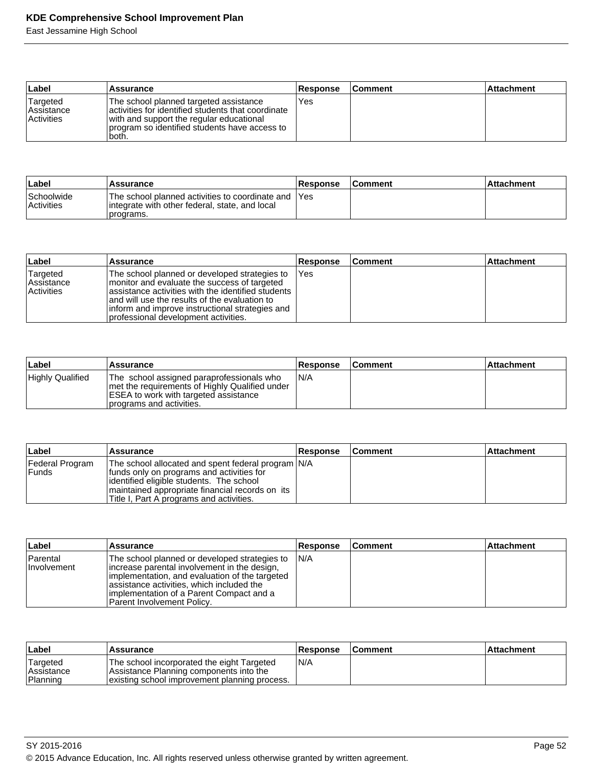| ∣Label                                             | <b>Assurance</b>                                                                                                                                                                                     | Response | <b>Comment</b> | <b>Attachment</b> |
|----------------------------------------------------|------------------------------------------------------------------------------------------------------------------------------------------------------------------------------------------------------|----------|----------------|-------------------|
| Targeted<br><b>Assistance</b><br><b>Activities</b> | The school planned targeted assistance<br>lactivities for identified students that coordinate<br>with and support the regular educational<br>program so identified students have access to<br>'both. | Yes      |                |                   |

| ∣Label                          | <b>Assurance</b>                                                                                                    | <b>Response</b> | <b>Comment</b> | ⊺Attachment |
|---------------------------------|---------------------------------------------------------------------------------------------------------------------|-----------------|----------------|-------------|
| Schoolwide<br><b>Activities</b> | The school planned activities to coordinate and IYes<br>integrate with other federal, state, and local<br>programs. |                 |                |             |

| ∣Label                                             | Assurance                                                                                                                                                                                                                                                                                         | <b>Response</b> | ∣Comment | <b>Attachment</b> |
|----------------------------------------------------|---------------------------------------------------------------------------------------------------------------------------------------------------------------------------------------------------------------------------------------------------------------------------------------------------|-----------------|----------|-------------------|
| Targeted<br><b>Assistance</b><br><b>Activities</b> | The school planned or developed strategies to<br>Imonitor and evaluate the success of targeted<br>lassistance activities with the identified students<br>and will use the results of the evaluation to<br>inform and improve instructional strategies and<br>professional development activities. | l Yes           |          |                   |

| ∣Label                  | Assurance                                                                                                                                                                 | <b>Response</b> | <b>Comment</b> | ∣Attachment |
|-------------------------|---------------------------------------------------------------------------------------------------------------------------------------------------------------------------|-----------------|----------------|-------------|
| <b>Highly Qualified</b> | The school assigned paraprofessionals who<br>I met the requirements of Highly Qualified under<br><b>ESEA to work with targeted assistance</b><br>programs and activities. | IN/A            |                |             |

| Label                    | <b>Assurance</b>                                                                                                                                                                                                                             | <b>Response</b> | <b>Comment</b> | ∣Attachment |
|--------------------------|----------------------------------------------------------------------------------------------------------------------------------------------------------------------------------------------------------------------------------------------|-----------------|----------------|-------------|
| Federal Program<br>Funds | The school allocated and spent federal program N/A<br>Ifunds only on programs and activities for<br>lidentified eligible students. The school<br>maintained appropriate financial records on its<br>Title I, Part A programs and activities. |                 |                |             |

| Label                   | <b>Assurance</b>                                                                                                                                                                                                                                                         | <b>Response</b> | <b>Comment</b> | <b>Attachment</b> |
|-------------------------|--------------------------------------------------------------------------------------------------------------------------------------------------------------------------------------------------------------------------------------------------------------------------|-----------------|----------------|-------------------|
| Parental<br>Involvement | The school planned or developed strategies to<br>increase parental involvement in the design,<br>limplementation, and evaluation of the targeted<br>assistance activities, which included the<br>limplementation of a Parent Compact and a<br>Parent Involvement Policy. | IN/A            |                |                   |

| ∣Label                                    | Assurance                                                                                                                              | <b>Response</b> | <b>Comment</b> | <b>Attachment</b> |
|-------------------------------------------|----------------------------------------------------------------------------------------------------------------------------------------|-----------------|----------------|-------------------|
| Targeted<br><b>Assistance</b><br>Planning | The school incorporated the eight Targeted<br>Assistance Planning components into the<br>existing school improvement planning process. | IN/A            |                |                   |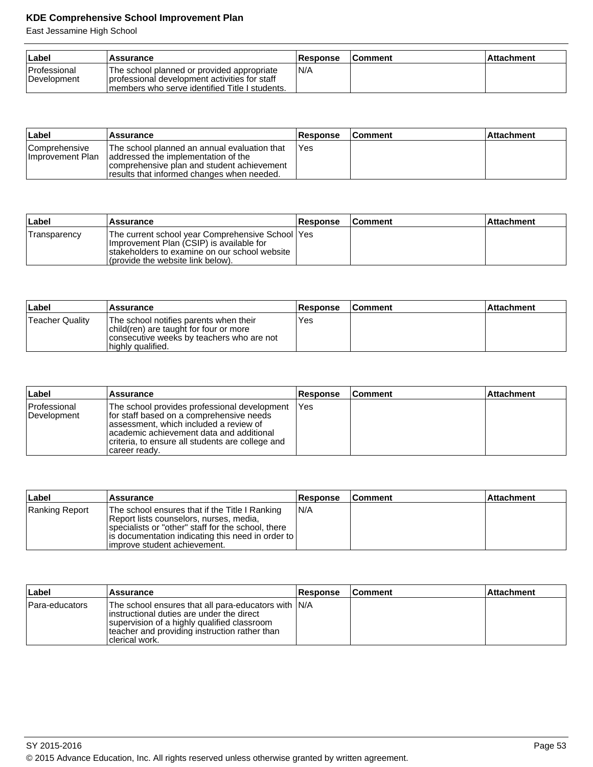| ∣Label                             | Assurance                                                                                                                                        | <b>Response</b> | <b>Comment</b> | ∣Attachment |
|------------------------------------|--------------------------------------------------------------------------------------------------------------------------------------------------|-----------------|----------------|-------------|
| <b>Professional</b><br>Development | The school planned or provided appropriate<br>I professional development activities for staff<br>Imembers who serve identified Title I students. | N/A             |                |             |

| ∣Label                             | Assurance                                                                                                                                                                       | Response | <b>Comment</b> | l Attachment |
|------------------------------------|---------------------------------------------------------------------------------------------------------------------------------------------------------------------------------|----------|----------------|--------------|
| Comprehensive<br>Ilmprovement Plan | The school planned an annual evaluation that<br>addressed the implementation of the<br>comprehensive plan and student achievement<br>results that informed changes when needed. | l Yes    |                |              |

| Label        | <b>Assurance</b>                                                                                                                                                                      | <b>Response</b> | <b>Comment</b> | l Attachment |
|--------------|---------------------------------------------------------------------------------------------------------------------------------------------------------------------------------------|-----------------|----------------|--------------|
| Transparency | The current school year Comprehensive School   Yes<br>Improvement Plan (CSIP) is available for<br>Istakeholders to examine on our school website<br>(provide the website link below). |                 |                |              |

| Label           | <b>Assurance</b>                                                                                                                                   | <b>Response</b> | ⊺Comment | Attachment |
|-----------------|----------------------------------------------------------------------------------------------------------------------------------------------------|-----------------|----------|------------|
| Teacher Quality | The school notifies parents when their<br>child(ren) are taught for four or more<br>consecutive weeks by teachers who are not<br>highly qualified. | Yes             |          |            |

| ∣Label                      | <b>Assurance</b>                                                                                                                                                                                                                                      | <b>Response</b> | <b>Comment</b> | <b>Attachment</b> |
|-----------------------------|-------------------------------------------------------------------------------------------------------------------------------------------------------------------------------------------------------------------------------------------------------|-----------------|----------------|-------------------|
| Professional<br>Development | The school provides professional development<br>for staff based on a comprehensive needs<br>assessment, which included a review of<br>lacademic achievement data and additional<br>criteria, to ensure all students are college and<br> career ready. | <b>IYes</b>     |                |                   |

| Label          | Assurance                                                                                                                                                                                                                             | <b>Response</b> | <b>Comment</b> | <b>Attachment</b> |
|----------------|---------------------------------------------------------------------------------------------------------------------------------------------------------------------------------------------------------------------------------------|-----------------|----------------|-------------------|
| Ranking Report | The school ensures that if the Title I Ranking<br>Report lists counselors, nurses, media,<br>specialists or "other" staff for the school, there<br>is documentation indicating this need in order to<br>limprove student achievement. | IN/A            |                |                   |

| ∣Label         | <b>Assurance</b>                                                                                                                                                                                                     | <b>Response</b> | ∣Comment | <b>Attachment</b> |
|----------------|----------------------------------------------------------------------------------------------------------------------------------------------------------------------------------------------------------------------|-----------------|----------|-------------------|
| Para-educators | The school ensures that all para-educators with N/A<br>linstructional duties are under the direct<br>supervision of a highly qualified classroom<br>teacher and providing instruction rather than<br>Iclerical work. |                 |          |                   |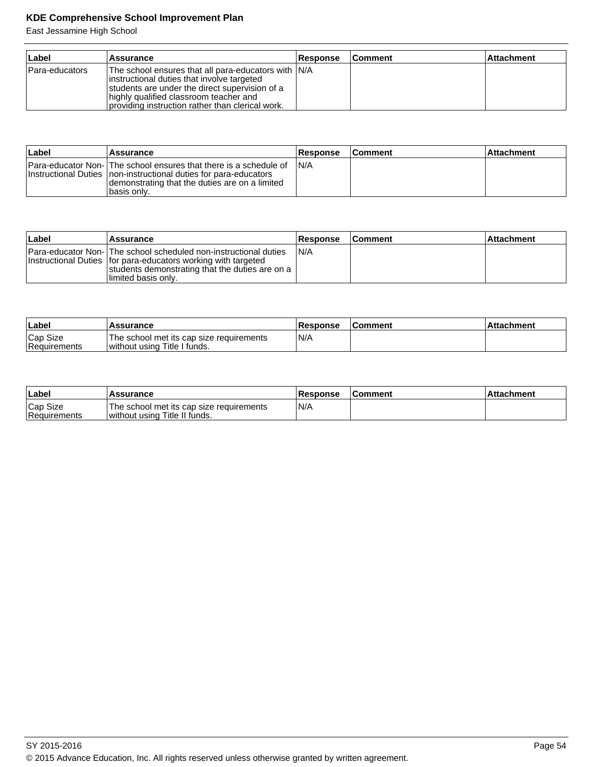| ∣Label         | Assurance                                                                                                                                                                                                                                          | <b>Response</b> | <b>Comment</b> | <b>Attachment</b> |
|----------------|----------------------------------------------------------------------------------------------------------------------------------------------------------------------------------------------------------------------------------------------------|-----------------|----------------|-------------------|
| Para-educators | The school ensures that all para-educators with IN/A<br>instructional duties that involve targeted<br>students are under the direct supervision of a<br>highly qualified classroom teacher and<br>providing instruction rather than clerical work. |                 |                |                   |

| ∣Label | <b>Assurance</b>                                                                                                                                                                                         | Response | <b>Comment</b> | ∣Attachment |
|--------|----------------------------------------------------------------------------------------------------------------------------------------------------------------------------------------------------------|----------|----------------|-------------|
|        | Para-educator Non- The school ensures that there is a schedule of<br>Instructional Duties Inon-instructional duties for para-educators<br>demonstrating that the duties are on a limited<br>Ibasis only. | IN/A     |                |             |

| Label | Assurance                                                                                                                                                                                                             | <b>Response</b> | <b>Comment</b> | <b>Attachment</b> |
|-------|-----------------------------------------------------------------------------------------------------------------------------------------------------------------------------------------------------------------------|-----------------|----------------|-------------------|
|       | <b>Para-educator Non-IThe school scheduled non-instructional duties</b><br>Instructional Duties   for para-educators working with targeted<br>students demonstrating that the duties are on a<br>llimited basis onlv. | IN/A            |                |                   |

| Label                    | <b>Assurance</b>                                                         | <b>Response</b> | <b>Comment</b> | <b>Attachment</b> |
|--------------------------|--------------------------------------------------------------------------|-----------------|----------------|-------------------|
| Cap Size<br>Requirements | The school met its cap size requirements<br>without using Title I funds. | N/A             |                |                   |

| <b>⊥Label</b>            | Assurance                                                                 | Response | <b>IComment</b> | ⊺Attachment |
|--------------------------|---------------------------------------------------------------------------|----------|-----------------|-------------|
| Cap Size<br>Requirements | The school met its cap size requirements<br>without using Title II funds. | N/A      |                 |             |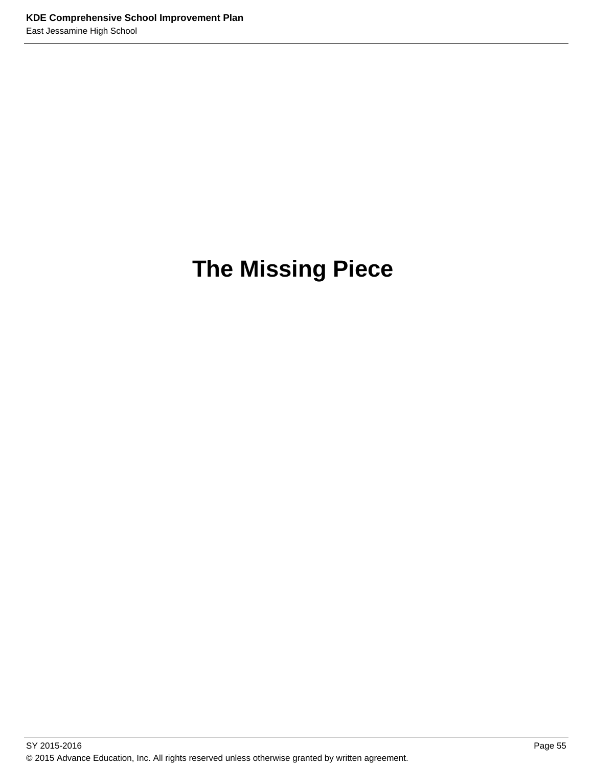# **The Missing Piece**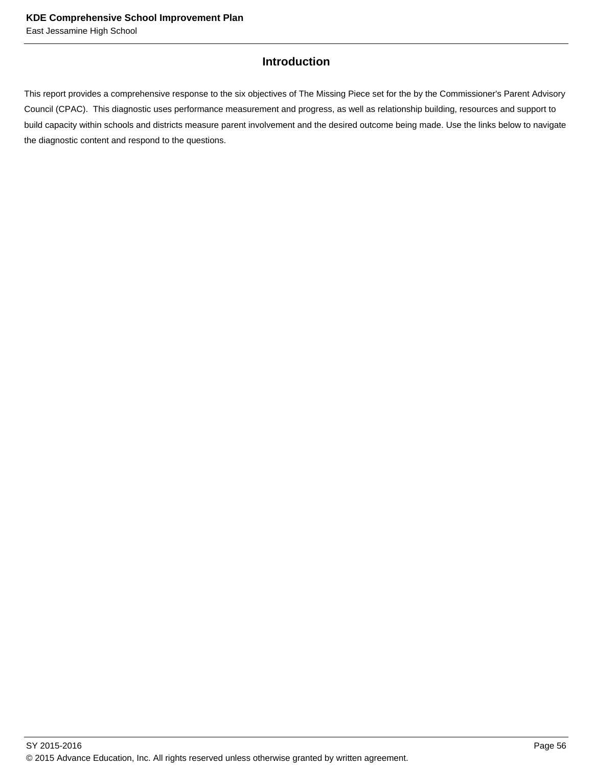## **Introduction**

This report provides a comprehensive response to the six objectives of The Missing Piece set for the by the Commissioner's Parent Advisory Council (CPAC). This diagnostic uses performance measurement and progress, as well as relationship building, resources and support to build capacity within schools and districts measure parent involvement and the desired outcome being made. Use the links below to navigate the diagnostic content and respond to the questions.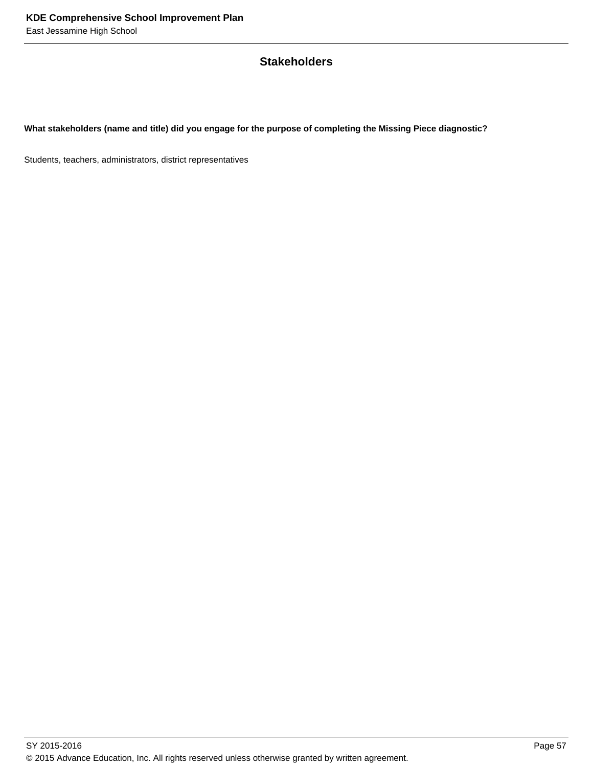## **Stakeholders**

**What stakeholders (name and title) did you engage for the purpose of completing the Missing Piece diagnostic?** 

Students, teachers, administrators, district representatives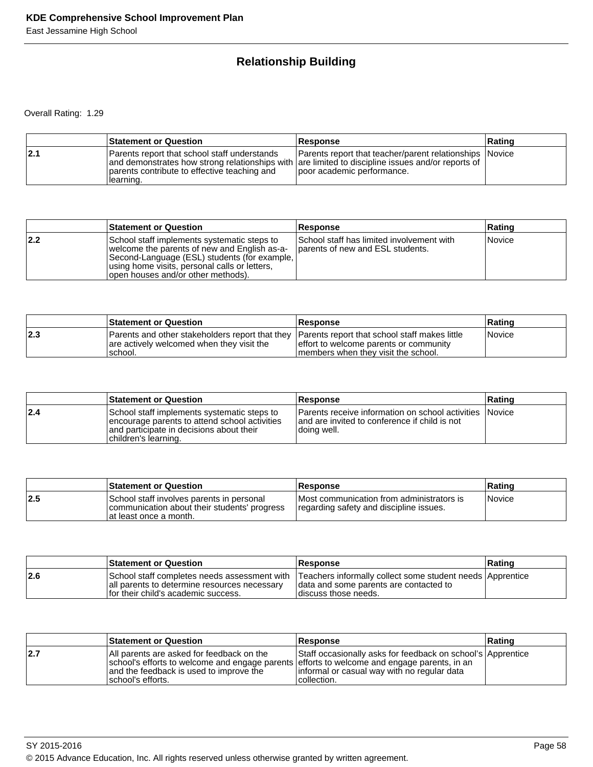# **Relationship Building**

Overall Rating: 1.29

|     | <b>Statement or Question</b>                                                                                                                                                                                    | <b>Response</b>                                                                       | Rating |
|-----|-----------------------------------------------------------------------------------------------------------------------------------------------------------------------------------------------------------------|---------------------------------------------------------------------------------------|--------|
| 2.1 | Parents report that school staff understands<br>and demonstrates how strong relationships with are limited to discipline issues and/or reports of<br>parents contribute to effective teaching and<br>Ilearning. | Parents report that teacher/parent relationships Novice<br>poor academic performance. |        |

|     | <b>Statement or Question</b>                                                                                                                                                                                                         | <b>Response</b>                                                               | Rating |
|-----|--------------------------------------------------------------------------------------------------------------------------------------------------------------------------------------------------------------------------------------|-------------------------------------------------------------------------------|--------|
| 2.2 | School staff implements systematic steps to<br>welcome the parents of new and English as-a-<br>Second-Language (ESL) students (for example,<br>using home visits, personal calls or letters,<br>(lopen houses and/or other methods). | School staff has limited involvement with<br>parents of new and ESL students. | Novice |

|     | <b>Statement or Question</b>                                                                                                                           | <b>Response</b>                                                                 | <b>Rating</b>        |
|-----|--------------------------------------------------------------------------------------------------------------------------------------------------------|---------------------------------------------------------------------------------|----------------------|
| 2.3 | Parents and other stakeholders report that they Parents report that school staff makes little<br>are actively welcomed when they visit the<br>'school. | effort to welcome parents or community<br>I members when they visit the school. | <i><b>Novice</b></i> |

|     | <b>Statement or Question</b>                                                                                                                                     | Response                                                                                                                         | Rating |
|-----|------------------------------------------------------------------------------------------------------------------------------------------------------------------|----------------------------------------------------------------------------------------------------------------------------------|--------|
| 2.4 | School staff implements systematic steps to<br>encourage parents to attend school activities<br>and participate in decisions about their<br>children's learning. | <b>IParents receive information on school activities INovice</b><br>and are invited to conference if child is not<br>doing well. |        |

|      | <b>Statement or Question</b>                                                                                         | <b>Response</b>                                                                       | ∣Ratinq       |
|------|----------------------------------------------------------------------------------------------------------------------|---------------------------------------------------------------------------------------|---------------|
| 12.5 | School staff involves parents in personal<br>communication about their students' progress<br>lat least once a month. | IMost communication from administrators is<br>regarding safety and discipline issues. | <i>Novice</i> |

|     | <b>Statement or Question</b>                                                          | <b>Response</b>                                                                                                                                                             | ∣Ratinɑ |
|-----|---------------------------------------------------------------------------------------|-----------------------------------------------------------------------------------------------------------------------------------------------------------------------------|---------|
| 2.6 | all parents to determine resources necessary<br>If or their child's academic success. | School staff completes needs assessment with Teachers informally collect some student needs Apprentice<br>I data and some parents are contacted to<br>Idiscuss those needs. |         |

|     | <b>Statement or Question</b>                                                                                                                                                                              | <b>Response</b>                                                                                                            | Rating |
|-----|-----------------------------------------------------------------------------------------------------------------------------------------------------------------------------------------------------------|----------------------------------------------------------------------------------------------------------------------------|--------|
| 2.7 | All parents are asked for feedback on the<br>school's efforts to welcome and engage parents efforts to welcome and engage parents, in an<br>and the feedback is used to improve the<br>Ischool's efforts. | Staff occasionally asks for feedback on school's Apprentice<br>linformal or casual way with no regular data<br>collection. |        |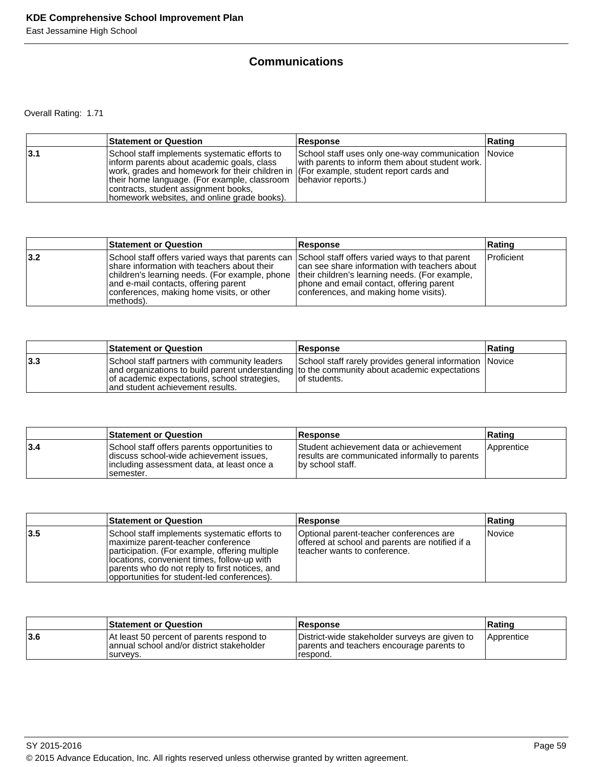# **Communications**

Overall Rating: 1.71

|     | <b>Statement or Question</b>                                                                                                                                                                                                                                                                                                                      | <b>Response</b>                                                                                        | ∣Ratinq |
|-----|---------------------------------------------------------------------------------------------------------------------------------------------------------------------------------------------------------------------------------------------------------------------------------------------------------------------------------------------------|--------------------------------------------------------------------------------------------------------|---------|
| 3.1 | School staff implements systematic efforts to<br>Inform parents about academic goals, class<br>work, grades and homework for their children in (For example, student report cards and<br>their home language. (For example, classroom   behavior reports.)<br>contracts, student assignment books,<br>homework websites, and online grade books). | School staff uses only one-way communication Novice<br>with parents to inform them about student work. |         |

|     | <b>Statement or Question</b>                                                                                                                                                                                                                                                                         | Response                                                                                                                                                                             | Rating            |
|-----|------------------------------------------------------------------------------------------------------------------------------------------------------------------------------------------------------------------------------------------------------------------------------------------------------|--------------------------------------------------------------------------------------------------------------------------------------------------------------------------------------|-------------------|
| 3.2 | School staff offers varied ways that parents can School staff offers varied ways to that parent<br>Ishare information with teachers about their<br>children's learning needs. (For example, phone<br>and e-mail contacts, offering parent<br>conferences, making home visits, or other<br> methods). | can see share information with teachers about<br>their children's learning needs. (For example,<br>phone and email contact, offering parent<br>conferences, and making home visits). | <b>Proficient</b> |

|     | <b>Statement or Question</b>                                                                                                                                                                                                      | <b>Response</b>                                                          | Rating |
|-----|-----------------------------------------------------------------------------------------------------------------------------------------------------------------------------------------------------------------------------------|--------------------------------------------------------------------------|--------|
| 3.3 | School staff partners with community leaders<br>and organizations to build parent understanding to the community about academic expectations<br>of academic expectations, school strategies,<br>land student achievement results. | School staff rarely provides general information Novice<br>Tof students. |        |

|     | <b>Statement or Question</b>                                                                                                                        | Response                                                                                                      | Rating     |
|-----|-----------------------------------------------------------------------------------------------------------------------------------------------------|---------------------------------------------------------------------------------------------------------------|------------|
| 3.4 | School staff offers parents opportunities to<br>discuss school-wide achievement issues.<br>lincluding assessment data, at least once a<br>semester. | Student achievement data or achievement<br>results are communicated informally to parents<br>by school staff. | Apprentice |

|     | <b>Statement or Question</b>                                                                                                                                                                                                                                                           | Response                                                                                                                    | Rating |
|-----|----------------------------------------------------------------------------------------------------------------------------------------------------------------------------------------------------------------------------------------------------------------------------------------|-----------------------------------------------------------------------------------------------------------------------------|--------|
| 3.5 | School staff implements systematic efforts to<br>Imaximize parent-teacher conference<br>participation. (For example, offering multiple<br>locations, convenient times, follow-up with<br>parents who do not reply to first notices, and<br>opportunities for student-led conferences). | Optional parent-teacher conferences are<br>offered at school and parents are notified if a<br>Iteacher wants to conference. | Novice |

|     | <b>Statement or Question</b>                                                                        | <b>Response</b>                                                                                         | ∣Ratinɑ           |
|-----|-----------------------------------------------------------------------------------------------------|---------------------------------------------------------------------------------------------------------|-------------------|
| 3.6 | At least 50 percent of parents respond to<br>annual school and/or district stakeholder<br>Isurvevs. | District-wide stakeholder surveys are given to<br>parents and teachers encourage parents to<br>respond. | <i>Apprentice</i> |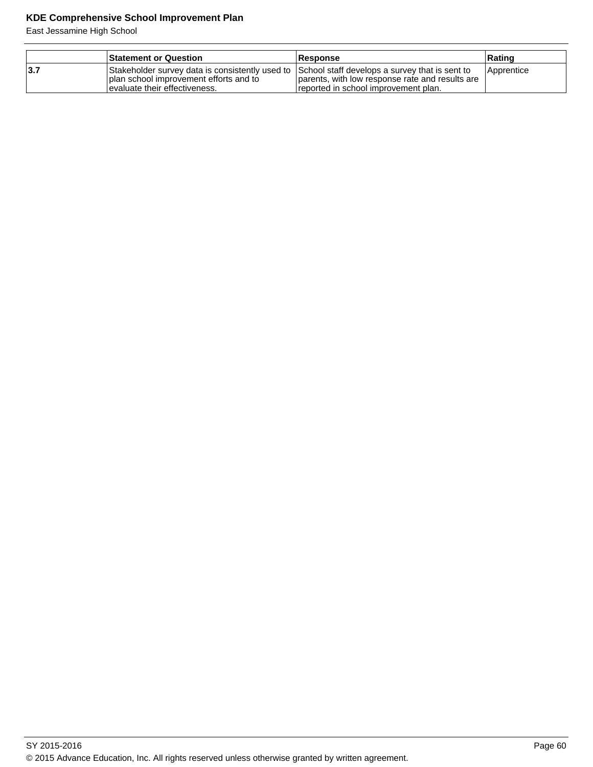|            | <b>Statement or Question</b>                                                                                                                                                 | <b>Response</b>                                                                         | ∣Ratinɑ    |
|------------|------------------------------------------------------------------------------------------------------------------------------------------------------------------------------|-----------------------------------------------------------------------------------------|------------|
| <b>3.7</b> | Stakeholder survey data is consistently used to School staff develops a survey that is sent to<br>I plan school improvement efforts and to<br>levaluate their effectiveness. | parents, with low response rate and results are<br>reported in school improvement plan. | Apprentice |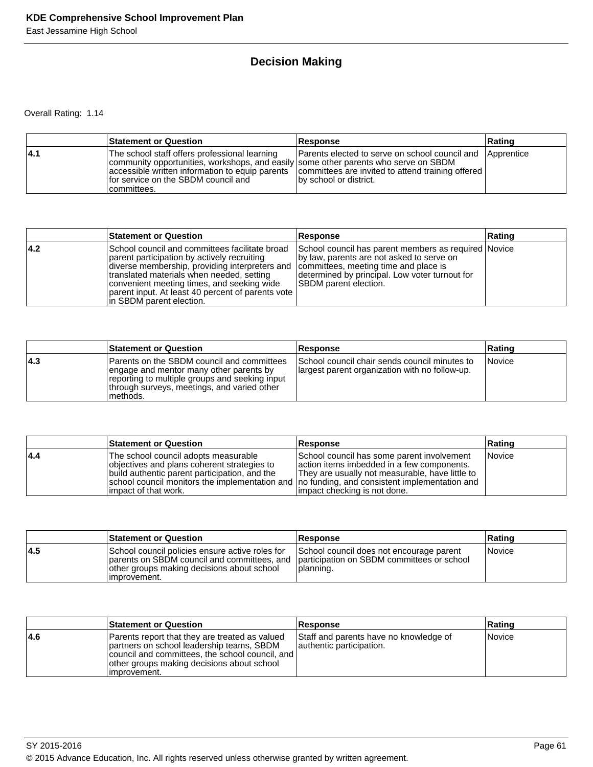# **Decision Making**

Overall Rating: 1.14

|      | Statement or Question                                                                                                                                                                                                                                                                              | Response                                                                                   | Rating |
|------|----------------------------------------------------------------------------------------------------------------------------------------------------------------------------------------------------------------------------------------------------------------------------------------------------|--------------------------------------------------------------------------------------------|--------|
| 14.1 | The school staff offers professional learning<br>community opportunities, workshops, and easily some other parents who serve on SBDM<br>accessible written information to equip parents   committees are invited to attend training offered<br>for service on the SBDM council and<br>Icommittees. | <b>Parents elected to serve on school council and Apprentice</b><br>by school or district. |        |

|      | <b>Statement or Question</b>                                                                                                                                                                                                                                                                                                                                           | Response                                                                                                                                                                            | ∣Ratinq |
|------|------------------------------------------------------------------------------------------------------------------------------------------------------------------------------------------------------------------------------------------------------------------------------------------------------------------------------------------------------------------------|-------------------------------------------------------------------------------------------------------------------------------------------------------------------------------------|---------|
| 14.2 | School council and committees facilitate broad<br>parent participation by actively recruiting<br>diverse membership, providing interpreters and  committees, meeting time and place is<br>translated materials when needed, setting<br>convenient meeting times, and seeking wide<br>  parent input. At least 40 percent of parents vote  <br>In SBDM parent election. | School council has parent members as required Novice<br>by law, parents are not asked to serve on<br>determined by principal. Low voter turnout for<br><b>SBDM</b> parent election. |         |

|      | <b>Statement or Question</b>                                                                                                                                                                          | <b>Response</b>                                                                                  | Rating        |
|------|-------------------------------------------------------------------------------------------------------------------------------------------------------------------------------------------------------|--------------------------------------------------------------------------------------------------|---------------|
| 14.3 | IParents on the SBDM council and committees<br>engage and mentor many other parents by<br>reporting to multiple groups and seeking input<br>Ithrough surveys, meetings, and varied other<br>Imethods. | School council chair sends council minutes to<br>llargest parent organization with no follow-up. | <i>Novice</i> |

|     | <b>Statement or Question</b>                                                                                                                                                                                                                                    | <b>Response</b>                                                                                                                                                              | ∣Ratinq |
|-----|-----------------------------------------------------------------------------------------------------------------------------------------------------------------------------------------------------------------------------------------------------------------|------------------------------------------------------------------------------------------------------------------------------------------------------------------------------|---------|
| 4.4 | The school council adopts measurable<br>objectives and plans coherent strategies to<br>build authentic parent participation, and the<br>school council monitors the implementation and   no funding, and consistent implementation and<br>limpact of that work. | School council has some parent involvement<br>action items imbedded in a few components.<br>They are usually not measurable, have little to<br>limpact checking is not done. | Novice  |

|     | <b>Statement or Question</b>                                                                                                                                                                              | <b>Response</b>                                       | Rating |
|-----|-----------------------------------------------------------------------------------------------------------------------------------------------------------------------------------------------------------|-------------------------------------------------------|--------|
| 4.5 | School council policies ensure active roles for<br>parents on SBDM council and committees, and participation on SBDM committees or school<br>lother groups making decisions about school<br>limprovement. | School council does not encourage parent<br>planning. | Novice |

|      | <b>Statement or Question</b>                                                                                                                                                                                  | <b>Response</b>                                                    | Rating        |
|------|---------------------------------------------------------------------------------------------------------------------------------------------------------------------------------------------------------------|--------------------------------------------------------------------|---------------|
| 14.6 | Parents report that they are treated as valued<br>partners on school leadership teams, SBDM<br>council and committees, the school council, and<br>other groups making decisions about school<br>limprovement. | Staff and parents have no knowledge of<br>authentic participation. | <i>Novice</i> |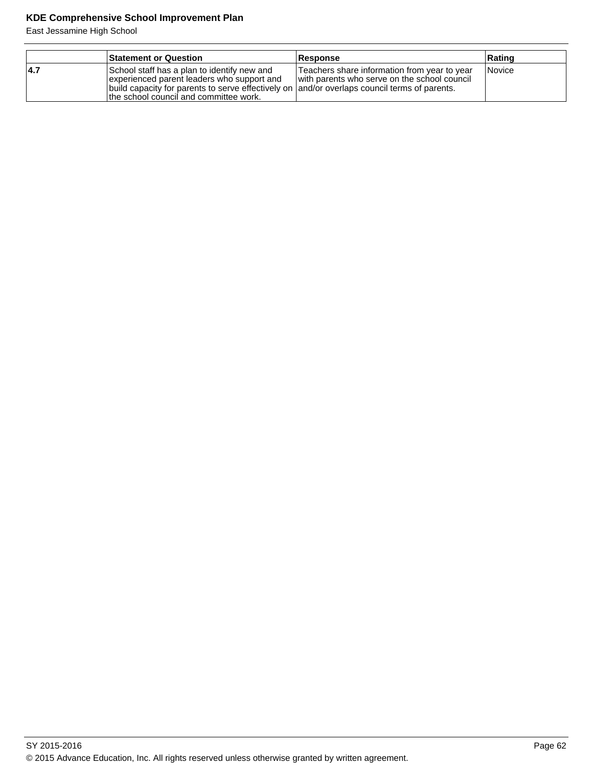|      | <b>Statement or Question</b>                                                                                                                                                                                                         | <b>Response</b>                                                                              | Rating        |
|------|--------------------------------------------------------------------------------------------------------------------------------------------------------------------------------------------------------------------------------------|----------------------------------------------------------------------------------------------|---------------|
| 14.7 | School staff has a plan to identify new and<br>experienced parent leaders who support and<br>build capacity for parents to serve effectively on  and/or overlaps council terms of parents.<br>the school council and committee work. | Teachers share information from year to year<br>with parents who serve on the school council | <b>Novice</b> |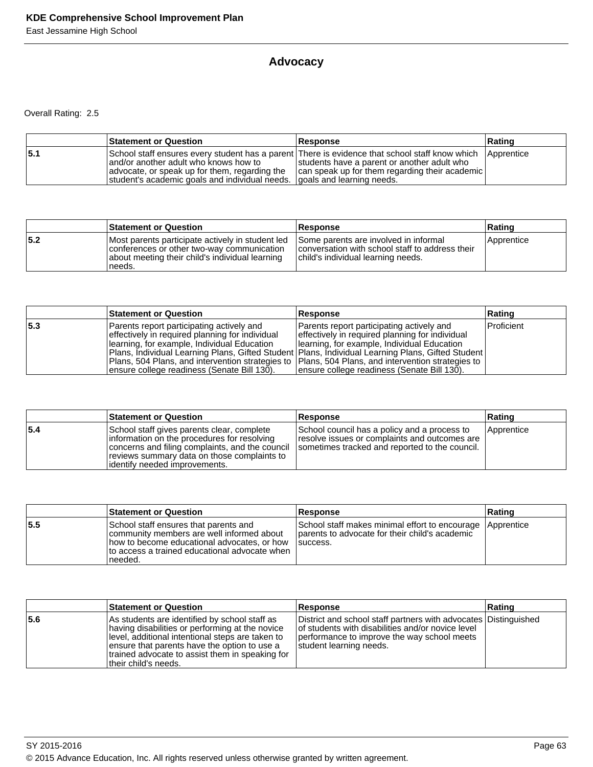# **Advocacy**

Overall Rating: 2.5

|     | <b>Statement or Question</b>                                                                                                                                         | <b>Response</b>                                                                                                                                                                                 | Rating     |
|-----|----------------------------------------------------------------------------------------------------------------------------------------------------------------------|-------------------------------------------------------------------------------------------------------------------------------------------------------------------------------------------------|------------|
| 5.1 | and/or another adult who knows how to<br>advocate, or speak up for them, regarding the<br>student's academic goals and individual needs. (goals and learning needs.) | School staff ensures every student has a parent There is evidence that school staff know which<br>students have a parent or another adult who<br>can speak up for them regarding their academic | Apprentice |

|     | <b>Statement or Question</b>                                                                                                                                 | <b>Response</b>                                                                                                                | Rating     |
|-----|--------------------------------------------------------------------------------------------------------------------------------------------------------------|--------------------------------------------------------------------------------------------------------------------------------|------------|
| 5.2 | Most parents participate actively in student led<br>conferences or other two-way communication<br>about meeting their child's individual learning<br>'needs. | Some parents are involved in informal<br>conversation with school staff to address their<br>child's individual learning needs. | Apprentice |

|     | <b>Statement or Question</b>                                                                        | <b>Response</b>                                 | Rating     |
|-----|-----------------------------------------------------------------------------------------------------|-------------------------------------------------|------------|
| 5.3 | Parents report participating actively and                                                           | Parents report participating actively and       | Proficient |
|     | effectively in required planning for individual                                                     | effectively in required planning for individual |            |
|     | Iearning, for example, Individual Education                                                         | Ilearning, for example, Individual Education    |            |
|     | Plans, Individual Learning Plans, Gifted Student   Plans, Individual Learning Plans, Gifted Student |                                                 |            |
|     | Plans, 504 Plans, and intervention strategies to  Plans, 504 Plans, and intervention strategies to  |                                                 |            |
|     | ensure college readiness (Senate Bill 130).                                                         | ensure college readiness (Senate Bill 130).     |            |

|     | <b>Statement or Question</b>                                                                                                                                                                                                   | <b>Response</b>                                                                                                                                 | Rating     |
|-----|--------------------------------------------------------------------------------------------------------------------------------------------------------------------------------------------------------------------------------|-------------------------------------------------------------------------------------------------------------------------------------------------|------------|
| 5.4 | School staff gives parents clear, complete<br>linformation on the procedures for resolving<br>concerns and filing complaints, and the council<br>reviews summary data on those complaints to<br>lidentifv needed improvements. | School council has a policy and a process to<br>resolve issues or complaints and outcomes are<br>sometimes tracked and reported to the council. | Apprentice |

|     | <b>Statement or Question</b>                                                                                                                                                                   | <b>Response</b>                                                                                                          | Rating |
|-----|------------------------------------------------------------------------------------------------------------------------------------------------------------------------------------------------|--------------------------------------------------------------------------------------------------------------------------|--------|
| 5.5 | School staff ensures that parents and<br>community members are well informed about<br>how to become educational advocates, or how<br>Ito access a trained educational advocate when<br>needed. | School staff makes minimal effort to encourage Apprentice<br>parents to advocate for their child's academic<br>Isuccess. |        |

|     | <b>Statement or Question</b>                                                                                                                                                                                                                                                     | <b>Response</b>                                                                                                                                                                                | Rating |
|-----|----------------------------------------------------------------------------------------------------------------------------------------------------------------------------------------------------------------------------------------------------------------------------------|------------------------------------------------------------------------------------------------------------------------------------------------------------------------------------------------|--------|
| 5.6 | As students are identified by school staff as<br>having disabilities or performing at the novice<br>level, additional intentional steps are taken to<br>ensure that parents have the option to use a<br>trained advocate to assist them in speaking for<br>Itheir child's needs. | District and school staff partners with advocates Distinguished<br>of students with disabilities and/or novice level<br>performance to improve the way school meets<br>student learning needs. |        |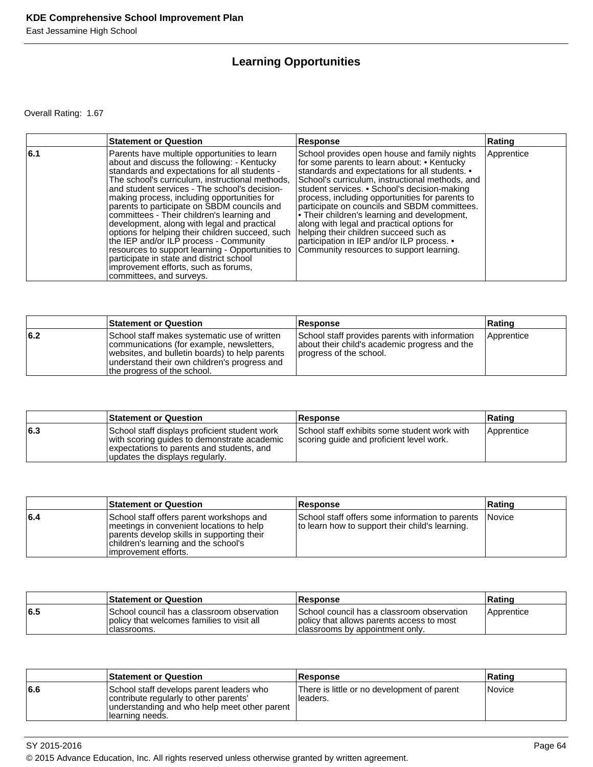# **Learning Opportunities**

Overall Rating: 1.67

|     | <b>Statement or Question</b>                                                                                                                                                                                                                                                                                                                                                                                                                                                                                                                                                                                                                                                                                   | <b>Response</b>                                                                                                                                                                                                                                                                                                                                                                                                                                                                                                                                                                       | Rating     |
|-----|----------------------------------------------------------------------------------------------------------------------------------------------------------------------------------------------------------------------------------------------------------------------------------------------------------------------------------------------------------------------------------------------------------------------------------------------------------------------------------------------------------------------------------------------------------------------------------------------------------------------------------------------------------------------------------------------------------------|---------------------------------------------------------------------------------------------------------------------------------------------------------------------------------------------------------------------------------------------------------------------------------------------------------------------------------------------------------------------------------------------------------------------------------------------------------------------------------------------------------------------------------------------------------------------------------------|------------|
| 6.1 | Parents have multiple opportunities to learn<br>about and discuss the following: - Kentucky<br>standards and expectations for all students -<br>The school's curriculum, instructional methods,<br>land student services - The school's decision-<br>making process, including opportunities for<br>parents to participate on SBDM councils and<br>committees - Their children's learning and<br>development, along with legal and practical<br>options for helping their children succeed, such<br>the IEP and/or ILP process - Community<br>resources to support learning - Opportunities to<br>participate in state and district school<br>improvement efforts, such as forums,<br>committees, and surveys. | School provides open house and family nights<br>for some parents to learn about: • Kentucky<br>standards and expectations for all students. •<br>School's curriculum, instructional methods, and<br>student services. • School's decision-making<br>process, including opportunities for parents to<br>participate on councils and SBDM committees.<br>• Their children's learning and development,<br>along with legal and practical options for<br>helping their children succeed such as<br>participation in IEP and/or ILP process. •<br>Community resources to support learning. | Apprentice |

|     | <b>Statement or Question</b>                                                                                                                                                                                               | <b>Response</b>                                                                                                            | Rating     |
|-----|----------------------------------------------------------------------------------------------------------------------------------------------------------------------------------------------------------------------------|----------------------------------------------------------------------------------------------------------------------------|------------|
| 6.2 | School staff makes systematic use of written<br>communications (for example, newsletters,<br>websites, and bulletin boards) to help parents<br>understand their own children's progress and<br>the progress of the school. | School staff provides parents with information<br>about their child's academic progress and the<br>progress of the school. | Apprentice |

|     | <b>Statement or Question</b>                                                                                                                                                 | <b>Response</b>                                                                          | Rating     |
|-----|------------------------------------------------------------------------------------------------------------------------------------------------------------------------------|------------------------------------------------------------------------------------------|------------|
| 6.3 | School staff displays proficient student work<br>with scoring guides to demonstrate academic<br>expectations to parents and students, and<br>updates the displays regularly. | School staff exhibits some student work with<br>scoring guide and proficient level work. | Apprentice |

|     | <b>Statement or Question</b>                                                                                                                                                                         | Response                                                                                                  | Ratinɑ |
|-----|------------------------------------------------------------------------------------------------------------------------------------------------------------------------------------------------------|-----------------------------------------------------------------------------------------------------------|--------|
| 6.4 | School staff offers parent workshops and<br>Imeetings in convenient locations to help<br>parents develop skills in supporting their<br>children's learning and the school's<br>limprovement efforts. | School staff offers some information to parents Novice<br>to learn how to support their child's learning. |        |

|     | <b>Statement or Question</b>                                                                             | Response                                                                                                                     | Rating            |
|-----|----------------------------------------------------------------------------------------------------------|------------------------------------------------------------------------------------------------------------------------------|-------------------|
| 6.5 | ISchool council has a classroom observation<br>policy that welcomes families to visit all<br>classrooms. | I School council has a classroom observation<br>policy that allows parents access to most<br>classrooms by appointment only. | <b>Apprentice</b> |

|     | <b>Statement or Question</b>                                                                                                                           | <b>Response</b>                                         | ∣Ratinɑ |
|-----|--------------------------------------------------------------------------------------------------------------------------------------------------------|---------------------------------------------------------|---------|
| 6.6 | School staff develops parent leaders who<br>contribute regularly to other parents'<br>understanding and who help meet other parent<br>Ilearning needs. | There is little or no development of parent<br>Headers. | Novice  |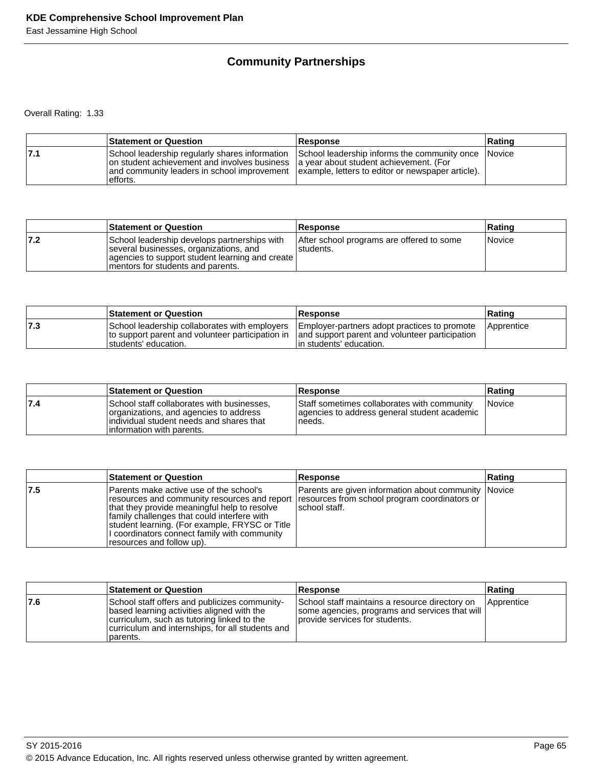# **Community Partnerships**

Overall Rating: 1.33

|     | <b>Statement or Question</b>                                                                                                                                                                       | Response                                                                                           | Rating |
|-----|----------------------------------------------------------------------------------------------------------------------------------------------------------------------------------------------------|----------------------------------------------------------------------------------------------------|--------|
| 7.1 | on student achievement and involves business a year about student achievement. (For<br>and community leaders in school improvement   example, letters to editor or newspaper article).<br>efforts. | School leadership regularly shares information School leadership informs the community once Novice |        |

|      | <b>Statement or Question</b>                                                                                                                                                    | <b>Response</b>                                        | Ratinɑ        |
|------|---------------------------------------------------------------------------------------------------------------------------------------------------------------------------------|--------------------------------------------------------|---------------|
| 17.2 | School leadership develops partnerships with<br>several businesses, organizations, and<br>agencies to support student learning and create<br>Imentors for students and parents. | After school programs are offered to some<br>students. | <i>Novice</i> |

|     | <b>Statement or Question</b>                                                                                               | <b>Response</b>                                                                                                            | Rating            |
|-----|----------------------------------------------------------------------------------------------------------------------------|----------------------------------------------------------------------------------------------------------------------------|-------------------|
| 7.3 | School leadership collaborates with employers<br>to support parent and volunteer participation in<br>Istudents' education. | Employer-partners adopt practices to promote<br>and support parent and volunteer participation<br>lin students' education. | <b>Apprentice</b> |

|     | <b>Statement or Question</b>                                                                                                                                   | Response                                                                                              | Ratinɑ        |
|-----|----------------------------------------------------------------------------------------------------------------------------------------------------------------|-------------------------------------------------------------------------------------------------------|---------------|
| 7.4 | School staff collaborates with businesses,<br>organizations, and agencies to address<br>individual student needs and shares that<br>linformation with parents. | Staff sometimes collaborates with community<br>agencies to address general student academic<br>needs. | <i>Novice</i> |

|     | <b>Statement or Question</b>                                                                                                                                                                                                                                                                                                                                          | Response                                                               | Rating |
|-----|-----------------------------------------------------------------------------------------------------------------------------------------------------------------------------------------------------------------------------------------------------------------------------------------------------------------------------------------------------------------------|------------------------------------------------------------------------|--------|
| 7.5 | Parents make active use of the school's<br>resources and community resources and report   resources from school program coordinators or<br>that they provide meaningful help to resolve<br>family challenges that could interfere with<br>student learning. (For example, FRYSC or Title<br>I coordinators connect family with community<br>resources and follow up). | Parents are given information about community Novice<br>Ischool staff. |        |

|      | <b>Statement or Question</b>                                                                                                                                                                              | <b>Response</b>                                                                                                                       | Rating       |
|------|-----------------------------------------------------------------------------------------------------------------------------------------------------------------------------------------------------------|---------------------------------------------------------------------------------------------------------------------------------------|--------------|
| 17.6 | School staff offers and publicizes community-<br>based learning activities aligned with the<br>curriculum, such as tutoring linked to the<br>curriculum and internships, for all students and<br>parents. | School staff maintains a resource directory on<br>  some agencies, programs and services that will<br>Iprovide services for students. | l Apprentice |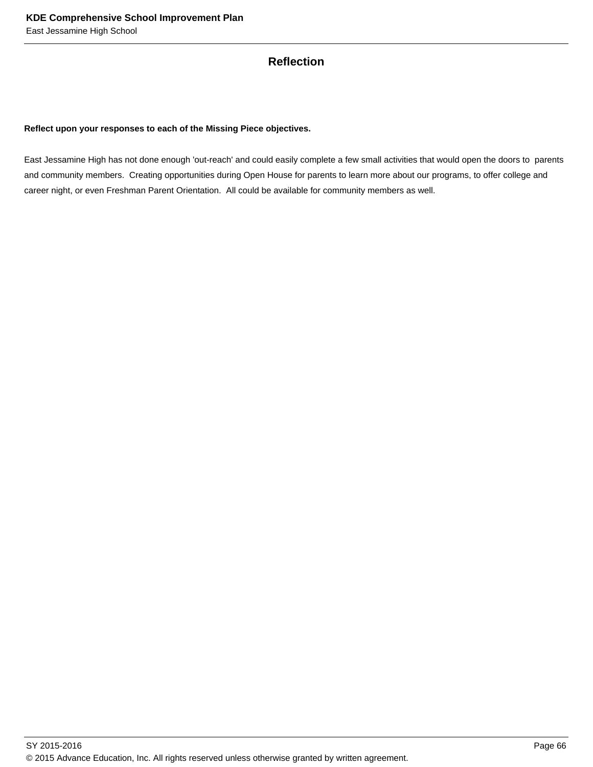## **Reflection**

#### **Reflect upon your responses to each of the Missing Piece objectives.**

East Jessamine High has not done enough 'out-reach' and could easily complete a few small activities that would open the doors to parents and community members. Creating opportunities during Open House for parents to learn more about our programs, to offer college and career night, or even Freshman Parent Orientation. All could be available for community members as well.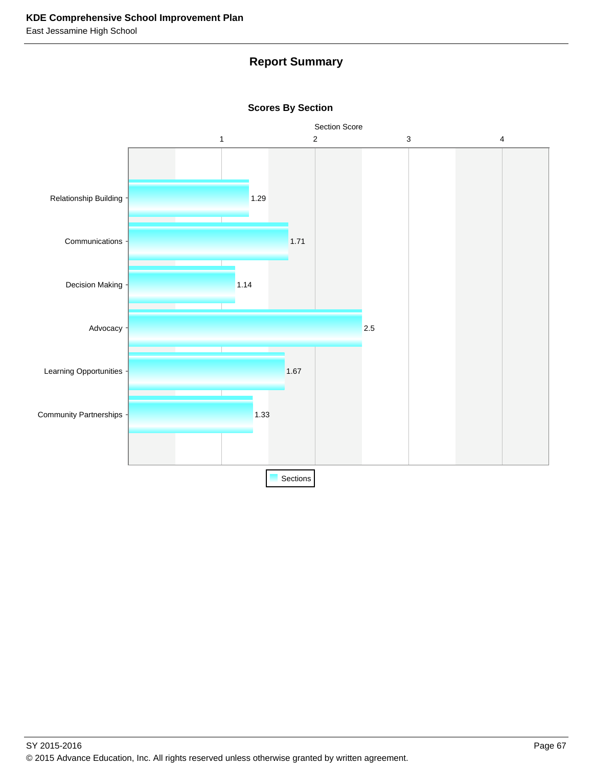# **Report Summary**



## **Scores By Section**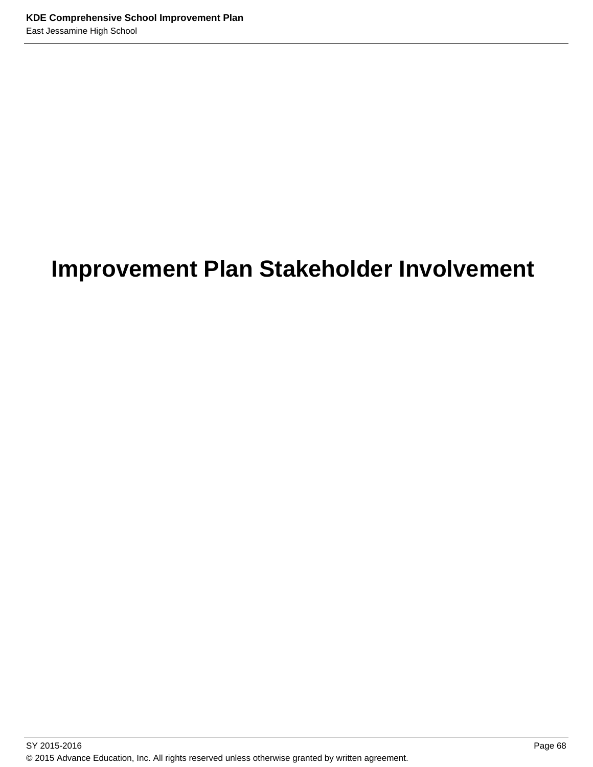# **Improvement Plan Stakeholder Involvement**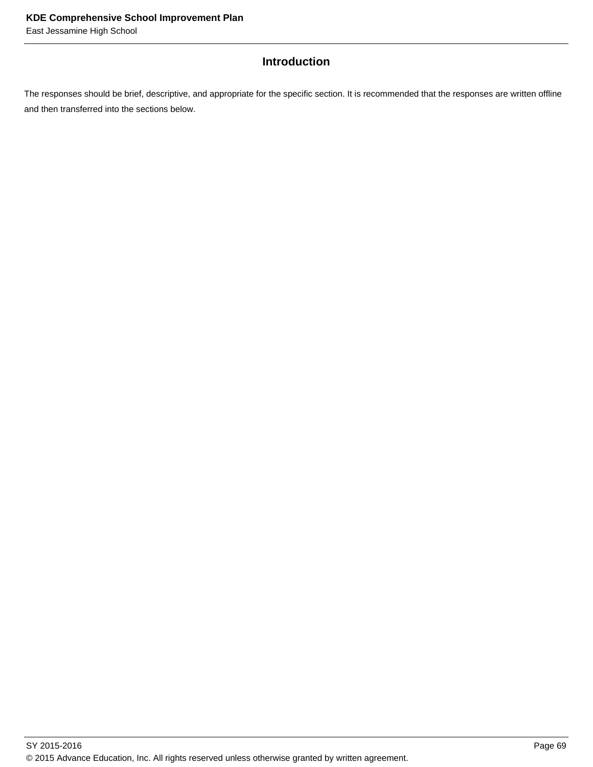## **Introduction**

The responses should be brief, descriptive, and appropriate for the specific section. It is recommended that the responses are written offline and then transferred into the sections below.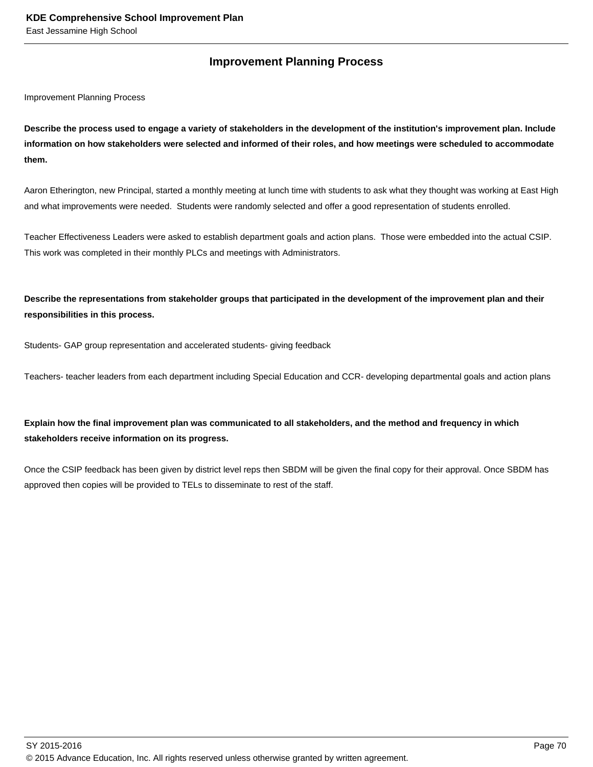## **Improvement Planning Process**

Improvement Planning Process

**Describe the process used to engage a variety of stakeholders in the development of the institution's improvement plan. Include information on how stakeholders were selected and informed of their roles, and how meetings were scheduled to accommodate them.** 

Aaron Etherington, new Principal, started a monthly meeting at lunch time with students to ask what they thought was working at East High and what improvements were needed. Students were randomly selected and offer a good representation of students enrolled.

Teacher Effectiveness Leaders were asked to establish department goals and action plans. Those were embedded into the actual CSIP. This work was completed in their monthly PLCs and meetings with Administrators.

**Describe the representations from stakeholder groups that participated in the development of the improvement plan and their responsibilities in this process.**

Students- GAP group representation and accelerated students- giving feedback

Teachers- teacher leaders from each department including Special Education and CCR- developing departmental goals and action plans

## **Explain how the final improvement plan was communicated to all stakeholders, and the method and frequency in which stakeholders receive information on its progress.**

Once the CSIP feedback has been given by district level reps then SBDM will be given the final copy for their approval. Once SBDM has approved then copies will be provided to TELs to disseminate to rest of the staff.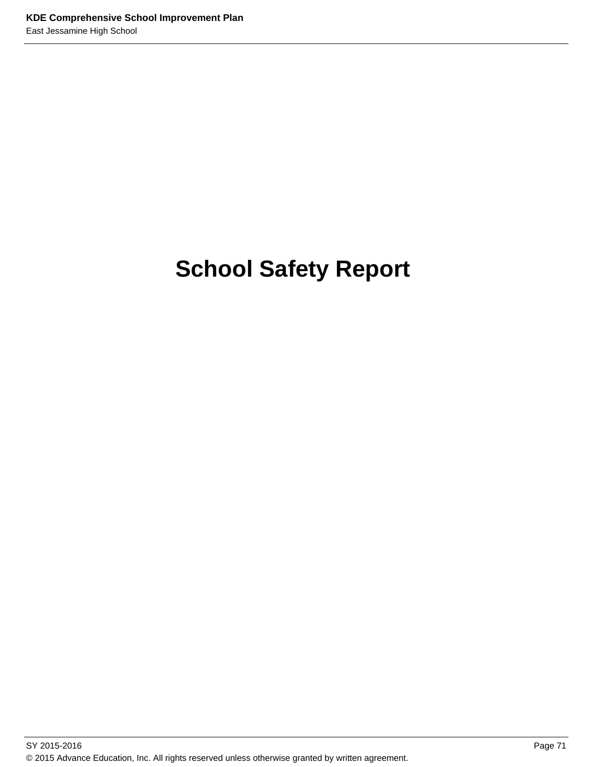# **School Safety Report**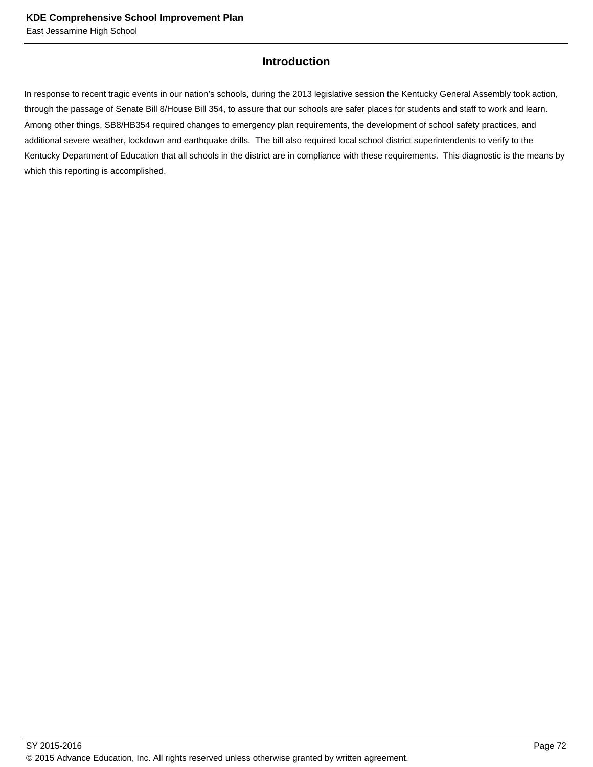## **Introduction**

In response to recent tragic events in our nation's schools, during the 2013 legislative session the Kentucky General Assembly took action, through the passage of Senate Bill 8/House Bill 354, to assure that our schools are safer places for students and staff to work and learn. Among other things, SB8/HB354 required changes to emergency plan requirements, the development of school safety practices, and additional severe weather, lockdown and earthquake drills. The bill also required local school district superintendents to verify to the Kentucky Department of Education that all schools in the district are in compliance with these requirements. This diagnostic is the means by which this reporting is accomplished.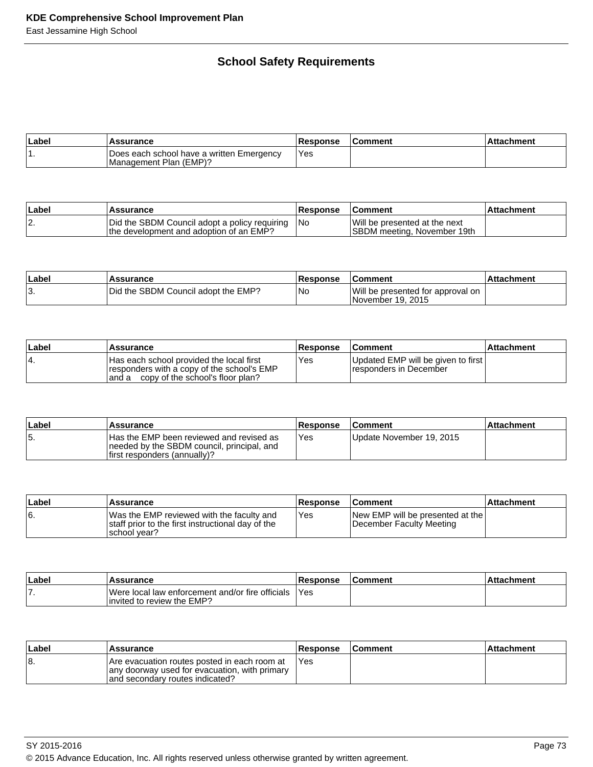# **School Safety Requirements**

| ∣Label | Assurance                                                           | <b>Response</b>  | <b>Comment</b> | Attachment |
|--------|---------------------------------------------------------------------|------------------|----------------|------------|
|        | Does each school have a written Emergency<br>Management Plan (EMP)? | Yes <sup>-</sup> |                |            |

| <b>Label</b> | <b>Assurance</b>                                                                         | <b>Response</b> | <b>Comment</b>                                               | <b>∣Attachment</b> |
|--------------|------------------------------------------------------------------------------------------|-----------------|--------------------------------------------------------------|--------------------|
| ۱Z.          | Did the SBDM Council adopt a policy requiring<br>the development and adoption of an EMP? | - INo           | Will be presented at the next<br>SBDM meeting, November 19th |                    |

| ∣Labe | <b>Assurance</b>                    | <b>IResponse</b> | ∣Comment                                               | l Attachment |
|-------|-------------------------------------|------------------|--------------------------------------------------------|--------------|
| د ا   | Did the SBDM Council adopt the EMP? | l Nc             | Will be presented for approval on<br>November 19, 2015 |              |

| ∣Label | Assurance                                                                                                                        | Response | <b>Comment</b>                                               | <b>Attachment</b> |
|--------|----------------------------------------------------------------------------------------------------------------------------------|----------|--------------------------------------------------------------|-------------------|
|        | Has each school provided the local first<br>responders with a copy of the school's EMP<br>and a copy of the school's floor plan? | Yes      | Updated EMP will be given to first<br>responders in December |                   |

| ∣Label | Assurance                                                                                                               | <b>Response</b> | <b>Comment</b>           | ∣Attachment |
|--------|-------------------------------------------------------------------------------------------------------------------------|-----------------|--------------------------|-------------|
| 15.    | IHas the EMP been reviewed and revised as<br>needed by the SBDM council, principal, and<br>first responders (annually)? | Yes             | Update November 19, 2015 |             |

| ∣Label | Assurance                                                                                                        | <b>Response</b> | <b>Comment</b>                                               | ∣Attachment |
|--------|------------------------------------------------------------------------------------------------------------------|-----------------|--------------------------------------------------------------|-------------|
| 16.    | Was the EMP reviewed with the faculty and<br>Istaff prior to the first instructional day of the<br>Ischool vear? | Yes             | New EMP will be presented at the<br>December Faculty Meeting |             |

| ∣Label | <b>Assurance</b>                                                                | <b>Response</b> | ∣Comment | Attachment |
|--------|---------------------------------------------------------------------------------|-----------------|----------|------------|
| . .    | Were local law enforcement and/or fire officials<br>linvited to review the EMP? | 'Yes            |          |            |

| ∣Label | Assurance                                                                                                                        | <b>Response</b> | <b>Comment</b> | ∣Attachment |
|--------|----------------------------------------------------------------------------------------------------------------------------------|-----------------|----------------|-------------|
| ۱8.    | Are evacuation routes posted in each room at<br>any doorway used for evacuation, with primary<br>and secondary routes indicated? | 'Yes            |                |             |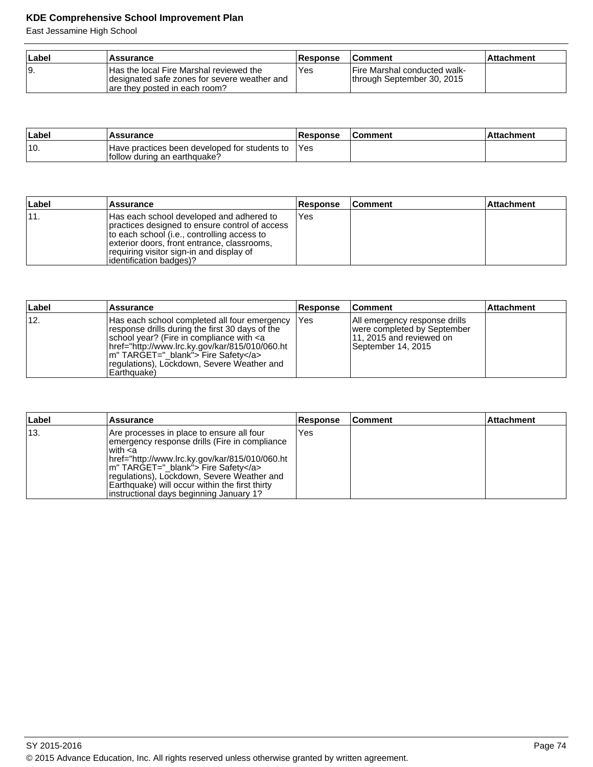## **KDE Comprehensive School Improvement Plan**

East Jessamine High School

| ⊺Label | Assurance                                                                                                                | <b>Response</b> | <b>Comment</b>                                              | ⊺Attachment |
|--------|--------------------------------------------------------------------------------------------------------------------------|-----------------|-------------------------------------------------------------|-------------|
|        | Has the local Fire Marshal reviewed the<br>designated safe zones for severe weather and<br>are they posted in each room? | <b>Yes</b>      | IFire Marshal conducted walk-<br>through September 30, 2015 |             |

| ∣Label | <b>Assurance</b>                                                               | <b>Response</b> | ∣Comment | <b>Attachment</b> |
|--------|--------------------------------------------------------------------------------|-----------------|----------|-------------------|
| ۱10.   | Have practices been developed for students to<br>lfollow during an earthquake? | <b>Yes</b>      |          |                   |

| Label | Assurance                                                                                                                                                                                                                                                        | <b>Response</b> | ∣Comment | <b>Attachment</b> |
|-------|------------------------------------------------------------------------------------------------------------------------------------------------------------------------------------------------------------------------------------------------------------------|-----------------|----------|-------------------|
|       | Has each school developed and adhered to<br>practices designed to ensure control of access<br>to each school (i.e., controlling access to<br>exterior doors, front entrance, classrooms,<br>requiring visitor sign-in and display of<br>lidentification badges)? | lYes            |          |                   |

| Label | <b>Assurance</b>                                                                                                                                                                                                                                                                                             | <b>Response</b> | <b>Comment</b>                                                                                                 | <b>Attachment</b> |
|-------|--------------------------------------------------------------------------------------------------------------------------------------------------------------------------------------------------------------------------------------------------------------------------------------------------------------|-----------------|----------------------------------------------------------------------------------------------------------------|-------------------|
| ່ 12. | Has each school completed all four emergency<br>response drills during the first 30 days of the<br>school year? (Fire in compliance with <a<br>href="http://www.lrc.ky.gov/kar/815/010/060.ht <br/>m" TARGET=" blank"&gt; Fire Safety<br/>regulations), Lockdown, Severe Weather and<br/>IEarthquake)</a<br> | IYes            | All emergency response drills<br>were completed by September<br>11, 2015 and reviewed on<br>September 14, 2015 |                   |

| Label | <b>Assurance</b>                                                                                                                                                                                                                                                                                                                                       | <b>Response</b> | ∣Comment | <b>Attachment</b> |
|-------|--------------------------------------------------------------------------------------------------------------------------------------------------------------------------------------------------------------------------------------------------------------------------------------------------------------------------------------------------------|-----------------|----------|-------------------|
| 13.   | Are processes in place to ensure all four<br>emergency response drills (Fire in compliance<br>l with <a<br>href="http://www.lrc.ky.gov/kar/815/010/060.ht<br/>m" TARGET=" blank"&gt; Fire Safety<br/>regulations), Lockdown, Severe Weather and<br/>Earthquake) will occur within the first thirty<br/>linstructional days beginning January 1?</a<br> | Yes             |          |                   |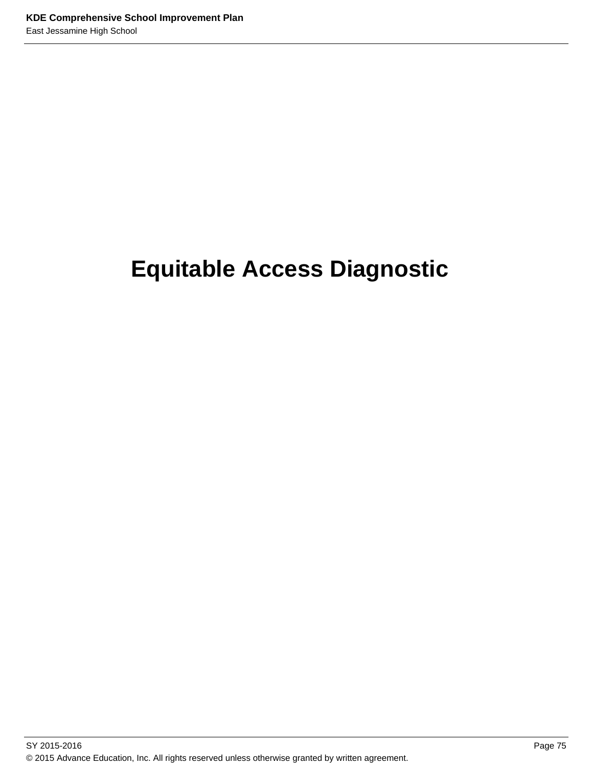# **Equitable Access Diagnostic**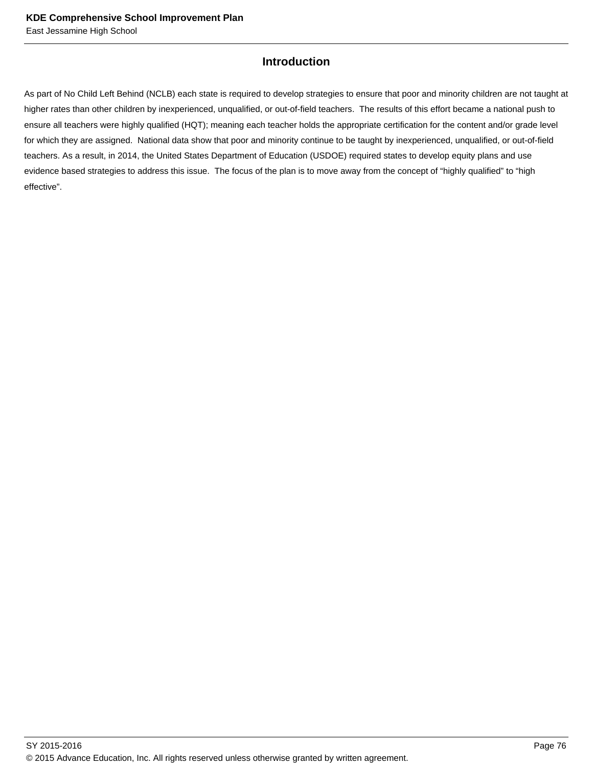## **Introduction**

As part of No Child Left Behind (NCLB) each state is required to develop strategies to ensure that poor and minority children are not taught at higher rates than other children by inexperienced, unqualified, or out-of-field teachers. The results of this effort became a national push to ensure all teachers were highly qualified (HQT); meaning each teacher holds the appropriate certification for the content and/or grade level for which they are assigned. National data show that poor and minority continue to be taught by inexperienced, unqualified, or out-of-field teachers. As a result, in 2014, the United States Department of Education (USDOE) required states to develop equity plans and use evidence based strategies to address this issue. The focus of the plan is to move away from the concept of "highly qualified" to "high effective".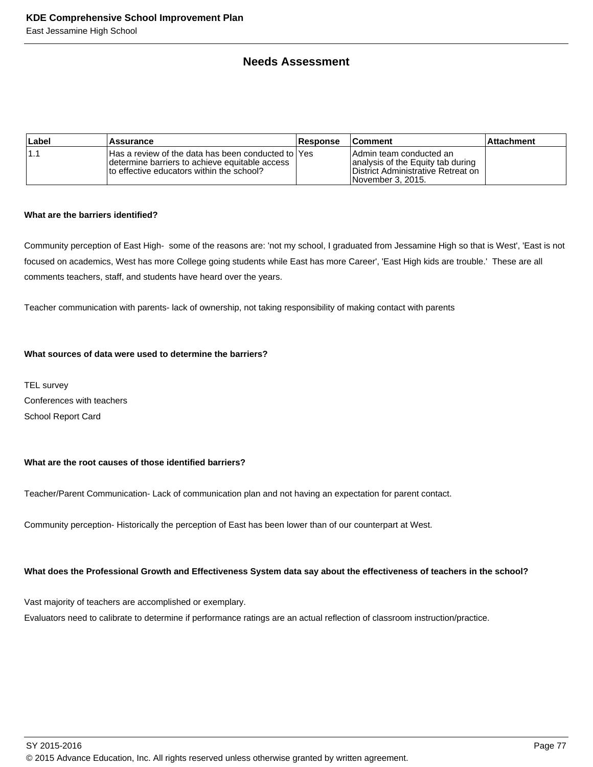## **Needs Assessment**

| Label | Assurance                                                                                                                                             | Response | <b>Comment</b>                                                                                                            | ⊺Attachment |
|-------|-------------------------------------------------------------------------------------------------------------------------------------------------------|----------|---------------------------------------------------------------------------------------------------------------------------|-------------|
| : 1 ا | IHas a review of the data has been conducted to IYes<br>Idetermine barriers to achieve equitable access<br>Ito effective educators within the school? |          | IAdmin team conducted an<br>analysis of the Equity tab during<br>IDistrict Administrative Retreat on<br>November 3, 2015. |             |

#### **What are the barriers identified?**

Community perception of East High- some of the reasons are: 'not my school, I graduated from Jessamine High so that is West', 'East is not focused on academics, West has more College going students while East has more Career', 'East High kids are trouble.' These are all comments teachers, staff, and students have heard over the years.

Teacher communication with parents- lack of ownership, not taking responsibility of making contact with parents

#### **What sources of data were used to determine the barriers?**

TEL survey Conferences with teachers School Report Card

#### **What are the root causes of those identified barriers?**

Teacher/Parent Communication- Lack of communication plan and not having an expectation for parent contact.

Community perception- Historically the perception of East has been lower than of our counterpart at West.

#### **What does the Professional Growth and Effectiveness System data say about the effectiveness of teachers in the school?**

Vast majority of teachers are accomplished or exemplary.

Evaluators need to calibrate to determine if performance ratings are an actual reflection of classroom instruction/practice.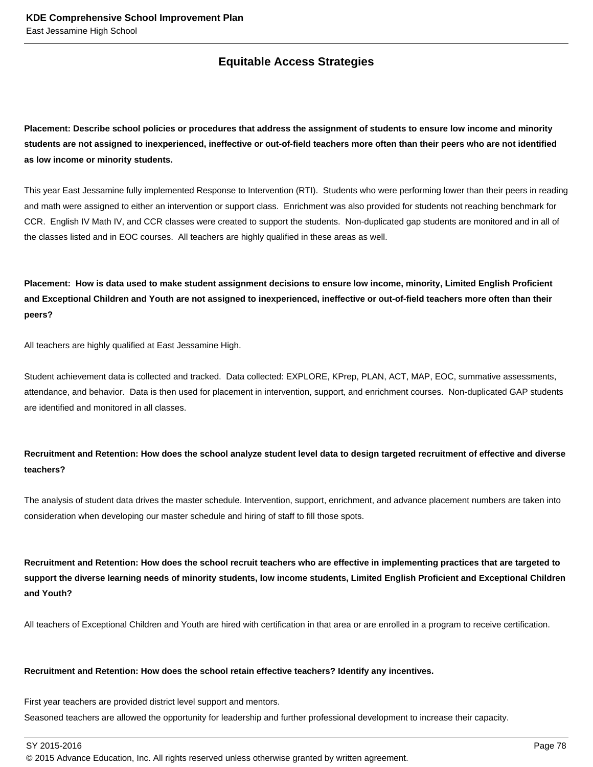## **Equitable Access Strategies**

**Placement: Describe school policies or procedures that address the assignment of students to ensure low income and minority students are not assigned to inexperienced, ineffective or out-of-field teachers more often than their peers who are not identified as low income or minority students.** 

This year East Jessamine fully implemented Response to Intervention (RTI). Students who were performing lower than their peers in reading and math were assigned to either an intervention or support class. Enrichment was also provided for students not reaching benchmark for CCR. English IV Math IV, and CCR classes were created to support the students. Non-duplicated gap students are monitored and in all of the classes listed and in EOC courses. All teachers are highly qualified in these areas as well.

**Placement: How is data used to make student assignment decisions to ensure low income, minority, Limited English Proficient and Exceptional Children and Youth are not assigned to inexperienced, ineffective or out-of-field teachers more often than their peers?**

All teachers are highly qualified at East Jessamine High.

Student achievement data is collected and tracked. Data collected: EXPLORE, KPrep, PLAN, ACT, MAP, EOC, summative assessments, attendance, and behavior. Data is then used for placement in intervention, support, and enrichment courses. Non-duplicated GAP students are identified and monitored in all classes.

## **Recruitment and Retention: How does the school analyze student level data to design targeted recruitment of effective and diverse teachers?**

The analysis of student data drives the master schedule. Intervention, support, enrichment, and advance placement numbers are taken into consideration when developing our master schedule and hiring of staff to fill those spots.

**Recruitment and Retention: How does the school recruit teachers who are effective in implementing practices that are targeted to support the diverse learning needs of minority students, low income students, Limited English Proficient and Exceptional Children and Youth?**

All teachers of Exceptional Children and Youth are hired with certification in that area or are enrolled in a program to receive certification.

#### **Recruitment and Retention: How does the school retain effective teachers? Identify any incentives.**

First year teachers are provided district level support and mentors. Seasoned teachers are allowed the opportunity for leadership and further professional development to increase their capacity.

SY 2015-2016 Page 78

© 2015 Advance Education, Inc. All rights reserved unless otherwise granted by written agreement.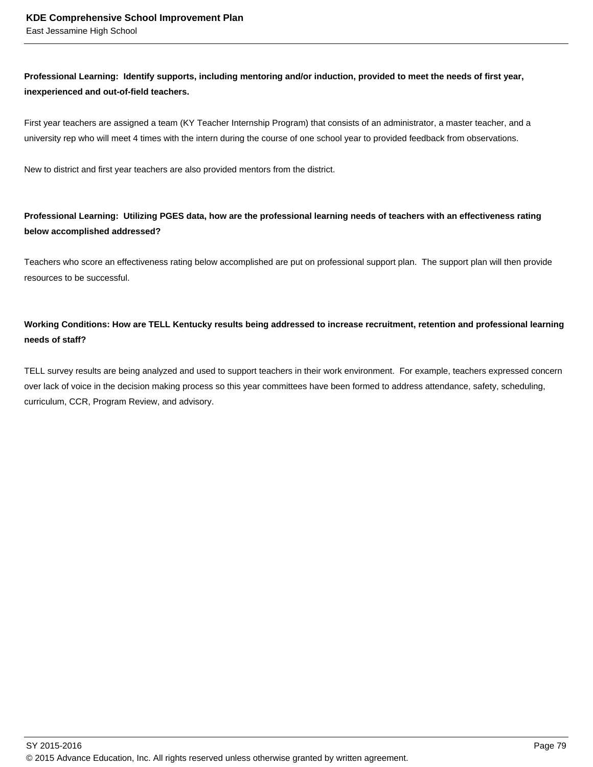## **Professional Learning: Identify supports, including mentoring and/or induction, provided to meet the needs of first year, inexperienced and out-of-field teachers.**

First year teachers are assigned a team (KY Teacher Internship Program) that consists of an administrator, a master teacher, and a university rep who will meet 4 times with the intern during the course of one school year to provided feedback from observations.

New to district and first year teachers are also provided mentors from the district.

## **Professional Learning: Utilizing PGES data, how are the professional learning needs of teachers with an effectiveness rating below accomplished addressed?**

Teachers who score an effectiveness rating below accomplished are put on professional support plan. The support plan will then provide resources to be successful.

## **Working Conditions: How are TELL Kentucky results being addressed to increase recruitment, retention and professional learning needs of staff?**

TELL survey results are being analyzed and used to support teachers in their work environment. For example, teachers expressed concern over lack of voice in the decision making process so this year committees have been formed to address attendance, safety, scheduling, curriculum, CCR, Program Review, and advisory.